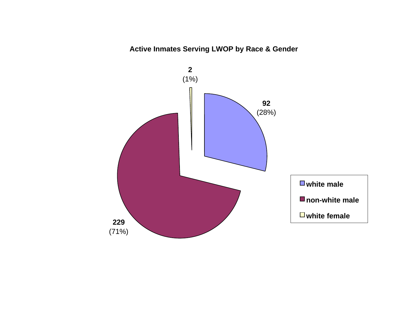# **Active Inmates Serving LWOP by Race & Gender**

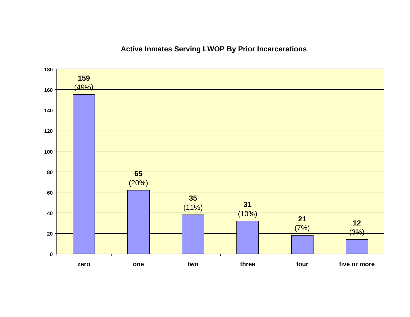# **Active Inmates Serving LWOP By Prior Incarcerations**

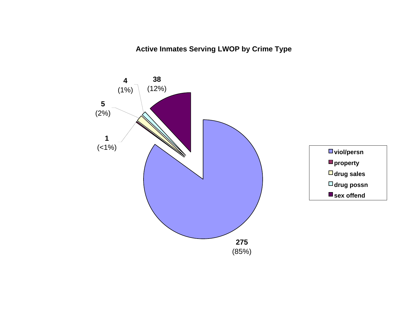**Active Inmates Serving LWOP by Crime Type**

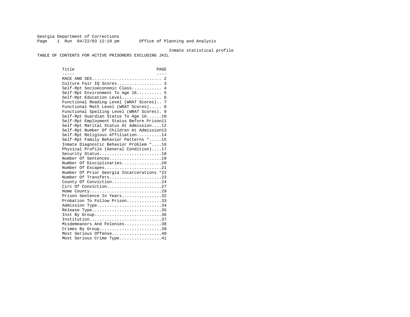Georgia Department of Corrections Page 1 Run  $04/22/03$  12:19 pm Office of Planning and Analysis

#### Inmate statistical profile

TABLE OF CONTENTS FOR ACTIVE PRISONERS EXCLUDING JAIL

Title PAGE ----- ---- RACE AND SEX............................ 2 Culture Fair IQ Scores.................. 3 Self-Rpt Socioeconomic Class............ 4 Self-Rpt Environment To Age 16.......... 5 Self-Rpt Education Level................ 6 Functional Reading Level (WRAT Scores).. 7 Functional Math Level (WRAT Scores)..... 8 Functional Spelling Level (WRAT Scores). 9 Self-Rpt Guardian Status To Age 16......10 Self-Rpt Employment Status Before Prison11 Self-Rpt Marital Status At Admission....12 Self-Rpt Number Of Children At Admission13 Self-Rpt Religious Affiliation..........14 Self-Rpt Family Behavior Patterns \*.....15 Inmate Diagnostic Behavior Problem \*....16 Physical Profile (General Condition)....17 Security Status...........................18 Number Of Sentences.....................19 Number Of Disciplinaries................20 Number Of Escapes........................21 Number Of Prior Georgia Incarcerations \*22 Number Of Transfers.....................23 County Of Conviction....................24 Circ Of Conviction......................27 Home County.............................29 Prison Sentence In Years................32 Probation To Follow Prison..............33Admission Type............................34 Release Type..............................35 Inst By Group..............................36 Institution.............................37 Misdemeanors And Felonies...............38 Crimes By Group.............................39 Most Serious Offense....................40 Most Serious Crime Type.................41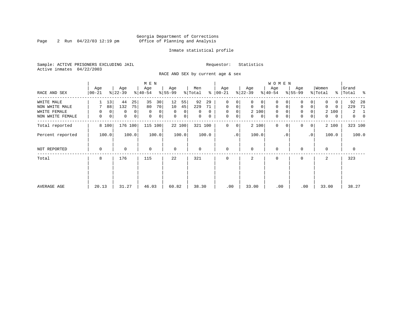#### Georgia Department of Corrections Page 2 Run 04/22/03 12:19 pm Office of Planning and Analysis

#### Inmate statistical profile

Sample: ACTIVE PRISONERS EXCLUDING JAIL **Requestor:** Statistics Active inmates 04/22/2003

RACE AND SEX by current age & sex

|                  |                  |                     | M E N                      |                  |                            |                  |                   | <b>WOMEN</b>            |                            |                   |                                  |
|------------------|------------------|---------------------|----------------------------|------------------|----------------------------|------------------|-------------------|-------------------------|----------------------------|-------------------|----------------------------------|
| RACE AND SEX     | Age<br>$00 - 21$ | Age<br>$ 22-39 $    | Age<br>$ 40-54 $           | Age<br>$8 55-99$ | Men<br>ႜ<br>% Total        | Age<br>$ 00-21 $ | Age<br>$ 22-39 $  | Age<br>$ 40-54 $        | Age<br>$8 55-99$           | Women<br>% Total  | Grand<br>%   Total<br>ႜ          |
| WHITE MALE       | 13               | 44<br>25            | 35<br>30                   | 12<br>55         | 92<br>29                   | 0<br>0           | 0<br>0            | 0                       | 0                          | 0                 | 92<br>-28                        |
| NON WHITE MALE   | 88               | 132<br>75           | 70<br>80                   | 10<br>45         | 229<br>71                  | 0<br>0           | 0<br>$\mathbf 0$  | 0<br>$\mathbf 0$        | 0<br>0                     | $\Omega$<br>0     | 229<br>71                        |
| WHITE FEMALE     | 0<br>0           | $\overline{0}$<br>0 | $\mathbf 0$<br>0           | $\Omega$<br>0    | $\Omega$<br>0              | $\mathbf 0$<br>0 | 2 100             | $\mathbf 0$<br>$\Omega$ | 0                          | 2 100             | 2<br>1                           |
| NON WHITE FEMALE | 0<br>0           | 0 <br>$\mathbf 0$   | $\mathbf 0$<br>$\mathbf 0$ | $\mathbf 0$<br>0 | $\mathbf 0$<br>$\mathbf 0$ | $\mathbf 0$<br>0 | $\mathbf{0}$<br>0 | 0<br>$\mathbf 0$        | $\mathbf 0$<br>0           | $\mathbf{0}$<br>0 | $\overline{0}$<br>$\overline{0}$ |
| Total reported   | 8 100            | 176 100             | 115 100                    | 22 100           | 321 100                    | 0<br>0           | 2 100             | $\mathbf 0$<br>$\Omega$ | $\Omega$<br>$\overline{0}$ | 2 100             | 323 100                          |
| Percent reported | 100.0            | 100.0               | 100.0                      | 100.0            | 100.0                      | .0 <sup>1</sup>  | 100.0             | . 0                     | $\cdot$ 0                  | 100.0             | 100.0                            |
| NOT REPORTED     | $\mathbf 0$      | 0                   | $\mathbf 0$                | $\mathbf 0$      | $\Omega$                   | $\mathbf 0$      | $\Omega$          | $\mathbf 0$             | $\Omega$                   | $\Omega$          | $\mathbf 0$                      |
| Total            | 8                | 176                 | 115                        | 22               | 321                        | $\Omega$         | 2                 | $\mathbf 0$             | $\Omega$                   | 2                 | 323                              |
|                  |                  |                     |                            |                  |                            |                  |                   |                         |                            |                   |                                  |
|                  |                  |                     |                            |                  |                            |                  |                   |                         |                            |                   |                                  |
| AVERAGE AGE      | 20.13            | 31.27               | 46.03                      | 60.82            | 38.30                      | .00              | 33.00             | .00                     | .00                        | 33.00             | 38.27                            |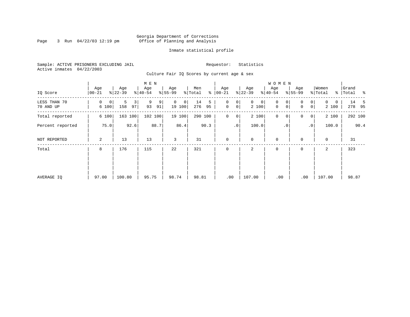#### Georgia Department of Corrections Page 3 Run 04/22/03 12:19 pm Office of Planning and Analysis

#### Inmate statistical profile

Sample: ACTIVE PRISONERS EXCLUDING JAIL **Requestor:** Statistics Active inmates 04/22/2003

Culture Fair IQ Scores by current age & sex

|                           |                  |                     | M E N              |                         |                      |                                         |                            | <b>WOMEN</b>     |                                        |                        |                    |
|---------------------------|------------------|---------------------|--------------------|-------------------------|----------------------|-----------------------------------------|----------------------------|------------------|----------------------------------------|------------------------|--------------------|
| IQ Score                  | Age<br>$00 - 21$ | Age<br>$ 22-39 $    | Age<br>$8 40-54$   | Age<br>$ 55-99$         | Men<br>% Total<br>နွ | Age<br>$ 00 - 21 $                      | Age<br>$ 22-39$            | Age<br>$8 40-54$ | Age<br>$8 55-99$                       | Women<br>% Total       | Grand<br>% Total % |
| LESS THAN 70<br>70 AND UP | 0<br>0<br>6 100  | 5<br>3<br>97<br>158 | 9<br>9<br>93<br>91 | $\Omega$<br>0<br>19 100 | 14<br>5<br>276<br>95 | 0<br>0<br>$\mathbf 0$<br>0 <sup>1</sup> | $\mathbf{0}$<br>0<br>2 100 | 0<br>0<br>0<br>0 | $\overline{0}$<br>$\Omega$<br> 0 <br>0 | $\Omega$<br>0<br>2 100 | 14 5<br>278 95     |
| Total reported            | 6 100            | 163 100             | 102 100            | 19 100                  | 290 100              | $\mathbf 0$<br>$\overline{0}$           | 2 100                      | $\mathbf 0$<br>0 | 0<br> 0                                | 2 100                  | 292 100            |
| Percent reported          | 75.0             | 92.6                | 88.7               | 86.4                    | 90.3                 | .0 <sup>1</sup>                         | 100.0                      | $\cdot$ 0        | $\cdot$ 0                              | 100.0                  | 90.4               |
| NOT REPORTED              | 2                | 13                  | 13                 | 3                       | 31                   | $\mathbf 0$                             | $\mathbf 0$                | $\mathbf 0$      | $\Omega$                               | $\mathbf 0$            | 31                 |
| Total                     | 8                | 176                 | 115                | 22                      | 321                  | $\mathbf 0$                             | 2                          | $\mathbf 0$      | 0                                      | 2                      | 323                |
|                           |                  |                     |                    |                         |                      |                                         |                            |                  |                                        |                        |                    |
|                           |                  |                     |                    |                         |                      |                                         |                            |                  |                                        |                        |                    |
| AVERAGE IQ                | 97.00            | 100.80              | 95.75              | 98.74                   | 98.81                | .00                                     | 107.00                     | .00              | .00                                    | 107.00                 | 98.87              |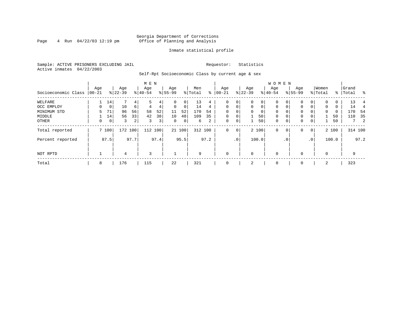#### Georgia Department of Corrections<br>4 Run 04/22/03 12:19 pm office of Planning and Analysis Page 4 Run 04/22/03 12:19 pm Office of Planning and Analysis

#### Inmate statistical profile

Sample: ACTIVE PRISONERS EXCLUDING JAIL **Requestor:** Statistics Active inmates 04/22/2003

Self-Rpt Socioeconomic Class by current age & sex

|                     |          |                |           |         | M E N    |                |          |        |         |      |              |                 |           |             | <b>WOMEN</b> |              |           |                 |          |       |           |            |
|---------------------|----------|----------------|-----------|---------|----------|----------------|----------|--------|---------|------|--------------|-----------------|-----------|-------------|--------------|--------------|-----------|-----------------|----------|-------|-----------|------------|
|                     | Age      |                | Age       |         | Age      |                | Age      |        | Men     |      | Age          |                 | Age       |             | Age          |              | Age       |                 | Women    |       | Grand     |            |
| Socioeconomic Class | $ 00-21$ |                | $ 22-39 $ |         | $ 40-54$ |                | $ 55-99$ |        | % Total | နွ   | $00 - 21$    |                 | $ 22-39 $ |             | $ 40-54 $    |              | $8 55-99$ |                 | % Total  |       | %   Total | $\sim$     |
| WELFARE             |          | 14             |           | 4       |          | 4              |          | 0      | 13      | 4    | $\Omega$     | 0               | $\Omega$  | 0           | $\Omega$     |              | $\Omega$  | 0               | $\Omega$ | 0     | 13        |            |
| OCC EMPLOY          | 0        | $\overline{0}$ | 10        | 6       | 4        | 4              | $\Omega$ | 0      | 14      | 4    | $\Omega$     | $\Omega$        | $\Omega$  | $\mathbf 0$ | $\Omega$     | $\Omega$     | $\Omega$  | $\Omega$        | $\Omega$ | 0     | 14        |            |
| MINIMUM STD         | 5.       | 71             | 96        | 56      | 58       | 52             | 11       | 52     | 170     | 54   | $\Omega$     |                 | $\Omega$  | 0           | $\Omega$     | $\Omega$     | $\Omega$  |                 | $\Omega$ | 0     | 170       | - 54       |
| MIDDLE              |          | 14             | 56        | 33      | 42       | 38             | 10       | 48     | 109     | 35   | $\mathbf 0$  | 0               |           | 50          | $\mathbf 0$  | 0            | 0         |                 |          | 50    | 110       | 35         |
| OTHER               | 0        | 0 <sup>1</sup> | 3         | 2       | 3        | 3 <sup>1</sup> | 0        | 0      | 6       | 2    | 0            | 0               |           | 50          | $\mathbf 0$  | 0            | 0         | 0               |          | 50    |           | $7\quad 2$ |
| Total reported      |          | 7 100          |           | 172 100 | 112      | 100            |          | 21 100 | 312 100 |      | $\mathbf 0$  | $\mathbf 0$     |           | 2 100       | $\mathbf 0$  | 0            | 0         | $\overline{0}$  |          | 2 100 |           | 314 100    |
| Percent reported    |          | 87.5           |           | 97.7    |          | 97.4           |          | 95.5   |         | 97.2 |              | .0 <sup>1</sup> |           | 100.0       |              | $.0^{\circ}$ |           | .0 <sup>1</sup> |          | 100.0 |           | 97.2       |
| NOT RPTD            |          |                | 4         |         | 3        |                |          |        | 9       |      | $\mathbf{0}$ |                 | $\Omega$  |             | $\mathbf 0$  |              |           |                 | $\Omega$ |       | 9         |            |
| Total               | 8        |                | 176       |         | 115      |                | 22       |        | 321     |      | $\mathbf{0}$ |                 | 2         |             | $\mathbf 0$  |              | 0         |                 | 2        |       | 323       |            |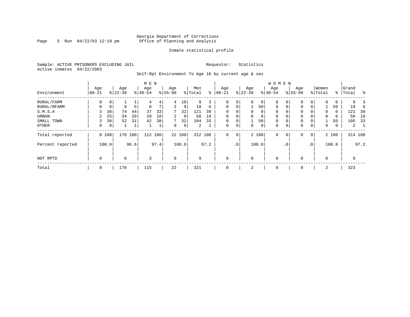#### Georgia Department of Corrections Page 5 Run 04/22/03 12:19 pm Office of Planning and Analysis

#### Inmate statistical profile

Sample: ACTIVE PRISONERS EXCLUDING JAIL **Requestor:** Statistics Active inmates 04/22/2003

Self-Rpt Environment To Age 16 by current age & sex

|                  |                  |                |                  |      |                  |      | <b>WOMEN</b>    |        |                |      |                 |             |                 |          |                  |           |                  |                 |                  |       |                |      |
|------------------|------------------|----------------|------------------|------|------------------|------|-----------------|--------|----------------|------|-----------------|-------------|-----------------|----------|------------------|-----------|------------------|-----------------|------------------|-------|----------------|------|
| Environment      | Age<br>$ 00-21 $ |                | Age<br>$8 22-39$ |      | Age<br>$8 40-54$ |      | Age<br>$ 55-99$ |        | Men<br>% Total | နွ   | Age<br>$ 00-21$ |             | Age<br>$ 22-39$ |          | Age<br>$8 40-54$ |           | Age<br>$8 55-99$ |                 | Women<br>% Total | ႜ     | Grand<br>Total | ွေ   |
| RURAL/FARM       | 0                | 0 <sup>1</sup> |                  |      | 4                | 4    | 4               | 18     | 9              | 3    | $\mathbf 0$     | 0           | $\Omega$        | $\circ$  | 0                | 0         | $\mathbf{0}$     |                 | $\Omega$         | 0     | 9              |      |
| RURAL/NFARM      |                  | 0              | 8                | 5    | 8                | 7    | $\overline{2}$  | 9      | 18             | 6    | $\mathbf 0$     | 0           |                 | 50       | 0                |           | $\mathbf{0}$     | $\Omega$        |                  | 50    | 19             |      |
| S.M.S.A          |                  | 38             | 74               | 44   | 37               | 33   | 7               | 32     | 121            | 39   | $\mathbf 0$     | 0           | $\Omega$        | $\Omega$ | 0                |           | $\mathbf{0}$     |                 | $\Omega$         | 0     | 121            | 39   |
| URBAN            | 2                | 25             | 34               | 20   | 20               | 18   | $\overline{2}$  | 9      | 58             | 19   | $\mathbf 0$     | $\mathbf 0$ | $\Omega$        | 0        | 0                |           | $\mathbf{0}$     |                 | $\mathbf 0$      | 0     | 58             | 18   |
| SMALL TOWN       |                  | 38             | 52               | 31   | 42               | 38   | 7               | 32     | 104            | 33   | $\mathbf 0$     | 0           |                 | 50       | 0                |           | $\mathbf 0$      |                 |                  | 50    | 105            | 33   |
| OTHER            | 0                | 0 <sup>1</sup> |                  |      |                  | ⊥    | $\Omega$        | 0      | 2              |      | $\mathbf 0$     | 0           | $\Omega$        | 0        | 0                |           | $\mathbf{0}$     | 0               | $\mathbf 0$      | 0     | $\overline{2}$ |      |
| Total reported   |                  | 8 100          | 170              | 100  | 112              | 100  |                 | 22 100 | 312 100        |      | $\mathbf 0$     | 0           |                 | 2 100    | 0                | 0         | $\mathbf 0$      | $\mathbf 0$     |                  | 2 100 | 314 100        |      |
| Percent reported |                  | 100.0          |                  | 96.6 |                  | 97.4 |                 | 100.0  |                | 97.2 |                 | $\cdot$ 0   |                 | 100.0    |                  | $\cdot$ 0 |                  | .0 <sup>°</sup> |                  | 100.0 |                | 97.2 |
| NOT RPTD         | 0                |                | 6                |      | 3                |      | $\Omega$        |        | 9              |      | $\mathbf 0$     |             | $\Omega$        |          | $\mathbf 0$      |           | $\mathbf{0}$     |                 | $\Omega$         |       | 9              |      |
| Total            | 8                |                | 176              |      | 115              |      | 22              |        | 321            |      | $\mathbf 0$     |             | 2               |          | 0                |           | 0                |                 | 2                |       | 323            |      |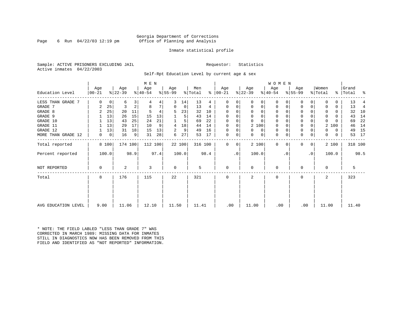#### Georgia Department of Corrections Page 6 Run 04/22/03 12:19 pm office of Planning and Analysis

#### Inmate statistical profile

Sample: ACTIVE PRISONERS EXCLUDING JAIL **Requestor:** Statistics Active inmates 04/22/2003

Self-Rpt Education Level by current age & sex

|                     | M E N     |             |           |         |           |      |             |        |         |      |          |                 |              |           | <b>WOMEN</b> |          |           |           |              |       |           |                |
|---------------------|-----------|-------------|-----------|---------|-----------|------|-------------|--------|---------|------|----------|-----------------|--------------|-----------|--------------|----------|-----------|-----------|--------------|-------|-----------|----------------|
|                     | Age       |             | Age       |         | Age       |      | Aqe         |        | Men     |      | Aqe      |                 | Age          |           | Aqe          |          | Age       |           | Women        |       | Grand     |                |
| Education Level     | $00 - 21$ |             | $ 22-39 $ |         | $ 40-54 $ |      | $ 55-99$    |        | % Total | ⊱    | $ 00-21$ |                 | $ 22-39 $    | $ 40-54 $ |              |          | $8 55-99$ |           | % Total      |       | %   Total | ಿ              |
| LESS THAN GRADE 7   | $\Omega$  | 0           | 6         | 3       |           | 4    | 3           | 14     | 13      | 4    | $\Omega$ | 0               | $\Omega$     | 0         | 0            | O        | 0         |           |              | 0     | 13        |                |
| GRADE 7             | 2         | 25          | 3         | 2       | 8         |      | $\Omega$    | 0      | 13      | 4    | $\Omega$ | 0               | 0            | 0         | 0            | 0        | $\Omega$  |           |              | 0     | 13        | $\overline{4}$ |
| GRADE 8             | 2         | 25          | 20        | 11      |           |      | 5           | 23     | 32      | 10   | O        |                 | $\Omega$     | 0         | 0            | O        | 0         |           |              | 0     | 32        | 10             |
| GRADE 9             |           | 13          | 26        | 15      | 15        | 13   |             | 5      | 43      | 14   |          |                 | $\Omega$     | $\Omega$  | 0            | O        | 0         |           | 0            | U     | 43        | 14             |
| GRADE 10            |           | 13          | 43        | 25      | 24        | 21   |             | 5      | 69      | 22   | $\Omega$ | 0               | $\Omega$     | $\Omega$  | $\mathbf 0$  | $\Omega$ | 0         |           | $\Omega$     |       | 69        | 22             |
| GRADE 11            |           | 13          | 29        | 17      | 10        | 9    | 4           | 18     | 44      | 14   | $\Omega$ |                 | 2 100        |           | $\mathbf 0$  |          | 0         |           | 2            | 100   | 46        | 14             |
| GRADE 12            |           | 13          | 31        | 18      | 15        | 13   | 2           | 9      | 49      | 16   | $\Omega$ | 0               | $\Omega$     | 0         | 0            | $\Omega$ | 0         |           | 0            | 0     | 49        | 15             |
| MORE THAN GRADE 12  | 0         | $\mathbf 0$ | 16        | 9       | 31        | 28   | 6           | 27     | 53      | 17   | 0        | 0               | $\Omega$     | 0         | 0            | 0        | 0         | 0         | $\Omega$     | 0     | 53        | 17             |
| Total reported      |           | 8 100       |           | 174 100 | 112 100   |      |             | 22 100 | 316 100 |      | $\Omega$ | 0               | 2 100        |           | $\mathbf 0$  | $\Omega$ | 0         | 0         |              | 2 100 |           | 318 100        |
| Percent reported    |           | 100.0       |           | 98.9    |           | 97.4 |             | 100.0  |         | 98.4 |          | .0 <sup>1</sup> | 100.0        |           |              | . 0      |           | $\cdot$ 0 |              | 100.0 |           | 98.5           |
| NOT REPORTED        | 0         |             | 2         |         | 3         |      | $\mathbf 0$ |        | 5       |      | 0        |                 | 0            |           | 0            |          | $\Omega$  |           | $\Omega$     |       | 5         |                |
| Total               | 8         |             | 176       |         | 115       |      | 22          |        | 321     |      | $\Omega$ |                 | $\mathbf{2}$ |           | $\Omega$     |          | $\Omega$  |           | $\mathbf{2}$ |       | 323       |                |
|                     |           |             |           |         |           |      |             |        |         |      |          |                 |              |           |              |          |           |           |              |       |           |                |
| AVG EDUCATION LEVEL | 9.00      |             | 11.06     |         | 12.10     |      | 11.50       |        | 11.41   |      | .00      |                 | 11.00        |           | .00          |          | .00       |           | 11.00        |       | 11.40     |                |

\* NOTE: THE FIELD LABLED "LESS THAN GRADE 7" WAS CORRECTED IN MARCH 1989: MISSING DATA FOR INMATES STILL IN DIAGNOSTICS NOW HAS BEEN REMOVED FROM THIS FIELD AND IDENTIFIED AS "NOT REPORTED" INFORMATION.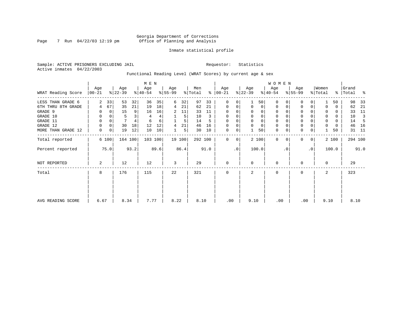#### Georgia Department of Corrections Page 7 Run 04/22/03 12:19 pm Office of Planning and Analysis

#### Inmate statistical profile

Sample: ACTIVE PRISONERS EXCLUDING JAIL **Requestor:** Statistics Active inmates 04/22/2003

Functional Reading Level (WRAT Scores) by current age & sex

|                    |                 |       |                  |         | M E N            |      |                  |        |                |      |                      |           |                  |                | W O M E N        |           |                  |             |                  |          |                |      |
|--------------------|-----------------|-------|------------------|---------|------------------|------|------------------|--------|----------------|------|----------------------|-----------|------------------|----------------|------------------|-----------|------------------|-------------|------------------|----------|----------------|------|
| WRAT Reading Score | Age<br>$ 00-21$ |       | Age<br>$ 22-39 $ |         | Age<br>$ 40-54 $ |      | Age<br>$ 55-99 $ |        | Men<br>% Total |      | Age<br>$8   00 - 21$ |           | Age<br>$ 22-39 $ |                | Age<br>$ 40-54 $ |           | Age<br>$ 55-99 $ |             | Women<br>% Total | %        | Grand<br>Total | ႜ    |
| LESS THAN GRADE 6  | 2               | 33    | 53               | 32      | 36               | 35   | 6                | 32     | 97             | 33   | $\mathbf 0$          | 0         |                  | 501            | $\Omega$         |           | $\mathbf 0$      | $\Omega$    |                  | 50       | 98             | 33   |
| 6TH THRU 8TH GRADE | 4               | 67    | 35               | 21      | 19               | 18   | 4                | 21     | 62             | 21   | $\mathbf 0$          | 0         | $\Omega$         | $\overline{0}$ | 0                | 0         | 0                | 0           |                  | 0        | 62             | 21   |
| GRADE 9            |                 | 0     | 15               | 9       | 16               | 16   | 2                | 11     | 33             | 11   | $\mathbf 0$          | $\Omega$  |                  | $\Omega$       | $\Omega$         |           | 0                |             |                  | 0        | 33             | 11   |
| GRADE 10           | 0               | 0     | 5                |         | 4                | 4    |                  | 5      | 10             | 3    | 0                    | 0         |                  |                | 0                |           | $\mathbf 0$      |             | 0                | 0        | 10             | 3    |
| GRADE 11           | 0               |       |                  |         | 6                | 6    |                  |        | 14             | 5    | $\Omega$             |           |                  |                |                  |           | $\mathbf 0$      |             | $\Omega$         | $\Omega$ | 14             |      |
| GRADE 12           | 0               | 0     | 30               | 18      | 12               | 12   | 4                | 21     | 46             | 16   | $\Omega$             | 0         | $\Omega$         | $\Omega$       | 0                |           | $\mathbf 0$      |             | 0                | 0        | 46             | 16   |
| MORE THAN GRADE 12 | 0               | 0     | 19               | 12      | 10               | 10   |                  | 5      | 30             | 10   | 0                    | 0         |                  | 50             | 0                | 0         | $\mathbf 0$      | 0           |                  | 50       | 31             | - 11 |
| Total reported     |                 | 6 100 |                  | 164 100 | 103 100          |      |                  | 19 100 | 292 100        |      | $\Omega$             | 0         |                  | 2 100          | $\mathbf 0$      | $\Omega$  | $\mathbf{0}$     | $\mathbf 0$ |                  | 2 100    | 294 100        |      |
| Percent reported   |                 | 75.0  |                  | 93.2    |                  | 89.6 |                  | 86.4   |                | 91.0 |                      | $\cdot$ 0 |                  | 100.0          |                  | $\cdot$ 0 |                  | .0'         |                  | 100.0    |                | 91.0 |
| NOT REPORTED       | 2               |       | 12               |         | 12               |      | 3                |        | 29             |      | $\mathbf 0$          |           | $\Omega$         |                | 0                |           | 0                |             | $\Omega$         |          | 29             |      |
| Total              | 8               |       | 176              |         | 115              |      | 22               |        | 321            |      | $\mathbf 0$          |           | 2                |                | 0                |           | $\mathbf 0$      |             | 2                |          | 323            |      |
|                    |                 |       |                  |         |                  |      |                  |        |                |      |                      |           |                  |                |                  |           |                  |             |                  |          |                |      |
| AVG READING SCORE  | 6.67            |       | 8.34             |         | 7.77             |      | 8.22             |        | 8.10           |      | .00                  |           | 9.10             |                | .00              |           | .00              |             | 9.10             |          | 8.10           |      |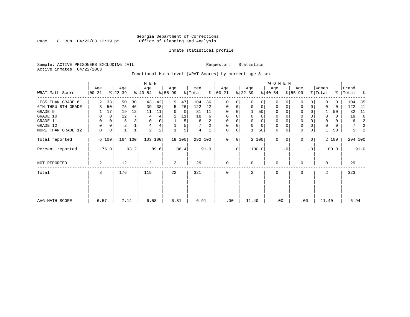#### Georgia Department of Corrections Page 8 Run 04/22/03 12:19 pm Office of Planning and Analysis

#### Inmate statistical profile

Sample: ACTIVE PRISONERS EXCLUDING JAIL **Requestor:** Statistics Active inmates 04/22/2003

Functional Math Level (WRAT Scores) by current age & sex

|                    |                 |             |                  |                | M E N            |      |                  |        |                |      |                      |    |                  |             | <b>WOMEN</b>     |           |                  |                |                  |          |                    |      |
|--------------------|-----------------|-------------|------------------|----------------|------------------|------|------------------|--------|----------------|------|----------------------|----|------------------|-------------|------------------|-----------|------------------|----------------|------------------|----------|--------------------|------|
| WRAT Math Score    | Age<br>$ 00-21$ |             | Age<br>$ 22-39 $ |                | Age<br>$ 40-54 $ |      | Age<br>$8 55-99$ |        | Men<br>% Total |      | Age<br>$8   00 - 21$ |    | Age<br>$ 22-39 $ |             | Age<br>$ 40-54 $ |           | Age<br>$8 55-99$ |                | Women<br>% Total |          | Grand<br>% Total % |      |
| LESS THAN GRADE 6  | $\overline{2}$  | 33          | 50               | 30             | 43               | 42   | 9                | 47     | 104            | 36   | $\mathbf 0$          | 0  | $\Omega$         | 0           | $\Omega$         | 0         | 0                | 0              | $\Omega$         | 0        | 104                | 35   |
| 6TH THRU 8TH GRADE |                 | 50          | 75               | 46             | 39               | 38   | 5                | 26     | 122            | 42   | $\mathbf 0$          | 0  | 0                | 0           | 0                | 0         | $\Omega$         | 0              | 0                | 0        | 122                | 41   |
| GRADE 9            |                 | 17          | 19               | 12             | 11               | 11   | 0                | 0      | 31             | 11   | 0                    |    |                  | 50          | 0                |           | U                |                |                  | 50       | 32                 | 11   |
| GRADE 10           | 0               | $\mathbf 0$ | 12               | 7 <sup>1</sup> | 4                | 4    | 2                | 11     | 18             | 6    | 0                    |    | 0                | 0           | 0                |           | $\mathbf 0$      |                | 0                | $\Omega$ | 18                 | -6   |
| GRADE 11           | 0               | 0           | 5                |                | $\mathbf 0$      | 0    |                  | 5      | 6              | 2    | 0                    |    |                  | 0           | $\Omega$         |           | $\Omega$         |                | 0                | $\Omega$ | 6                  | 2    |
| GRADE 12           | 0               | 0           | $\overline{c}$   |                | 4                | 4    |                  | 5      |                | 2    | 0                    | 0  | $\Omega$         | $\mathbf 0$ | 0                |           | $\mathbf 0$      |                | $\Omega$         | 0        | 7                  | 2    |
| MORE THAN GRADE 12 | $\mathbf 0$     | 0           |                  |                | $\overline{2}$   | 2    |                  | 5      | 4              |      | 0                    | 0  |                  | 50          | $\mathbf 0$      | 0         | $\mathbf 0$      | 0              |                  | 50       | 5                  | 2    |
| Total reported     |                 | 6 100       | 164 100          |                | 103 100          |      |                  | 19 100 | 292 100        |      | $\Omega$             | 0  |                  | 2 100       | $\Omega$         |           | <sup>0</sup>     | 0 <sup>1</sup> |                  | 2 100    | 294 100            |      |
| Percent reported   |                 | 75.0        |                  | 93.2           |                  | 89.6 |                  | 86.4   |                | 91.0 |                      | .0 |                  | 100.0       |                  | $\cdot$ 0 |                  | $\cdot$ 0      |                  | 100.0    |                    | 91.0 |
| NOT REPORTED       | 2               |             | 12               |                | 12               |      | 3                |        | 29             |      | $\mathbf{0}$         |    | $\Omega$         |             | 0                |           | U                |                | $\Omega$         |          | 29                 |      |
| Total              | 8               |             | 176              |                | 115              |      | 22               |        | 321            |      | 0                    |    | 2                |             | 0                |           | $\mathbf 0$      |                | 2                |          | 323                |      |
|                    |                 |             |                  |                |                  |      |                  |        |                |      |                      |    |                  |             |                  |           |                  |                |                  |          |                    |      |
| AVG MATH SCORE     | 6.57            |             | 7.14             |                | 6.58             |      | 6.81             |        | 6.91           |      | .00                  |    | 11.40            |             | .00              |           | .00              |                | 11.40            |          | 6.94               |      |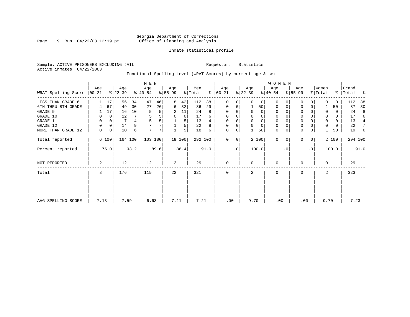#### Georgia Department of Corrections Page 9 Run 04/22/03 12:19 pm Office of Planning and Analysis

#### Inmate statistical profile

Sample: ACTIVE PRISONERS EXCLUDING JAIL **Requestor:** Statistics Active inmates 04/22/2003

Functional Spelling Level (WRAT Scores) by current age & sex

|                             |      |       |                  |         | M E N            |      |                  |        |                |      |                    |    |                  |          | <b>WOMEN</b>     |          |                  |           |                  |       |                    |      |
|-----------------------------|------|-------|------------------|---------|------------------|------|------------------|--------|----------------|------|--------------------|----|------------------|----------|------------------|----------|------------------|-----------|------------------|-------|--------------------|------|
| WRAT Spelling Score   00-21 | Age  |       | Age<br>$ 22-39 $ |         | Age<br>$8 40-54$ |      | Age<br>$8 55-99$ |        | Men<br>% Total | ∻    | Age<br>$ 00 - 21 $ |    | Age<br>$ 22-39 $ |          | Age<br>$ 40-54 $ |          | Age<br>$8 55-99$ |           | Women<br>% Total |       | Grand<br>%   Total | ႜ    |
| LESS THAN GRADE 6           |      | 17    | 56               | 34      | 47               | 46   | 8                | 42     | 112            | 38   | $\mathbf{0}$       | 0  | $\Omega$         | 0        | $\mathbf 0$      | $\Omega$ | $\Omega$         | $\Omega$  | <sup>0</sup>     | 0     | 112                | 38   |
| 6TH THRU 8TH GRADE          | 4    | 67    | 49               | 30      | 27               | 26   | 6                | 32     | 86             | 29   | 0                  | 0  |                  | 50       | $\mathbf 0$      | 0        | 0                | 0         |                  | 50    | 87                 | 30   |
| GRADE 9                     |      | 17    | 16               | 10      |                  |      | 2                | 11     | 24             | 8    | 0                  |    |                  | 0        | 0                |          | $\Omega$         |           | $\Omega$         | 0     | 24                 | 8    |
| GRADE 10                    | 0    | 0     | 12               |         |                  |      | 0                | 0      | 17             | 6    | 0                  |    | $\mathbf 0$      | 0        | $\mathbf 0$      |          | 0                |           | $\Omega$         | 0     | 17                 | 6    |
| GRADE 11                    | 0    |       |                  |         |                  |      |                  | 5      | 13             | 4    | 0                  |    |                  | $\Omega$ | 0                |          | $\Omega$         |           |                  | 0     | 13                 | 4    |
| GRADE 12                    | 0    | 0     | 14               | 9       |                  |      |                  | 5      | 22             | 8    | 0                  |    | $\Omega$         | $\Omega$ | $\mathbf 0$      |          | 0                |           |                  | 0     | 22                 | 7    |
| MORE THAN GRADE 12          | 0    | 0     | 10               | 6       | 7                | 7    |                  | 5      | 18             | 6    | 0                  | 0  |                  | 50       | $\mathbf 0$      | 0        | $\mathbf 0$      | 0         |                  | 50    | 19                 | -6   |
| Total reported              |      | 6 100 |                  | 164 100 | 103 100          |      |                  | 19 100 | 292 100        |      | $\Omega$           | 0  |                  | 2 100    | $\Omega$         | $\Omega$ | $\Omega$         | 0         |                  | 2 100 | 294 100            |      |
| Percent reported            |      | 75.0  |                  | 93.2    |                  | 89.6 |                  | 86.4   |                | 91.0 |                    | .0 |                  | 100.0    |                  | . 0      |                  | $\cdot$ 0 |                  | 100.0 |                    | 91.0 |
| <b>NOT REPORTED</b>         | 2    |       | 12               |         | 12               |      | 3                |        | 29             |      | $\mathbf 0$        |    | $\Omega$         |          | $\mathbf 0$      |          | $\Omega$         |           | $\Omega$         |       | 29                 |      |
| Total                       | 8    |       | 176              |         | 115              |      | 22               |        | 321            |      | $\mathbf{0}$       |    | 2                |          | $\mathbf 0$      |          | 0                |           | 2                |       | 323                |      |
|                             |      |       |                  |         |                  |      |                  |        |                |      |                    |    |                  |          |                  |          |                  |           |                  |       |                    |      |
| AVG SPELLING SCORE          | 7.13 |       | 7.59             |         | 6.63             |      | 7.11             |        | 7.21           |      | .00                |    | 9.70             |          | .00              |          | .00              |           | 9.70             |       | 7.23               |      |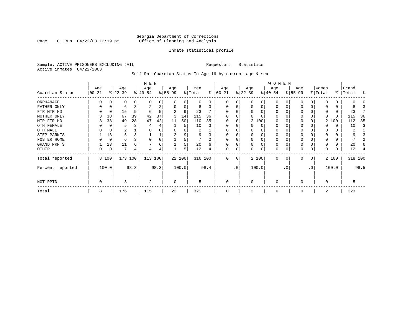Page 10 Run  $04/22/03$  12:19 pm

#### Inmate statistical profile

Sample: ACTIVE PRISONERS EXCLUDING JAIL **Requestor:** Statistics Active inmates 04/22/2003

Self-Rpt Guardian Status To Age 16 by current age & sex

|                  | M E N             |       |                  |      |                  |      |                  |        |                |              |                  |           |                 |          | WOMEN            |           |                  |              |                  |          |                |         |
|------------------|-------------------|-------|------------------|------|------------------|------|------------------|--------|----------------|--------------|------------------|-----------|-----------------|----------|------------------|-----------|------------------|--------------|------------------|----------|----------------|---------|
| Guardian Status  | Age<br>$ 00 - 21$ |       | Age<br>$ 22-39 $ |      | Age<br>$ 40-54 $ |      | Age<br>$8 55-99$ |        | Men<br>% Total | ⊱            | Age<br>$ 00-21 $ |           | Age<br>$ 22-39$ |          | Age<br>$ 40-54 $ |           | Age<br>$ 55-99 $ |              | Women<br>% Total | ွေ       | Grand<br>Total | ႜ       |
| ORPHANAGE        |                   |       | O                |      | n                | 0    |                  |        | 0              | <sup>n</sup> | O                | 0         |                 | O        | 0                |           |                  |              | U                | 0        |                |         |
| FATHER ONLY      |                   |       | 6                |      | 2                | 2    |                  | 0      | 8              |              | $\Omega$         | 0         |                 | $\Omega$ | $\Omega$         |           |                  | 0            |                  | 0        |                |         |
| FTR MTR HD       |                   |       | 15               | 9    | 6                | 5    |                  | 9      | 23             |              |                  |           |                 |          | O                |           |                  |              | 0                | 0        | 23             |         |
| MOTHER ONLY      |                   | 38    | 67               | 39   | 42               | 37   |                  | 14     | 115            | 36           |                  |           |                 |          | O                |           |                  |              | 0                | $\Omega$ | 115            | 36      |
| MTR FTR HD       |                   | 38    | 49               | 28   | 47               | 42   | 11               | 50     | 110            | 35           | $\Omega$         | 0         |                 | 2 100    | 0                |           |                  |              |                  | 2 100    | 112            | 35      |
| OTH FEMALE       |                   |       |                  |      |                  |      |                  | 5      | 10             |              | 0                |           |                 | 0        | 0                |           | 0                |              |                  | 0        | 10             |         |
| OTH MALE         |                   |       | 2                |      |                  |      |                  |        | 2              |              | 0                |           |                 |          | 0                |           |                  |              | 0                | 0        | 2              |         |
| STEP-PARNTS      |                   | 13    |                  |      |                  | ⊥    | 2                | 9      | 9              |              | $\Omega$         | 0         |                 | $\Omega$ | 0                |           | $\Omega$         |              | 0                | 0        |                |         |
| FOSTER HOME      |                   | 0     | 6                |      |                  | 0    |                  |        |                | $\Omega$     | $\Omega$         | N         |                 | $\Omega$ | 0                |           |                  |              | $\Omega$         | 0        |                |         |
| GRAND PRNTS      |                   | 13    | 11               | 6    |                  | 6    |                  | 5      | 20             | 6            | $\Omega$         | 0         |                 | $\Omega$ | 0                |           |                  |              |                  | $\Omega$ | 20             |         |
| OTHER            | 0                 | 0     | 7                | 4    | $\overline{4}$   | 4    |                  | 5      | 12             |              | $\mathbf 0$      | 0         |                 | $\Omega$ | 0                |           |                  | 0            |                  | 0        | 12             |         |
| Total reported   |                   | 8 100 | 173 100          |      | 113 100          |      |                  | 22 100 | 316 100        |              | $\Omega$         | 0         |                 | 2 100    | $\Omega$         | 0         | $\Omega$         | $\mathbf{0}$ |                  | 2 100    |                | 318 100 |
| Percent reported |                   | 100.0 |                  | 98.3 |                  | 98.3 |                  | 100.0  |                | 98.4         |                  | $\cdot$ 0 |                 | 100.0    |                  | $\cdot$ 0 |                  | .0'          |                  | 100.0    |                | 98.5    |
| NOT RPTD         | 0                 |       | 3                |      | 2                |      | 0                |        | 5              |              | $\mathbf 0$      |           | $\Omega$        |          | 0                |           | $\Omega$         |              | 0                |          | 5              |         |
| Total            | 8                 |       | 176              |      | 115              |      | 22               |        | 321            |              |                  |           |                 |          | $\Omega$         |           |                  |              | 2                |          | 323            |         |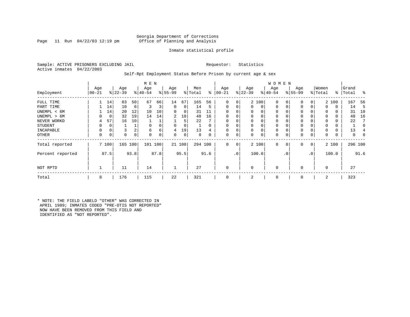Page 11 Run  $04/22/03$  12:19 pm

### Inmate statistical profile

Sample: ACTIVE PRISONERS EXCLUDING JAIL **Requestor:** Statistics Active inmates 04/22/2003

Self-Rpt Employment Status Before Prison by current age & sex

|                  |                 |       |                  |      | M E N           |      |                 |        |                |          |                  |     |                  |             | W O M E N        |                |                    |     |                  |       |                |         |
|------------------|-----------------|-------|------------------|------|-----------------|------|-----------------|--------|----------------|----------|------------------|-----|------------------|-------------|------------------|----------------|--------------------|-----|------------------|-------|----------------|---------|
| Employment       | Age<br>$ 00-21$ |       | Age<br>$ 22-39 $ |      | Age<br>$ 40-54$ |      | Age<br>$ 55-99$ |        | Men<br>% Total | ွေ       | Age<br>$00 - 21$ |     | Age<br>$ 22-39 $ |             | Age<br>$8 40-54$ |                | Age<br>$8155 - 99$ |     | Women<br>% Total | ႜ     | Grand<br>Total | ွေ      |
| FULL TIME        |                 | 14    | 83               | 50   | 67              | 66   | 14              | 67     | 165            | 56       | $\mathbf 0$      | 0   |                  | 2 100       | $\mathbf 0$      |                | $\mathbf 0$        | 0   |                  | 2 100 | 167            | 56      |
| PART TIME        |                 | 14    | 10               | 6    | 3               | 3    | $\mathbf 0$     | 0      | 14             | 5        | $\mathbf 0$      | 0   | $\Omega$         | $\mathbf 0$ | $\mathbf 0$      |                | 0                  | 0   | $\Omega$         | 0     | 14             |         |
| UNEMPL < 6M      |                 | 14    | 20               | 12   | 10              | 10   | 0               | 0      | 31             | 11       | $\mathbf 0$      |     |                  | $\Omega$    | 0                |                | 0                  |     | 0                | 0     | 31             | 10      |
| UNEMPL > 6M      | 0               | 0     | 32               | 19   | 14              | 14   | $\overline{2}$  | 10     | 48             | 16       | $\Omega$         |     | $\Omega$         | $\Omega$    | $\Omega$         |                | $\Omega$           |     | $\Omega$         | 0     | 48             | 16      |
| NEVER WORKD      | 4               | 57    | 16               | 10   |                 |      |                 | 5      | 22             |          | 0                |     |                  | $\Omega$    | 0                |                | 0                  |     |                  | 0     | 22             |         |
| <b>STUDENT</b>   | 0               | 0     |                  |      | $\Omega$        |      | $\Omega$        | 0      |                | $\Omega$ | 0                | 0   | $\Omega$         | $\Omega$    | 0                |                | 0                  |     | $\Omega$         | 0     |                |         |
| INCAPABLE        | 0               |       | 3                | 2    | 6               | 6    | 4               | 19     | 13             | 4        | $\mathbf 0$      | 0   | 0                | $\Omega$    | 0                |                | 0                  |     |                  | 0     | 13             |         |
| <b>OTHER</b>     | 0               | 0     | 0                | 0    | $\Omega$        | 0    | 0               | 0      | 0              | 0        | 0                | 0   | $\Omega$         | 0           | 0                |                | 0                  | 0   | $\Omega$         | 0     | 0              |         |
| Total reported   |                 | 7 100 | 165              | 100  | 101 100         |      |                 | 21 100 | 294 100        |          | 0                | 0   |                  | 2 100       | $\mathbf 0$      | 0 <sup>1</sup> | 0                  | 0   |                  | 2 100 |                | 296 100 |
| Percent reported |                 | 87.5  |                  | 93.8 |                 | 87.8 |                 | 95.5   |                | 91.6     |                  | .0' |                  | 100.0       |                  | $\cdot$ 0      |                    | .0' |                  | 100.0 |                | 91.6    |
| NOT RPTD         |                 |       | 11               |      | 14              |      |                 |        | 27             |          | $\mathbf{0}$     |     |                  |             | 0                |                |                    |     | $\Omega$         |       | 27             |         |
| Total            | 8               |       | 176              |      | 115             |      | 22              |        | 321            |          | $\mathbf 0$      |     | 2                |             | 0                |                | $\mathbf 0$        |     | 2                |       | 323            |         |

\* NOTE: THE FIELD LABELD "OTHER" WAS CORRECTED IN APRIL 1989; INMATES CODED "PRE-OTIS NOT REPORTED" NOW HAVE BEEN REMOVED FROM THIS FIELD AND IDENTIFIED AS "NOT REPORTED".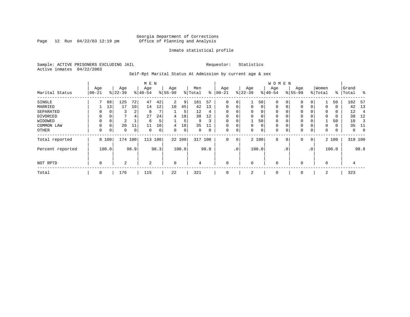Page 12 Run  $04/22/03$  12:19 pm

#### Inmate statistical profile

Sample: ACTIVE PRISONERS EXCLUDING JAIL **Requestor:** Statistics Active inmates 04/22/2003

Self-Rpt Marital Status At Admission by current age & sex

|                  |          |          |           |      | M E N          |      |                |       |         |      |              |     |             |          | <b>WOMEN</b> |                |             |                 |          |       |         |             |
|------------------|----------|----------|-----------|------|----------------|------|----------------|-------|---------|------|--------------|-----|-------------|----------|--------------|----------------|-------------|-----------------|----------|-------|---------|-------------|
|                  | Age      |          | Age       |      | Age            |      | Age            |       | Men     |      | Age          |     | Age         |          | Age          |                | Age         |                 | Women    |       | Grand   |             |
| Marital Status   | $ 00-21$ |          | $ 22-39 $ |      | $8 40-54$      |      | $8 55-99$      |       | % Total | ွေ   | $00 - 21$    |     | $ 22-39$    |          | $ 40-54 $    |                | $8 55-99$   |                 | % Total  | ႜ     | Total   | ွေ          |
| SINGLE           |          | 88       | 125       | 72   | 47             | 42   | $\overline{2}$ | 9     | 181     | 57   | 0            | 0   |             | 50       | 0            | $\Omega$       | 0           | 0               |          | 50    | 182     | - 57        |
| MARRIED          |          | 13       | 17        | 10   | 14             | 12   | 10             | 45    | 42      | 13   | $\mathbf{0}$ | 0   | $\mathbf 0$ | $\Omega$ | 0            | 0              | 0           | $\Omega$        | 0        | 0     | 42      | - 13        |
| SEPARATED        | 0        | $\Omega$ | 3         | 2    | 8              |      |                | 5     | 12      | 4    | $\Omega$     | 0   | $\Omega$    | $\Omega$ | 0            |                | 0           |                 | $\Omega$ | 0     | 12      | 4           |
| DIVORCED         | 0        | 0        |           | 4    | 27             | 24   | 4              | 18    | 38      | 12   | 0            | 0   | $\Omega$    | 0        | 0            |                | 0           |                 | $\Omega$ | 0     | 38      | 12          |
| WIDOWED          |          | 0        | 2         |      | 6              | 5    |                | 5     | 9       | 3    | 0            | 0   |             | 50       | 0            |                | 0           |                 |          | 50    | 10      |             |
| COMMON LAW       | 0        | $\Omega$ | 20        | 11   | 11             | 10   | 4              | 18    | 35      |      |              | 0   | $\Omega$    | 0        | $\mathbf 0$  |                | 0           |                 | $\Omega$ | 0     | 35      | 11          |
| OTHER            | 0        | 0        | 0         | 0    | 0              | 0    | 0              | 0     | 0       | 0    | $\mathbf 0$  | 0   | $\Omega$    | 0        | 0            |                | $\mathbf 0$ | 0               | 0        | 0     | 0       | $\mathbf 0$ |
| Total reported   |          | 8 100    | 174       | 100  | 113            | 100  | 22 100         |       | 317     | 100  | $\mathbf{0}$ | 0   |             | 2 100    | 0            | $\overline{0}$ | $\mathbf 0$ | 0               |          | 2 100 | 319 100 |             |
| Percent reported |          | 100.0    |           | 98.9 |                | 98.3 |                | 100.0 |         | 98.8 |              | .0' |             | 100.0    |              | $\cdot$ 0      |             | .0 <sup>′</sup> |          | 100.0 |         | 98.8        |
| NOT RPTD         | 0        |          | 2         |      | $\overline{2}$ |      | $\mathbf 0$    |       | 4       |      | $\mathbf 0$  |     | $\Omega$    |          | 0            |                | 0           |                 | $\Omega$ |       | 4       |             |
| Total            | 8        |          | 176       |      | 115            |      | 22             |       | 321     |      | 0            |     | 2           |          | 0            |                | 0           |                 | 2        |       | 323     |             |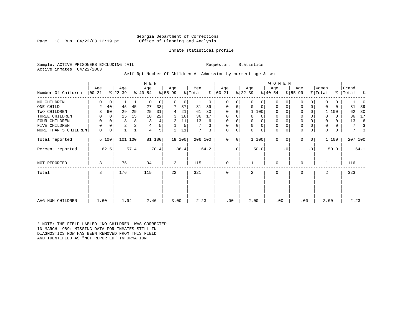Page 13 Run  $04/22/03$  12:19 pm

#### Inmate statistical profile

Sample: ACTIVE PRISONERS EXCLUDING JAIL **Requestor:** Statistics Active inmates 04/22/2003

Self-Rpt Number Of Children At Admission by current age & sex

|                      |          |             |                |      | M E N     |        |           |        |         |          |               |           |           |             | <b>WOMEN</b> |           |             |           |          |          |           |      |
|----------------------|----------|-------------|----------------|------|-----------|--------|-----------|--------|---------|----------|---------------|-----------|-----------|-------------|--------------|-----------|-------------|-----------|----------|----------|-----------|------|
|                      | Age      |             | Age            |      | Age       |        | Age       |        | Men     |          | Age           |           | Age       |             | Age          |           | Age         |           | Women    |          | Grand     |      |
| Number Of Children   | $ 00-21$ |             | $ 22-39 $      |      | $ 40-54 $ |        | $8 55-99$ |        | % Total |          | $8   00 - 21$ |           | $ 22-39 $ |             | $8 40-54$    |           | $ 55-99 $   |           | % Total  |          | %   Total | ႜ    |
| NO CHILDREN          | U        | $\mathbf 0$ |                |      | $\Omega$  | 0      | $\Omega$  | 0      |         | $\Omega$ | 0             | 0         | 0         | 0           | $\Omega$     |           | $\Omega$    | 0         | 0        | 0        |           |      |
| ONE CHILD            | 2        | 40          | 45             | 45   | 27        | 33     |           | 37     | 81      | 39       | 0             | 0         | $\Omega$  | 0           | $\Omega$     | O         | 0           | 0         | $\Omega$ | $\Omega$ | 81        | 39   |
| TWO CHILDREN         | 3        | 60          | 29             | 29   | 25        | 31     | 4         | 21     | 61      | 30       | $\Omega$      | $\Omega$  |           | 1 100       | $\Omega$     |           | $\Omega$    |           |          | 1 100    | 62        | 30   |
| THREE CHILDREN       | 0        | $\Omega$    | 15             | 15   | 18        | 22     | 3         | 16     | 36      | 17       | $\Omega$      | 0         | 0         | $\Omega$    | 0            |           | $\mathbf 0$ |           |          | $\Omega$ | 36        | 17   |
| FOUR CHILDREN        | 0        | 0           | 8              | 8    |           | 4      | 2         | 11     | 13      | 6        | 0             | 0         | U         | $\mathbf 0$ | $\mathbf 0$  |           | $\mathbf 0$ |           | 0        | 0        | 13        | 6    |
| FIVE CHILDREN        | 0        | $\Omega$    | $\overline{2}$ |      |           | 5      |           | 5      |         | 3        | 0             | 0         | 0         | $\mathbf 0$ | 0            |           | $\mathbf 0$ |           | 0        | 0        | 7         |      |
| MORE THAN 5 CHILDREN | 0        | 0           |                |      | 4         | 5      | 2         | 11     | 7       | 3        | 0             | 0         | 0         | 0           | $\mathbf 0$  |           | $\mathbf 0$ | 0         | 0        | 0        | 7         |      |
| Total reported       |          | 5 100       | 101            | 100  |           | 81 100 |           | 19 100 | 206 100 |          | $\Omega$      | 0         |           | 1 100       | $\Omega$     | $\Omega$  | $\Omega$    | 0         |          | 1 100    | 207 100   |      |
| Percent reported     |          | 62.5        |                | 57.4 |           | 70.4   |           | 86.4   |         | 64.2     |               | $\cdot$ 0 |           | 50.0        |              | $\cdot$ 0 |             | $\cdot$ 0 |          | 50.0     |           | 64.1 |
| NOT REPORTED         | 3        |             | 75             |      | 34        |        | 3         |        | 115     |          | $\mathbf 0$   |           |           |             | $\Omega$     |           | 0           |           |          |          | 116       |      |
| Total                | 8        |             | 176            |      | 115       |        | 22        |        | 321     |          | 0             |           | 2         |             | $\mathbf 0$  |           | 0           |           | 2        |          | 323       |      |
|                      |          |             |                |      |           |        |           |        |         |          |               |           |           |             |              |           |             |           |          |          |           |      |
|                      |          |             |                |      |           |        |           |        |         |          |               |           |           |             |              |           |             |           |          |          |           |      |
| AVG NUM CHILDREN     | 1.60     |             | 1.94           |      | 2.46      |        | 3.00      |        | 2.23    |          | .00           |           | 2.00      |             | .00          |           | .00         |           | 2.00     |          | 2.23      |      |

\* NOTE: THE FIELD LABLED "NO CHILDREN" WAS CORRECTED IN MARCH 1989: MISSING DATA FOR INMATES STILL IN DIAGNOSTICS NOW HAS BEEN REMOVED FROM THIS FIELD AND IDENTIFIED AS "NOT REPORTED" INFORMATION.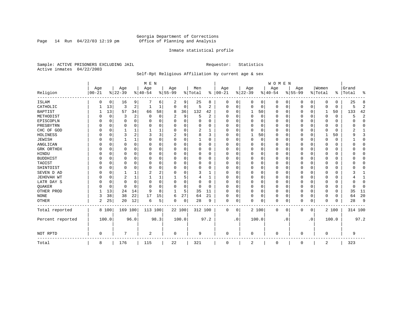Page 14 Run  $04/22/03$  12:19 pm

#### Inmate statistical profile

Sample: ACTIVE PRISONERS EXCLUDING JAIL **Requestor:** Statistics Active inmates 04/22/2003

### Self-Rpt Religious Affiliation by current age & sex

|                  |           |             |          |          | M E N          |          |           |    |          |          |            |           |             |       | <b>WOMEN</b> |           |          |             |             |          |           |                |
|------------------|-----------|-------------|----------|----------|----------------|----------|-----------|----|----------|----------|------------|-----------|-------------|-------|--------------|-----------|----------|-------------|-------------|----------|-----------|----------------|
|                  | Age       |             | Age      |          | Age            |          | Age       |    | Men      |          | Age        |           | Age         |       | Age          |           | Age      |             | Women       |          | Grand     |                |
| Religion         | $00 - 21$ |             | $ 22-39$ |          | $ 40-54$       |          | $8 55-99$ |    | % Total  | ွေ       | $ 00 - 21$ |           | $ 22-39$    |       | $ 40-54$     |           | $ 55-99$ |             | % Total     |          | %   Total | ႜ              |
| ISLAM            | 0         | 0           | 16       | 9        |                | 6        | 2         | 9  | 25       | 8        | $\Omega$   | 0         | $\Omega$    | 0     | $\Omega$     | 0         | 0        | 0           | $\Omega$    | $\Omega$ | 25        | 8              |
| CATHOLIC         |           | 13          | 3        | 2        |                | 1        | $\Omega$  | 0  | 5        | 2        | $\Omega$   | $\Omega$  | $\mathbf 0$ | 0     | $\Omega$     | 0         | 0        | 0           | $\Omega$    | $\Omega$ | 5         | $\overline{2}$ |
| <b>BAPTIST</b>   |           | 13          | 57       | 34       | 66             | 58       | 8         | 36 | 132      | 42       | O          | $\Omega$  | 1           | 50    | $\Omega$     | 0         | 0        | $\Omega$    | 1           | 50       | 133       | 42             |
| METHODIST        |           | 0           | 3        | 2        | 0              | 0        | 2         | 9  | 5        | 2        | $\Omega$   | $\Omega$  | $\Omega$    | 0     | $\Omega$     | $\Omega$  | 0        | $\Omega$    | $\Omega$    | $\Omega$ | 5         | $\overline{2}$ |
| EPISCOPLN        |           | $\mathbf 0$ | 0        | $\Omega$ | $\Omega$       | 0        | U         | 0  | 0        | $\Omega$ | $\Omega$   | $\Omega$  | $\Omega$    | 0     | $\Omega$     | $\Omega$  | 0        | 0           | $\Omega$    | $\Omega$ | U         | $\mathbf 0$    |
| PRESBYTRN        |           | $\Omega$    | U        | $\Omega$ | $\Omega$       | 0        | U         | O  | $\Omega$ | O        | O          | $\Omega$  | $\Omega$    | 0     | O            | $\Omega$  | 0        | $\Omega$    | $\Omega$    | $\Omega$ | O         | $\Omega$       |
| CHC OF GOD       |           | $\Omega$    |          | 1        |                |          | 0         | 0  | 2        | -1       | $\Omega$   | $\Omega$  | $\Omega$    | 0     | $\Omega$     | $\Omega$  | $\Omega$ | $\Omega$    | $\Omega$    | $\Omega$ | 2         | 1              |
| HOLINESS         |           | $\mathbf 0$ | 3        | 2        | 3              | 3        |           | 9  | 8        | 3        | $\Omega$   | $\Omega$  | -1          | 50    | $\Omega$     | $\Omega$  | 0        | $\Omega$    |             | 50       | 9         | 3              |
| <b>JEWISH</b>    |           | 0           |          | 1        | $\Omega$       | 0        | $\Omega$  | 0  |          | O        | $\Omega$   |           | $\Omega$    | 0     | $\Omega$     | $\Omega$  | 0        | $\Omega$    | $\Omega$    | $\Omega$ |           | $\mathbf 0$    |
| ANGLICAN         |           | 0           | 0        | $\Omega$ | 0              | 0        | U         | 0  | 0        | 0        | $\Omega$   | ∩         | 0           | 0     | $\Omega$     | 0         | 0        | 0           | $\Omega$    | 0        |           | $\mathbf 0$    |
| GRK ORTHDX       |           | $\Omega$    | U        | $\Omega$ | $\Omega$       | 0        | U         | O  | $\Omega$ | $\Omega$ | $\Omega$   | $\Omega$  | 0           | 0     | $\Omega$     | 0         | 0        | $\Omega$    | $\Omega$    | 0        |           | $\Omega$       |
| HINDU            |           | $\Omega$    | U        | $\Omega$ | $\Omega$       | $\Omega$ | U         | O  | $\Omega$ | $\Omega$ | $\Omega$   | $\Omega$  | $\Omega$    | 0     | $\Omega$     | $\Omega$  | 0        | $\Omega$    | $\Omega$    | $\Omega$ |           | $\Omega$       |
| <b>BUDDHIST</b>  |           | 0           | U        | $\Omega$ | $\Omega$       | $\Omega$ | U         | 0  | $\Omega$ | 0        | $\Omega$   | $\Omega$  | 0           | 0     | $\Omega$     | $\Omega$  | 0        | $\Omega$    | $\Omega$    | $\Omega$ |           | $\Omega$       |
| TAOIST           |           | $\Omega$    |          | $\Omega$ | $\Omega$       | 0        | U         | O  | 0        | O        | O          | $\Omega$  | $\Omega$    | 0     | $\Omega$     | 0         | 0        | $\Omega$    | $\Omega$    | $\Omega$ |           | $\Omega$       |
| SHINTOIST        |           | $\Omega$    | U        | $\Omega$ | $\mathbf 0$    | $\Omega$ | U         | O  | $\Omega$ | O        | O          | $\Omega$  | $\Omega$    | 0     | O            | $\Omega$  | 0        | $\Omega$    | $\Omega$    | $\Omega$ |           | $\Omega$       |
| SEVEN D AD       |           | $\Omega$    |          | 1        | 2              | 2        | U         | O  | ζ        |          | O          | $\Omega$  | $\Omega$    | O     | $\Omega$     | $\Omega$  | 0        | $\Omega$    | $\Omega$    | $\Omega$ |           |                |
| JEHOVAH WT       |           | $\mathbf 0$ | 2        | 1        |                | 1        |           | 5  |          | 1        | $\Omega$   | $\Omega$  | $\Omega$    | 0     | $\Omega$     | $\Omega$  | $\Omega$ | $\Omega$    | $\Omega$    | $\Omega$ |           | $\mathbf{1}$   |
| LATR DAY S       |           | $\Omega$    | 0        | $\Omega$ | $\Omega$       | $\Omega$ | U         | 0  | 0        | O        | $\Omega$   | $\Omega$  | 0           | 0     | $\Omega$     | $\Omega$  | 0        | $\Omega$    | $\Omega$    | $\Omega$ |           | $\Omega$       |
| QUAKER           |           | 0           | 0        | $\Omega$ | $\Omega$       | $\Omega$ | U         | 0  | 0        | $\Omega$ | ∩          | $\Omega$  | $\Omega$    | 0     | $\Omega$     | 0         | 0        | 0           | $\Omega$    | 0        | U         | 0              |
| OTHER PROD       |           | 13          | 24       | 14       | 9              | 8        | -1        | 5  | 35       | 11       | $\Omega$   | $\Omega$  | $\Omega$    | 0     | $\Omega$     | $\Omega$  | 0        | $\Omega$    | $\Omega$    | $\Omega$ | 35        | 11             |
| <b>NONE</b>      | 3         | 38          | 38       | 22       | 17             | 15       | 6         | 27 | 64       | 21       | $\Omega$   | $\Omega$  | $\Omega$    | 0     | $\Omega$     | 0         | $\Omega$ | $\Omega$    | $\Omega$    | $\Omega$ | 64        | 20             |
| OTHER            | 2         | 25          | 20       | 12       | 6              | 5        | 0         | 0  | 28       | 9        | 0          | 0         | $\Omega$    | 0     | $\Omega$     | 0         | $\Omega$ | 0           | $\Omega$    | $\Omega$ | 28        | 9              |
| Total reported   |           | 8 100       | 169 100  |          | 113 100        |          | 22 100    |    | 312 100  |          | 0          | 0         |             | 2 100 | $\Omega$     | 0         | 0        | $\mathbf 0$ |             | 2 100    | 314 100   |                |
| Percent reported |           | 100.0       |          | 96.0     |                | 98.3     | 100.0     |    |          | 97.2     |            | $\cdot$ 0 |             | 100.0 |              | $\cdot$ 0 |          | . 0         |             | 100.0    |           | 97.2           |
| NOT RPTD         | $\Omega$  |             | 7        |          | $\overline{2}$ |          | 0         |    | 9        |          | $\Omega$   |           | 0           |       | $\Omega$     |           | O        |             | $\mathbf 0$ |          | 9         |                |
| Total            | 8         |             | 176      |          | 115            |          | 22        |    | 321      |          | 0          |           | 2           |       | 0            |           | 0        |             | 2           |          | 323       |                |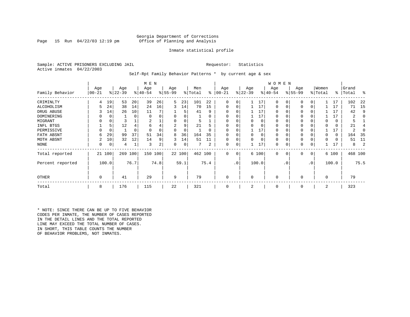Page 15 Run  $04/22/03$  12:19 pm

#### Inmate statistical profile

Sample: ACTIVE PRISONERS EXCLUDING JAIL **Requestor:** Statistics Active inmates 04/22/2003

Self-Rpt Family Behavior Patterns \* by current age & sex

|                  |                 |             |                  |          | M E N            |      |                 |        |                |          |                  |                 |                  |          | W O M E N       |           |                 |     |                  |       |                |      |
|------------------|-----------------|-------------|------------------|----------|------------------|------|-----------------|--------|----------------|----------|------------------|-----------------|------------------|----------|-----------------|-----------|-----------------|-----|------------------|-------|----------------|------|
| Family Behavior  | Age<br>$ 00-21$ |             | Age<br>$ 22-39 $ |          | Age<br>$ 40-54 $ |      | Age<br>$ 55-99$ |        | Men<br>% Total | ႜ        | Age<br>$00 - 21$ |                 | Age<br>$ 22-39 $ |          | Age<br>$ 40-54$ |           | Age<br>$ 55-99$ |     | Women<br>% Total | ∻     | Grand<br>Total | ႜ    |
| CRIMINLTY        | 4               | 19          | 53               | 20       | 39               | 26   | 5               | 23     | 101            | 22       | $\Omega$         | 0               |                  | 17       | $\Omega$        | 0         | $\Omega$        | 0   |                  | 17    | 102            | 22   |
| ALCOHOLISM       |                 | 24          | 38               | 14       | 24               | 16   | 3               | 14     | 70             | 15       | 0                | 0               |                  | 17       | 0               |           | $\Omega$        | 0   |                  | 17    | 71             | -15  |
| DRUG ABUSE       |                 | 14          | 26               | 10       | 11               |      |                 | 5      | 41             | 9        |                  |                 |                  | 17       | U               |           |                 |     |                  | 17    | 42             | q    |
| DOMINERING       |                 | $\Omega$    |                  | 0        | $\Omega$         |      |                 |        |                | O        |                  |                 |                  | 17       | <sup>0</sup>    |           |                 |     |                  | 17    | 2              |      |
| MIGRANT          |                 | 0           |                  |          |                  |      |                 |        |                |          |                  |                 |                  | 0        | 0               |           | $\Omega$        |     |                  | 0     |                |      |
| INFL BTGS        |                 | 5           | 12               |          | 6                | 4    |                 | 9      | 21             | h        |                  |                 |                  | $\Omega$ | 0               |           | $\Omega$        |     |                  | 0     | 21             |      |
| PERMISSIVE       | 0               | $\mathbf 0$ |                  | $\Omega$ | $\Omega$         |      | $\Omega$        | 0      |                | $\Omega$ | $\Omega$         | U               |                  | 17       | 0               |           | $\Omega$        |     |                  | 17    | 2              |      |
| FATH ABSNT       | 6               | 29          | 99               | 37       | 51               | 34   | 8               | 36     | 164            | 35       |                  |                 |                  | $\Omega$ | 0               |           |                 |     |                  | 0     | 164            | -35  |
| MOTH ABSNT       |                 | 10          | 32               | 12       | 14               | 9    | 3               | 14     | 51             | 11       | 0                | 0               |                  | $\Omega$ | 0               |           | $\Omega$        |     |                  | 0     | 51             | -11  |
| NONE             | 0               | 0           | 4                |          | 3                | 2    | 0               | 0      |                | 2        | 0                | 0               |                  | 17       | 0               |           | 0               |     |                  | 17    | 8              |      |
| Total reported   |                 | 21 100      | 269              | 100      | 150 100          |      |                 | 22 100 | 462 100        |          | 0                | 0               |                  | 6 100    | $\mathbf{0}$    | 0         | 0               | 0   |                  | 6 100 | 468 100        |      |
| Percent reported |                 | 100.0       |                  | 76.7     |                  | 74.8 |                 | 59.1   |                | 75.4     |                  | .0 <sup>1</sup> |                  | 100.0    |                 | $\cdot$ 0 |                 | .0' |                  | 100.0 |                | 75.5 |
| <b>OTHER</b>     | 0               |             | 41               |          | 29               |      | 9               |        | 79             |          | 0                |                 | $\Omega$         |          | $\Omega$        |           | $\Omega$        |     | $\Omega$         |       | 79             |      |
| Total            | 8               |             | 176              |          | 115              |      | 22              |        | 321            |          | 0                |                 | 2                |          | 0               |           | 0               |     | 2                |       | 323            |      |

\* NOTE: SINCE THERE CAN BE UP TO FIVE BEHAVIOR CODES PER INMATE, THE NUMBER OF CASES REPORTED IN THE DETAIL LINES AND THE TOTAL REPORTED LINE MAY EXCEED THE TOTAL NUMBER OF CASES. IN SHORT, THIS TABLE COUNTS THE NUMBER OF BEHAVIOR PROBLEMS, NOT INMATES.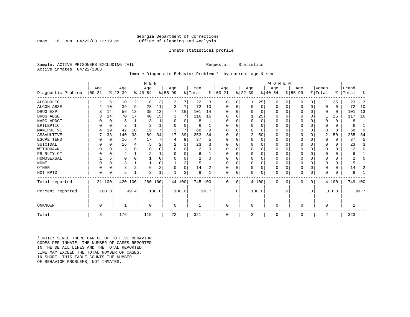Page 16 Run  $04/22/03$  12:19 pm

#### Inmate statistical profile

Sample: ACTIVE PRISONERS EXCLUDING JAIL **Requestor:** Statistics Active inmates 04/22/2003

#### Inmate Diagnostic Behavior Problem \* by current age & sex

|                    |            |          |           |                | M E N     |                |          |          |                |          |           |           |             |          | <b>WOMEN</b> |           |           |             |          |          |           |              |
|--------------------|------------|----------|-----------|----------------|-----------|----------------|----------|----------|----------------|----------|-----------|-----------|-------------|----------|--------------|-----------|-----------|-------------|----------|----------|-----------|--------------|
|                    | Age        |          | Age       |                | Age       |                | Age      |          | Men            |          | Age       |           | Age         |          | Age          |           | Age       |             | Women    |          | Grand     |              |
| Diagnostic Problem | $ 00 - 21$ |          | $ 22-39 $ |                | $8 40-54$ |                | $ 55-99$ |          | % Total        | ွေ       | $ 00-21 $ |           | $ 22-39 $   |          | $ 40-54 $    |           | $ 55-99 $ |             | % Total  |          | %   Total | ႜ            |
| ALCOHOLIC          |            | 5        | 10        | 2              | 8         | 3              | 3        |          | 22             | 3        | 0         | 0         |             | 25       | 0            | 0         | 0         | $\Omega$    |          | 25       | 23        | 3            |
| <b>ALCOH ABSE</b>  |            | 10       | 39        | 9              | 28        | 11             | 3        | 7        | 72             | 10       | 0         | 0         | $\mathbf 0$ | 0        | 0            | 0         | 0         | $\mathbf 0$ | $\Omega$ | $\Omega$ | 72        | 10           |
| DRUG EXP           |            | 14       | 56        | 13             | 35        | 13             | 7        | 16       | 101            | 14       |           |           | $\Omega$    | 0        | $\Omega$     | 0         | 0         | $\Omega$    | $\Omega$ | 0        | 101       | 13           |
| DRUG ABSE          |            | 14       | 70        | 17             | 40        | 15             | 3        | 7        | 116            | 16       | U         |           |             | 25       | 0            | 0         | 0         | $\Omega$    |          | 25       | 117       | 16           |
| NARC ADDCT         |            | 0        | 5         | $\mathbf{1}$   | 3         |                | O        | $\Omega$ | 8              |          |           |           | $\Omega$    | $\Omega$ | $\Omega$     | $\Omega$  | U         | $\Omega$    | $\Omega$ | $\Omega$ | 8         | $\mathbf{1}$ |
| EPILEPTIC          |            | 0        | 3         |                |           |                |          | U        | 6              |          | U         |           | $\Omega$    | O        | $\Omega$     | $\Omega$  | U         | $\Omega$    | $\Omega$ | $\Omega$ | 6         |              |
| MANIPULTVE         |            | 19       | 42        | 10             | 19        |                |          | 7        | 68             | 9        |           |           | $\Omega$    | 0        | $\Omega$     | $\Omega$  | 0         | $\Omega$    | $\Omega$ | $\Omega$ | 68        | 9            |
| ASSAULTIVE         |            | 33       | 140       | 33             | 89        | 34             | 17       | 39       | 253            | 34       | U         |           | 2           | 50       | $\Omega$     | 0         | 0         | 0           | 2        | 50       | 255       | 34           |
| ESCPE TEND         |            | 0        | 16        | 4              | 17        |                |          | 9        | 37             | 5        | U         |           | $\Omega$    | 0        | $\Omega$     | $\Omega$  |           | O           | $\Omega$ | $\Omega$ | 37        | 5            |
| SUICIDAL           |            | 0        | 16        | 4              |           | 2              |          | 5        | 23             |          | ∩         |           | $\Omega$    | O        | $\Omega$     | $\Omega$  |           | O           | ∩        | $\Omega$ | 23        | 3            |
| WITHDRAWN          |            | $\Omega$ | 2         |                |           |                |          | U        | 2              |          |           |           | $\Omega$    | O        | 0            | $\Omega$  |           | O           |          | 0        |           | $\Omega$     |
| PR RLTY CT         |            | $\Omega$ |           |                |           |                |          | U        | 6              |          | $\Omega$  |           | $\Omega$    | O        | $\Omega$     | $\Omega$  |           | $\Omega$    | $\Omega$ | $\Omega$ |           |              |
| HOMOSEXUAL         |            | 5        | 0         | $\Omega$       |           |                |          | 0        | $\overline{2}$ | $\Omega$ | ∩         |           | $\Omega$    | $\Omega$ | $\Omega$     | $\Omega$  | 0         | $\Omega$    |          | U        |           | U            |
| <b>NONE</b>        |            | $\Omega$ | ς         |                |           |                |          | 2        | 5              |          | ∩         |           | $\Omega$    | O        | $\Omega$     | $\Omega$  | U         | $\Omega$    |          | 0        |           |              |
| OTHER              |            | $\Omega$ | 8         | $\overline{2}$ | 6         | $\overline{2}$ |          | 0        | 14             | 2        | U         |           | $\Omega$    | O        | 0            | $\Omega$  | 0         | $\Omega$    | $\Omega$ | $\Omega$ | 14        | 2            |
| NOT RPTD           | $\Omega$   | 0        | 5         |                | २         |                |          | 2        | 9              |          | $\Omega$  | 0         | $\mathbf 0$ | 0        | 0            | 0         | U         | 0           | $\Omega$ | $\Omega$ | 9         |              |
| Total reported     |            | 21 100   | 420       | 100            | 260 100   |                | 44 100   |          | 745 100        |          | $\Omega$  | $\Omega$  |             | 4 100    | $\Omega$     | 0         | 0         | 0           |          | 4 100    | 749 100   |              |
| Percent reported   |            | 100.0    |           | 99.4           |           | 100.0          |          | 100.0    |                | 99.7     |           | $\cdot$ 0 |             | 100.0    |              | $\cdot$ 0 |           | $\cdot$ 0   |          | 100.0    |           | 99.7         |
|                    |            |          |           |                |           |                |          |          |                |          |           |           |             |          |              |           |           |             |          |          |           |              |
| UNKNOWN            | $\Omega$   |          |           |                | $\Omega$  |                | 0        |          |                |          | $\Omega$  |           | $\mathbf 0$ |          | $\Omega$     |           | 0         |             | $\Omega$ |          |           |              |
| Total              | 8          |          | 176       |                | 115       |                | 22       |          | 321            |          | $\Omega$  |           | 2           |          | 0            |           | 0         |             | 2        |          | 323       |              |

\* NOTE: SINCE THERE CAN BE UP TO FIVE BEHAVIOR CODES PER INMATE, THE NUMBER OF CASES REPORTED IN THE DETAIL LINES AND THE TOTAL REPORTED LINE MAY EXCEED THE TOTAL NUMBER OF CASES.IN SHORT, THIS TABLE COUNTS THE NUMBER OF BEHAVIOR PROBLEMS, NOT INMATES.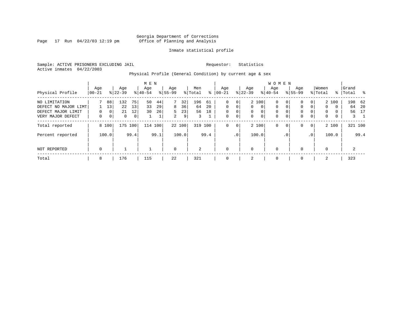Page 17 Run  $04/22/03$  12:19 pm

#### Inmate statistical profile

Sample: ACTIVE PRISONERS EXCLUDING JAIL **Requestor:** Statistics Active inmates 04/22/2003

Physical Profile (General Condition) by current age & sex

|                      |             |                |           |      | M E N     |      |                |        |                |      |             |             |           |                | W O M E N   |              |              |                 |              |          |       |             |
|----------------------|-------------|----------------|-----------|------|-----------|------|----------------|--------|----------------|------|-------------|-------------|-----------|----------------|-------------|--------------|--------------|-----------------|--------------|----------|-------|-------------|
|                      | Age         |                | Age       |      | Age       |      | Age            |        | Men            |      | Age         |             | Age       |                | Age         |              | Age          |                 | Women        |          | Grand |             |
| Physical Profile     | 00-21       |                | $8 22-39$ |      | $8 40-54$ |      | $8 55-99$      |        | % Total        | ႜ    | $ 00-21$    |             | $ 22-39 $ |                | $8 40-54$   |              | $8155 - 99$  |                 | % Total      | ႜ        | Total | ႜ           |
| NO LIMITATION        |             | 88             | 132       | 75   | 50        | 44   | 7              | 32     | 196            | 61   | $\mathbf 0$ | $\mathbf 0$ |           | 2 100          | 0           | 0            | $\mathbf{0}$ |                 |              | 2 100    |       | 198 62      |
| DEFECT NO MAJOR LIMT |             | 13             | 22        | 13   | 33        | 29   | 8              | 36     | 64             | 20   | $\Omega$    | 0           | $\Omega$  | $\Omega$       | 0           | $\mathbf{0}$ | $\mathbf 0$  | $\Omega$        | $\mathbf{0}$ | $\Omega$ | 64    | - 20        |
| DEFECT MAJOR LIMIT   | 0           | 0 <sup>1</sup> | 21        | 12   | 30        | 26   | 5.             | 23     | 56             | 18   | $\mathbf 0$ | 0           | $\Omega$  | $\Omega$       | 0           |              | $\mathbf 0$  |                 | $\Omega$     | $\Omega$ | 56    | 17          |
| VERY MAJOR DEFECT    | 0           | 0 <sup>1</sup> | 0         | 0    |           | 1    | $\overline{2}$ | 9      | 3              |      | $\mathbf 0$ | 0           | $\Omega$  | $\overline{0}$ | $\mathbf 0$ | 0            | $\mathbf 0$  | $\mathbf 0$     | 0            | 0        |       | $3 \quad 1$ |
| Total reported       |             | 8 100          | 175       | 100  | 114 100   |      |                | 22 100 | 319 100        |      | $\mathbf 0$ | 0           |           | 2 100          | 0           | $\mathbf{0}$ | $\mathbf{0}$ | $\mathbf 0$     |              | 2 100    |       | 321 100     |
| Percent reported     |             | 100.0          |           | 99.4 |           | 99.1 |                | 100.0  |                | 99.4 |             | $\cdot$ 0   |           | 100.0          |             | $\cdot$ 0    |              | .0 <sup>1</sup> |              | 100.0    |       | 99.4        |
| NOT REPORTED         | $\mathbf 0$ |                |           |      |           |      | $\mathbf 0$    |        | $\mathfrak{D}$ |      | $\mathbf 0$ |             | $\Omega$  |                | $\mathbf 0$ |              | $\mathbf{0}$ |                 | $\mathbf 0$  |          | 2     |             |
| Total                | 8           |                | 176       |      | 115       |      | 22             |        | 321            |      | 0           |             | 2         |                | 0           |              | $\mathbf 0$  |                 | 2            |          | 323   |             |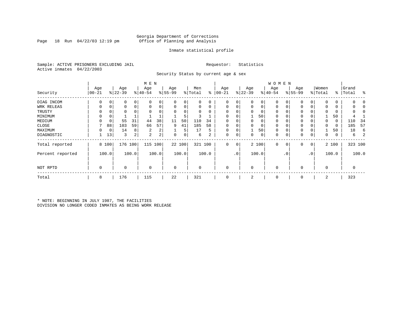Page 18 Run  $04/22/03$  12:19 pm

#### Inmate statistical profile

Sample: ACTIVE PRISONERS EXCLUDING JAIL **Requestor:** Statistics Active inmates 04/22/2003

Security Status by current age & sex

|                  |                   |          |                  |       | M E N            |       |                  |          |                |          |                  |                 |                  |          | <b>WOMEN</b>     |             |                 |                 |                  |       |                    |         |
|------------------|-------------------|----------|------------------|-------|------------------|-------|------------------|----------|----------------|----------|------------------|-----------------|------------------|----------|------------------|-------------|-----------------|-----------------|------------------|-------|--------------------|---------|
| Security         | Age<br>$ 00 - 21$ |          | Age<br>$ 22-39 $ |       | Age<br>$ 40-54 $ |       | Age<br>$8 55-99$ |          | Men<br>% Total | ႜ        | Age<br>$00 - 21$ |                 | Age<br>$ 22-39 $ |          | Age<br>$ 40-54 $ |             | Age<br>$ 55-99$ |                 | Women<br>% Total |       | Grand<br>%   Total | ႜ       |
| DIAG INCOM       | $\Omega$          |          | 0                | 0     | $\Omega$         |       | $\Omega$         | 0        | 0              | $\Omega$ | 0                | 0               | 0                | 0        | $\mathbf 0$      |             | $\Omega$        |                 |                  | 0     |                    |         |
| WRK RELEAS       |                   |          | 0                | 0     | $\mathbf 0$      | 0     | $\mathbf 0$      | 0        | 0              | 0        | 0                |                 | 0                | 0        | 0                | 0           | $\Omega$        |                 |                  | 0     |                    |         |
| TRUSTY           |                   |          | U                |       |                  |       | $\Omega$         | $\Omega$ | U              | $\Omega$ | $\Omega$         |                 | $\Omega$         | $\Omega$ | $\Omega$         |             | $\Omega$        |                 |                  |       |                    |         |
| MINIMUM          | $\Omega$          |          |                  |       |                  |       |                  | 5        | 3              |          | $\Omega$         |                 |                  | 50       | 0                |             | $\Omega$        |                 |                  | 50    |                    |         |
| MEDIUM           |                   |          | 55               | 31    | 44               | 38    | 11               | 50       | 110            | 34       | $\Omega$         |                 | 0                | 0        | 0                |             | $\Omega$        |                 | $\Omega$         | 0     | 110                | 34      |
| CLOSE            |                   | 88       | 103              | 59    | 66               | 57    | 9                | 41       | 185            | 58       | 0                |                 | 0                | 0        | 0                |             | $\Omega$        |                 |                  | 0     | 185                | 57      |
| MAXIMUM          | 0                 | $\Omega$ | 14               | 8     | 2                | 2     |                  | 5        | 17             | 5        | $\Omega$         |                 |                  | 50       | $\Omega$         | $\Omega$    | $\Omega$        |                 |                  | 50    | 18                 | 6       |
| DIAGNOSTIC       |                   | 13       | 3                | 2     | 2                | 2     | 0                | 0        | б.             | 2        | 0                | 0               | $\mathbf 0$      | 0        | 0                | 0           | 0               | 0               | 0                | 0     | 6                  |         |
| Total reported   |                   | 8 100    | 176              | 100   | 115              | 100   |                  | 22 100   | 321 100        |          | $\mathbf 0$      | $\mathbf 0$     |                  | 2 100    | $\mathbf 0$      | $\mathbf 0$ | 0               | 0               |                  | 2 100 |                    | 323 100 |
| Percent reported |                   | 100.0    |                  | 100.0 |                  | 100.0 |                  | 100.0    |                | 100.0    |                  | .0 <sup>1</sup> |                  | 100.0    |                  | . 0         |                 | .0 <sup>1</sup> |                  | 100.0 |                    | 100.0   |
| NOT RPTD         | $\mathbf 0$       |          | 0                |       | $\mathbf 0$      |       | $\mathbf 0$      |          | $\Omega$       |          | $\mathbf 0$      |                 | $\mathbf 0$      |          | $\mathbf 0$      |             | $\Omega$        |                 | $\Omega$         |       | 0                  |         |
| Total            | 8                 |          | 176              |       | 115              |       | 22               |          | 321            |          | 0                |                 | 2                |          | 0                |             | $\mathbf 0$     |                 | 2                |       | 323                |         |

\* NOTE: BEGINNING IN JULY 1987, THE FACILITIES DIVISION NO LONGER CODED INMATES AS BEING WORK RELEASE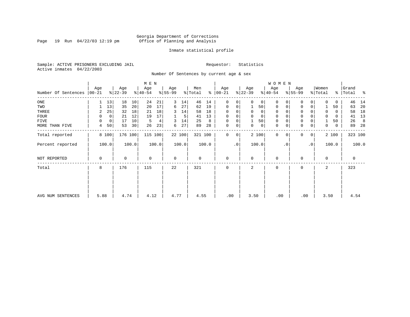Page 19 Run  $04/22/03$  12:19 pm

#### Inmate statistical profile

Sample: ACTIVE PRISONERS EXCLUDING JAIL **Requestor:** Statistics Active inmates 04/22/2003

Number Of Sentences by current age & sex

|                     |          |             |           |       | M E N       |       |             |        |         |       |               |             |           |             | W O M E N    |             |             |                 |             |       |           |       |
|---------------------|----------|-------------|-----------|-------|-------------|-------|-------------|--------|---------|-------|---------------|-------------|-----------|-------------|--------------|-------------|-------------|-----------------|-------------|-------|-----------|-------|
|                     | Age      |             | Age       |       | Age         |       | Age         |        | Men     |       | Age           |             | Age       |             | Age          |             | Age         |                 | Women       |       | Grand     |       |
| Number Of Sentences | $ 00-21$ |             | $ 22-39 $ |       | $8 40-54$   |       | $8 55-99$   |        | % Total |       | $8   00 - 21$ |             | $ 22-39 $ |             | $ 40-54 $    |             | $8 55-99$   |                 | % Total     |       | %   Total | ႜ     |
| ONE                 | 1        | 13          | 18        | 10    | 24          | 21    | 3           | 14     | 46      | 14    | $\Omega$      | 0           | $\Omega$  | 0           | $\Omega$     |             | $\Omega$    | 0               |             | 0     | 46        | 14    |
| TWO                 |          | 13          | 35        | 20    | 20          | 17    | 6           | 27     | 62      | 19    | $\Omega$      | 0           |           | 50          | 0            | $\Omega$    | $\Omega$    | 0               |             | 50    | 63        | 20    |
| THREE               | 2        | 25          | 32        | 18    | 21          | 18    | 3           | 14     | 58      | 18    | $\Omega$      |             | 0         | 0           | 0            |             | $\mathbf 0$ |                 |             | 0     | 58        | 18    |
| FOUR                | 0        | $\mathbf 0$ | 21        | 12    | 19          | 17    |             | 5      | 41      | 13    | $\Omega$      | 0           | $\Omega$  | $\mathbf 0$ | 0            |             | $\mathbf 0$ |                 | $\Omega$    | 0     | 41        | 13    |
| FIVE                | 0        | 0           | 17        | 10    | 5           | 4     | 3           | 14     | 25      | 8     | $\mathbf 0$   | 0           |           | 50          | 0            |             | $\mathbf 0$ |                 |             | 50    | 26        | 8     |
| MORE THAN FIVE      | 4        | 50          | 53        | 30    | 26          | 23    | 6           | 27     | 89      | 28    | $\mathbf 0$   | 0           | 0         | 0           | $\mathbf{0}$ | $\mathbf 0$ | $\mathbf 0$ | 0               | 0           | 0     | 89        | 28    |
| Total reported      | 8 100    |             | 176 100   |       | 115 100     |       |             | 22 100 | 321 100 |       | $\mathbf 0$   | $\mathbf 0$ |           | 2 100       | $\mathbf{0}$ | 0           | $\Omega$    | 0               |             | 2 100 | 323 100   |       |
| Percent reported    | 100.0    |             |           | 100.0 |             | 100.0 |             | 100.0  |         | 100.0 |               | $\cdot$ 0   |           | 100.0       |              | $\cdot$ 0   |             | .0 <sup>1</sup> |             | 100.0 |           | 100.0 |
| NOT REPORTED        | 0        |             | 0         |       | $\mathbf 0$ |       | $\mathbf 0$ |        | 0       |       | $\mathbf 0$   |             | $\Omega$  |             | 0            |             | $\Omega$    |                 | $\mathbf 0$ |       | 0         |       |
| Total               | 8        |             | 176       |       | 115         |       | 22          |        | 321     |       | $\mathbf 0$   |             | 2         |             | 0            |             | $\Omega$    |                 | 2           |       | 323       |       |
|                     |          |             |           |       |             |       |             |        |         |       |               |             |           |             |              |             |             |                 |             |       |           |       |
|                     |          |             |           |       |             |       |             |        |         |       |               |             |           |             |              |             |             |                 |             |       |           |       |
| AVG NUM SENTENCES   | 5.88     |             | 4.74      |       | 4.12        |       | 4.77        |        | 4.55    |       |               | .00         | 3.50      |             | .00          |             | .00         |                 | 3.50        |       | 4.54      |       |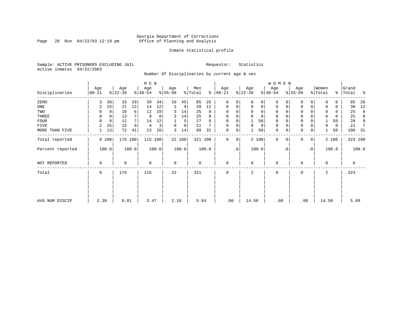Page 20 Run  $04/22/03$  12:19 pm

#### Inmate statistical profile

Sample: ACTIVE PRISONERS EXCLUDING JAIL **Requestor:** Statistics Active inmates 04/22/2003

Number Of Disciplinaries by current age & sex

|                  |                   |                |                  |       | M E N            |       |                  |        |                |       |                  |             |                  |             | W O M E N        |          |                  |             |                  |       |                    |       |
|------------------|-------------------|----------------|------------------|-------|------------------|-------|------------------|--------|----------------|-------|------------------|-------------|------------------|-------------|------------------|----------|------------------|-------------|------------------|-------|--------------------|-------|
| Disciplinaries   | Age<br>$ 00 - 21$ |                | Age<br>$ 22-39 $ |       | Age<br>$ 40-54 $ |       | Age<br>$8 55-99$ |        | Men<br>% Total | ႜ     | Age<br>$00 - 21$ |             | Age<br>$ 22-39 $ |             | Age<br>$ 40-54 $ |          | Age<br>$8 55-99$ |             | Women<br>% Total |       | Grand<br>%   Total | ႜ     |
| ZERO             | 3                 | 38             | 33               | 19    | 39               | 34    | 10               | 45     | 85             | 26    | $\mathbf{0}$     | $\Omega$    | $\Omega$         | 0           | $\mathbf 0$      | $\Omega$ | $\Omega$         | $\Omega$    | $\Omega$         | 0     | 85                 | 26    |
| ONE              | 2                 | 25             | 21               | 12    | 14               | 12    | 2                | 9      | 39             | 12    | $\mathbf 0$      | 0           | $\mathbf 0$      | $\mathbf 0$ | $\mathbf 0$      | 0        | 0                | $\mathbf 0$ |                  | 0     | 39                 | 12    |
| TWO              |                   |                | 10               | 6     | 12               | 10    | 3                | 14     | 25             | 8     | 0                |             |                  | 0           | $\mathbf 0$      | $\Omega$ | $\Omega$         |             | $\mathbf 0$      | 0     | 25                 | 8     |
| THREE            | 0                 | $\overline{0}$ | 13               |       | 9                | 8     | 3                | 14     | 25             | 8     | $\mathbf 0$      |             | $\mathbf 0$      | 0           | $\mathbf 0$      |          | $\mathbf 0$      |             | $\mathbf 0$      | 0     | 25                 | 8     |
| <b>FOUR</b>      | $\Omega$          | $\mathbf 0$    | 12               |       | 14               | 12    |                  | 5      | 27             | 8     | $\mathbf 0$      |             |                  | 50          | $\mathbf 0$      |          | $\mathbf 0$      |             |                  | 50    | 28                 | 9     |
| FIVE             | 2                 | 25             | 15               | 9     | $\overline{4}$   | 3     | 0                | 0      | 21             |       | 0                | 0           | $\mathbf 0$      | 0           | 0                | $\Omega$ | 0                |             | 0                | 0     | 21                 | 7     |
| MORE THAN FIVE   |                   | 13             | 72               | 41    | 23               | 20    | 3                | 14     | 99             | 31    | 0                | 0           |                  | 50          | $\mathbf 0$      | 0        | $\mathbf 0$      | 0           |                  | 50    | 100                | - 31  |
| Total reported   |                   | 8 100          | 176 100          |       | 115 100          |       |                  | 22 100 | 321 100        |       | $\mathbf 0$      | $\mathbf 0$ |                  | 2 100       | $\mathbf 0$      | $\Omega$ | 0                | 0           |                  | 2 100 | 323 100            |       |
| Percent reported |                   | 100.0          |                  | 100.0 |                  | 100.0 |                  | 100.0  |                | 100.0 |                  | $\cdot$ 0   |                  | 100.0       |                  | . 0      |                  | $\cdot$ 0   |                  | 100.0 |                    | 100.0 |
| NOT REPORTED     | 0                 |                | 0                |       | $\mathbf 0$      |       | $\mathbf 0$      |        | 0              |       | $\mathbf{0}$     |             | $\Omega$         |             | 0                |          | 0                |             | $\Omega$         |       | $\mathbf 0$        |       |
| Total            | 8                 |                | 176              |       | 115              |       | 22               |        | 321            |       | $\mathbf 0$      |             | 2                |             | 0                |          | 0                |             | 2                |       | 323                |       |
|                  |                   |                |                  |       |                  |       |                  |        |                |       |                  |             |                  |             |                  |          |                  |             |                  |       |                    |       |
| AVG NUM DISCIP   | 2.38              |                | 8.01             |       | 3.47             |       | 2.18             |        | 5.84           |       | .00              |             | 14.50            |             | .00              |          | .00              |             | 14.50            |       | 5.89               |       |
|                  |                   |                |                  |       |                  |       |                  |        |                |       |                  |             |                  |             |                  |          |                  |             |                  |       |                    |       |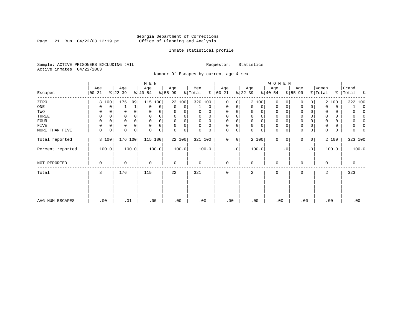Page 21 Run  $04/22/03$  12:19 pm

#### Inmate statistical profile

Sample: ACTIVE PRISONERS EXCLUDING JAIL **Requestor:** Statistics Active inmates 04/22/2003

Number Of Escapes by current age & sex

|                  |                |                  | M E N            |                  |                      |                  |                  | W O M E N               |                     |                       |                   |
|------------------|----------------|------------------|------------------|------------------|----------------------|------------------|------------------|-------------------------|---------------------|-----------------------|-------------------|
| Escapes          | Age<br>  00-21 | Age<br>$ 22-39 $ | Age<br>$ 40-54 $ | Age<br>$ 55-99 $ | Men<br>% Total<br>៖  | Age<br>$ 00-21$  | Age<br>$ 22-39 $ | Age<br>$ 40-54 $        | Age<br>$ 55-99$     | Women<br>% Total<br>ိ | Grand<br> Total % |
| ZERO             | 100<br>8       | 175<br>99        | 115<br>100       | 22 100           | 320 100              | $\mathbf 0$<br>0 | 2 100            | $\mathbf 0$<br>$\Omega$ | 0<br>0              | 2 100                 | 322 100           |
| ONE              | 0<br>0         |                  | $\Omega$<br>0    | 0<br>0           | $\Omega$             | 0<br>0           | $\Omega$<br>0    | 0<br>0                  | 0<br>0              | 0<br>$\Omega$         | $\Omega$          |
| TWO              | 0              | $\Omega$<br>0    | 0                | 0                | 0<br>O               | $\Omega$         | 0                | 0                       | $\Omega$            | 0<br>0                |                   |
| THREE            | 0              | 0                |                  | 0<br>0           | 0<br>0               | $\Omega$         | 0<br>0           | 0                       | 0                   | 0<br>0                |                   |
| <b>FOUR</b>      | 0              | $\Omega$<br>0    |                  | 0<br>$\Omega$    | $\Omega$<br>$\Omega$ | $\Omega$         | 0<br>$\Omega$    | 0                       | $\Omega$            | 0<br>$\Omega$         |                   |
| FIVE             | 0<br>0         | $\Omega$<br>0    | $\Omega$         | $\Omega$<br>0    | $\Omega$<br>$\Omega$ | 0<br>$\Omega$    | 0<br>$\Omega$    | 0                       | $\Omega$            | 0                     |                   |
| MORE THAN FIVE   | 0<br>0         | $\Omega$<br>0    | 0<br>$\Omega$    | 0<br>0           | 0                    | 0<br>0           | 0<br>$\Omega$    | $\mathbf 0$<br>0        | $\Omega$<br>0       | 0<br>$\Omega$         |                   |
| Total reported   | 8 100          | 176 100          | 115 100          | 22 100           | 321 100              | 0<br>0           | 2 100            | $\mathbf 0$<br>$\Omega$ | $\circ$<br>$\Omega$ | 2 100                 | 323 100           |
| Percent reported | 100.0          | 100.0            | 100.0            | 100.0            | 100.0                | .0               | 100.0            | . 0                     | $\cdot$ 0           | 100.0                 | 100.0             |
| NOT REPORTED     | 0              | 0                | $\mathbf 0$      | 0                | 0                    | $\mathbf 0$      | $\Omega$         | $\mathbf 0$             | O                   | $\mathbf 0$           | 0                 |
| Total            | 8              | 176              | 115              | 22               | 321                  | $\mathbf 0$      | 2                | $\mathbf 0$             | 0                   | 2                     | 323               |
|                  |                |                  |                  |                  |                      |                  |                  |                         |                     |                       |                   |
| AVG NUM ESCAPES  | .00            | .01              | .00              | .00              | .00                  | .00              | .00              | .00                     | .00                 | .00                   | .00               |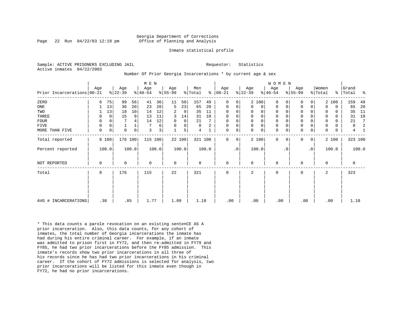Page 22 Run  $04/22/03$  12:19 pm

#### Inmate statistical profile

Sample: ACTIVE PRISONERS EXCLUDING JAIL **Requestor:** Statistics Active inmates 04/22/2003

Number Of Prior Georgia Incarcerations \* by current age & sex

|                            |             |             |                 |             | M E N            |                |                 |                |                |       |                      |                        |                  |                | WOMEN           |           |                     |           |                  |             |                    |       |
|----------------------------|-------------|-------------|-----------------|-------------|------------------|----------------|-----------------|----------------|----------------|-------|----------------------|------------------------|------------------|----------------|-----------------|-----------|---------------------|-----------|------------------|-------------|--------------------|-------|
| Prior Incarcerations 00-21 | Age         |             | Age<br>$ 22-39$ |             | Age<br>$ 40-54 $ |                | Age<br>$ 55-99$ |                | Men<br>% Total |       | Age<br>$8   00 - 21$ |                        | Age<br>$ 22-39 $ |                | Age<br>$ 40-54$ |           | Age<br>$ 55-99 $    |           | Women<br>% Total |             | Grand<br>%   Total | ႜ     |
| ZERO                       | 6           | 75          | 99              | 56          | 41               | 36             | 11              | 50             | 157            | 49    | $\Omega$             | 0 <sup>1</sup>         |                  | 2 100          | $\Omega$        |           | $\Omega$            | 0         |                  | 2 100       | 159                | 49    |
| ONE                        |             | 13          | 36              | 20          | 23               | 20             | 5               | 23             | 65             | 20    | 0                    | 0                      | $\Omega$         | $\overline{0}$ | $\Omega$        | 0         | 0                   | 0         | $\Omega$         | $\mathbf 0$ | 65                 | 20    |
| TWO                        |             | 13          | 18              | 10          | 14               | 12             | 2               | 9              | 35             | 11    | $\Omega$             | 0                      | $\Omega$         | 0              | $\Omega$        |           | 0                   |           | 0                | $\Omega$    | 35                 | 11    |
| THREE                      | 0           | $\mathbf 0$ | 15              | 9           | 13               | 11             | 3               | 14             | 31             | 10    | $\mathbf 0$          | 0                      | $\Omega$         | 0 <sup>1</sup> | $\mathbf 0$     |           | $\mathsf{O}\xspace$ | 0         | $\Omega$         | $\Omega$    | 31                 | 10    |
| <b>FOUR</b>                | 0           | 0           |                 |             | 14               | 12             | $\mathbf 0$     | $\overline{0}$ | 21             |       | 0                    | 0                      | $\mathbf 0$      | $\mathsf{O}$   | 0               |           | $\mathbf 0$         |           | $\mathbf 0$      | 0           | 21                 | 7     |
| FIVE                       | 0           | 0           |                 |             |                  | 6              | $\Omega$        | 0 <sup>1</sup> | 8              | 2     | 0                    | 0                      | $\mathbf{0}$     | 0 <sup>1</sup> | 0               |           | $\mathsf{O}\xspace$ |           | 0                | 0           | 8                  |       |
| MORE THAN FIVE             | $\mathbf 0$ | $\mathbf 0$ | $\mathbf 0$     | $\mathbf 0$ | 3                | 3 <sup>1</sup> |                 | 5 <sup>1</sup> | 4              |       | $\mathbf 0$          | $\overline{0}$         | $\Omega$         | $\mathsf{O}$   | $\mathbf 0$     | 0         | $\mathbf 0$         | 0         | $\Omega$         | 0           | 4                  |       |
| Total reported             |             | 8 100       | 176 100         |             | 115 100          |                |                 | 22 100         | 321 100        |       | $\Omega$             | $\overline{0}$         |                  | 2 100          | $\Omega$        | $\Omega$  | $\mathbf 0$         | 0         |                  | 2 100       | 323 100            |       |
| Percent reported           |             | 100.0       |                 | 100.0       |                  | 100.0          |                 | 100.0          |                | 100.0 |                      | $\boldsymbol{\cdot}$ 0 |                  | 100.0          |                 | $\cdot$ 0 |                     | $\cdot$ 0 |                  | 100.0       |                    | 100.0 |
| NOT REPORTED               | $\mathbf 0$ |             | $\mathbf 0$     |             | $\Omega$         |                | $\mathbf 0$     |                | $\mathbf 0$    |       | $\mathbf 0$          |                        | $\Omega$         |                | $\mathbf 0$     |           | $\mathbf 0$         |           | $\Omega$         |             | $\mathbf 0$        |       |
| Total                      | 8           |             | 176             |             | 115              |                | 22              |                | 321            |       | 0                    |                        | 2                |                | 0               |           | 0                   |           | 2                |             | 323                |       |
|                            |             |             |                 |             |                  |                |                 |                |                |       |                      |                        |                  |                |                 |           |                     |           |                  |             |                    |       |
|                            |             |             |                 |             |                  |                |                 |                |                |       |                      |                        |                  |                |                 |           |                     |           |                  |             |                    |       |
| AVG # INCARCERATIONS       | .38         |             | .85             |             | 1.77             |                | 1.09            |                | 1.18           |       | .00                  |                        | .00              |                | .00             |           | .00                 |           |                  | .00         | 1.18               |       |

\* This data counts a parole revocation on an existing sentenCE AS A prior incarceration. Also, this data counts, for any cohort of inmates, the total number of Georgia incarcerations the inmate has had during his entire criminal career. For example, if an inmate was admitted to prison first in FY72, and then re-admitted in FY79 and FY85, he had two prior incarcerations before the FY85 admission. This inmate's records show two prior incarcerations in all three of his records since he has had two prior incarcerations in his criminal career. If the cohort of FY72 admissions is selected for analysis, two prior incarcerations will be listed for this inmate even though in FY72, he had no prior incarcerations.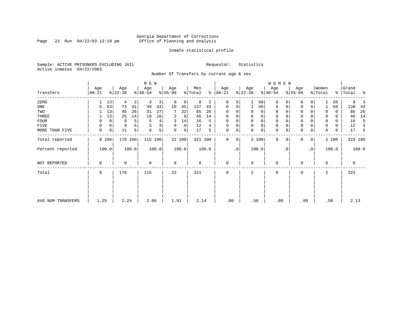Page 23 Run  $04/22/03$  12:19 pm

#### Inmate statistical profile

Sample: ACTIVE PRISONERS EXCLUDING JAIL **Requestor:** Statistics Active inmates 04/22/2003

Number Of Transfers by current age & sex

|                   |                  |             |                  |                | M E N            |       |                 |        |                |       |                   |           |                  |       | W O M E N        |             |                  |              |                  |       |                    |                |
|-------------------|------------------|-------------|------------------|----------------|------------------|-------|-----------------|--------|----------------|-------|-------------------|-----------|------------------|-------|------------------|-------------|------------------|--------------|------------------|-------|--------------------|----------------|
| Transfers         | Age<br>$00 - 21$ |             | Age<br>$ 22-39 $ |                | Age<br>$ 40-54 $ |       | Age<br>$ 55-99$ |        | Men<br>% Total | ៖     | Age<br>$ 00 - 21$ |           | Age<br>$ 22-39 $ |       | Age<br>$ 40-54 $ |             | Age<br>$8 55-99$ |              | Women<br>% Total |       | Grand<br>% Total % |                |
| ZERO              |                  | 13          | 4                | $\overline{2}$ | 3                | 3     | 0               | 0      | 8              | 2     | $\Omega$          | 0         |                  | 50    | $\mathbf 0$      | O           | 0                |              |                  | 50    | 9                  |                |
| ONE               |                  | 63          | 73               | 41             | 49               | 43    | 10              | 45     | 137            | 43    | 0                 | 0         |                  | 50    | 0                | 0           | 0                | 0            |                  | 50    | 138                | 43             |
| TWO               |                  | 13          | 46               | 26             | 31               | 27    | 7               | 32     | 85             | 26    |                   |           | 0                | 0     | 0                | $\Omega$    | $\Omega$         |              |                  | 0     | 85                 | 26             |
| THREE             |                  | 13          | 25               | 14             | 18               | 16    | 2               | 9      | 46             | 14    | $\Omega$          |           | 0                | 0     | 0                |             | 0                |              |                  | 0     | 46                 | 14             |
| FOUR              | 0                | 0           | 8                | 5              | 5                | 4     | 3               | 14     | 16             | 5     | $\Omega$          |           | $\Omega$         | 0     | $\mathbf 0$      | $\Omega$    | $\Omega$         |              |                  | 0     | 16                 | 5              |
| FIVE              | 0                | 0           | 9                | 5              |                  | 3     | 0               | 0      | 12             |       | $\Omega$          | 0         | 0                | 0     | 0                | $\Omega$    | 0                |              |                  | 0     | 12                 | $\overline{4}$ |
| MORE THAN FIVE    | $\mathbf 0$      | $\mathbf 0$ | 11               | $6 \mid$       | 6                | 5     | $\mathbf 0$     | 0      | 17             | 5     | $\Omega$          | 0         | $\Omega$         | 0     | $\mathbf 0$      | $\mathbf 0$ | $\mathbf 0$      | $\mathbf 0$  | $\Omega$         | 0     | 17                 | -5             |
| Total reported    | 8 100            |             | 176 100          |                | 115 100          |       |                 | 22 100 | 321 100        |       | $\Omega$          | 0         |                  | 2 100 | $\mathbf{0}$     | $\mathbf 0$ | 0                | $\mathbf{0}$ |                  | 2 100 | 323 100            |                |
| Percent reported  | 100.0            |             |                  | 100.0          |                  | 100.0 |                 | 100.0  |                | 100.0 |                   | $\cdot$ 0 |                  | 100.0 |                  | . 0         |                  | $\cdot$ 0    |                  | 100.0 |                    | 100.0          |
| NOT REPORTED      | 0                |             | 0                |                | 0                |       | $\mathbf 0$     |        | 0              |       | 0                 |           | 0                |       | 0                |             | 0                |              | 0                |       | 0                  |                |
| Total             | 8                |             | 176              |                | 115              |       | 22              |        | 321            |       | 0                 |           | 2                |       | 0                |             | 0                |              | 2                |       | 323                |                |
|                   |                  |             |                  |                |                  |       |                 |        |                |       |                   |           |                  |       |                  |             |                  |              |                  |       |                    |                |
| AVG NUM TRANSFERS | 1.25             |             | 2.24             |                | 2.09             |       | 1.91            |        | 2.14           |       | .00               |           | .50              |       | .00              |             | .00              |              | .50              |       | 2.13               |                |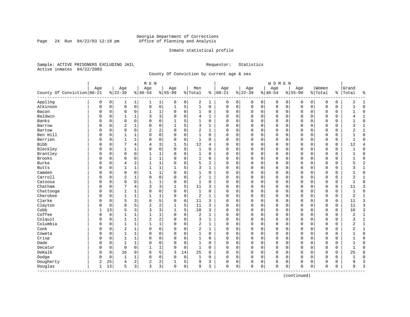Page 24 Run  $04/22/03$  12:19 pm

#### Inmate statistical profile

Sample: ACTIVE PRISONERS EXCLUDING JAIL **Requestor:** Statistics Active inmates 04/22/2003

County Of Conviction by current age & sex

| Age<br>Women<br>Age<br>Age<br>Age<br>Men<br>Age<br>Age<br>Age<br>Age<br>$8   00 - 21$<br>$ 22-39$<br>County Of Conviction 00-21<br>$8 22-39$<br>$ 40-54$<br>$8 55-99$<br>$8 40-54$<br>$8155 - 99$<br>% Total<br>% Total<br>%  <br>Appling<br>0<br>0<br>2<br>0<br>0<br>0<br>0<br>0<br>0<br>0<br>1<br>$\mathbf{1}$<br>0<br>1<br>0<br>0<br>0<br>0<br>1<br>1<br>$\mathbf 0$<br>$\mathsf{O}$<br>0<br>5<br>$\mathbf 1$<br>Atkinson<br>0<br>$\mathbf 1$<br>0<br>$\mathbf 0$<br>0<br>$\mathbf 0$<br>$\mathbf 0$<br>0<br>$\mathbf 0$<br>$\mathbf 0$<br>$\mathbf 0$<br>$\mathbf 0$<br>0<br>0<br>0<br>Bacon<br>$\mathbf 0$<br>0<br>1<br>$\Omega$<br>0<br>$\Omega$<br>0<br>0<br>0<br>$\mathbf 0$<br>$\mathbf 0$<br>$\mathbf 0$<br>0<br>0<br>0<br>0<br>1<br>1<br>0<br>$\mathbf 0$<br>Baldwin<br>3<br>3<br>$\mathbf 0$<br>0<br>0<br>$\Omega$<br>O<br>0<br>1<br>$\Omega$<br>4<br>$\mathbf{1}$<br>$\Omega$<br>$\Omega$<br>$\Omega$<br>$\mathbf 0$<br>$\Omega$<br>$\Omega$<br>$\Omega$<br>Banks<br>$\Omega$<br>$\Omega$<br>$\Omega$<br>0<br>5<br>$\mathbf{1}$<br>$\Omega$<br>$\Omega$<br>$\Omega$<br>$\Omega$<br>O<br>$\Omega$<br>$\Omega$<br>$\Omega$<br>$\mathbf 0$<br>$\Omega$<br>$\Omega$<br>$\Omega$<br>U | Grand<br>Total<br>နွ<br>2<br>1<br>$\Omega$<br>$\mathbf{1}$<br>$\Omega$<br>$\mathbf{1}$<br>$\Omega$<br>3<br>$\mathbf{1}$<br>2<br>1<br>$\Omega$<br>$\mathbf{1}$<br>$\Omega$<br>$\mathbf{1}$<br>12<br>$\overline{4}$<br>$\Omega$ |
|-----------------------------------------------------------------------------------------------------------------------------------------------------------------------------------------------------------------------------------------------------------------------------------------------------------------------------------------------------------------------------------------------------------------------------------------------------------------------------------------------------------------------------------------------------------------------------------------------------------------------------------------------------------------------------------------------------------------------------------------------------------------------------------------------------------------------------------------------------------------------------------------------------------------------------------------------------------------------------------------------------------------------------------------------------------------------------------------------------------------------------------------------------------------------------------------------|-------------------------------------------------------------------------------------------------------------------------------------------------------------------------------------------------------------------------------|
|                                                                                                                                                                                                                                                                                                                                                                                                                                                                                                                                                                                                                                                                                                                                                                                                                                                                                                                                                                                                                                                                                                                                                                                               |                                                                                                                                                                                                                               |
|                                                                                                                                                                                                                                                                                                                                                                                                                                                                                                                                                                                                                                                                                                                                                                                                                                                                                                                                                                                                                                                                                                                                                                                               |                                                                                                                                                                                                                               |
|                                                                                                                                                                                                                                                                                                                                                                                                                                                                                                                                                                                                                                                                                                                                                                                                                                                                                                                                                                                                                                                                                                                                                                                               |                                                                                                                                                                                                                               |
|                                                                                                                                                                                                                                                                                                                                                                                                                                                                                                                                                                                                                                                                                                                                                                                                                                                                                                                                                                                                                                                                                                                                                                                               |                                                                                                                                                                                                                               |
|                                                                                                                                                                                                                                                                                                                                                                                                                                                                                                                                                                                                                                                                                                                                                                                                                                                                                                                                                                                                                                                                                                                                                                                               |                                                                                                                                                                                                                               |
|                                                                                                                                                                                                                                                                                                                                                                                                                                                                                                                                                                                                                                                                                                                                                                                                                                                                                                                                                                                                                                                                                                                                                                                               |                                                                                                                                                                                                                               |
|                                                                                                                                                                                                                                                                                                                                                                                                                                                                                                                                                                                                                                                                                                                                                                                                                                                                                                                                                                                                                                                                                                                                                                                               |                                                                                                                                                                                                                               |
| $\overline{2}$<br>0<br>5<br>3<br>1<br>0<br>$\Omega$<br>0<br>0<br>0<br>$\mathbf 0$<br>$\Omega$<br>$\Omega$<br>$\Omega$<br>0<br>Barrow<br>U<br>0<br>1<br>0                                                                                                                                                                                                                                                                                                                                                                                                                                                                                                                                                                                                                                                                                                                                                                                                                                                                                                                                                                                                                                      |                                                                                                                                                                                                                               |
| 2<br>$\overline{c}$<br>$\mathbf 0$<br>2<br>0<br>0<br>$\mathbf 0$<br>$\mathbf 0$<br>0<br>$\mathbf 0$<br>$\Omega$<br>1<br>0<br>$\mathbf 0$<br>0<br>0<br>0<br>0<br>0<br>Bartow<br>U                                                                                                                                                                                                                                                                                                                                                                                                                                                                                                                                                                                                                                                                                                                                                                                                                                                                                                                                                                                                              |                                                                                                                                                                                                                               |
| Ben Hill<br>0<br>$\mathbf{1}$<br>$\Omega$<br>$\mathbf 0$<br>$\mathbf{1}$<br>0<br>$\Omega$<br>0<br>$\Omega$<br>$\Omega$<br>$\Omega$<br>$\mathbf 0$<br>$\Omega$<br>$\Omega$<br>$\Omega$<br>0<br>0<br>0<br>$\mathbf{1}$<br>0                                                                                                                                                                                                                                                                                                                                                                                                                                                                                                                                                                                                                                                                                                                                                                                                                                                                                                                                                                     |                                                                                                                                                                                                                               |
| Berrien<br>$\mathbf{1}$<br>$\mathbf{1}$<br>$\Omega$<br>0<br>$\mathbf 0$<br>$\mathbf{1}$<br>$\Omega$<br>0<br>$\mathbf 0$<br>$\mathbf 0$<br>$\Omega$<br>$\mathbf 0$<br>$\mathbf 0$<br>0<br>$\Omega$<br>0<br>O<br>0<br>$\Omega$<br>$\Omega$                                                                                                                                                                                                                                                                                                                                                                                                                                                                                                                                                                                                                                                                                                                                                                                                                                                                                                                                                      |                                                                                                                                                                                                                               |
| <b>Bibb</b><br>3<br>5<br>4<br>12<br>0<br>0<br>$\Omega$<br>4<br>4<br>$\Omega$<br>0<br>$\mathbf 0$<br>0<br>0<br>0<br>0<br>0<br>U                                                                                                                                                                                                                                                                                                                                                                                                                                                                                                                                                                                                                                                                                                                                                                                                                                                                                                                                                                                                                                                                |                                                                                                                                                                                                                               |
| Bleckley<br>0<br>$\Omega$<br>$\mathbf 0$<br>0<br>1<br>0<br>$\Omega$<br>1<br>0<br>$\Omega$<br>0<br>$\mathbf 0$<br>$\mathbf 0$<br>0<br>$\mathbf 0$<br>$\Omega$<br>$\Omega$<br>0<br>U<br>1                                                                                                                                                                                                                                                                                                                                                                                                                                                                                                                                                                                                                                                                                                                                                                                                                                                                                                                                                                                                       |                                                                                                                                                                                                                               |
| Brantley<br>$\mathbf 0$<br>$\mathbf 0$<br>$\mathbf{1}$<br>1<br>0<br>1<br>0<br>0<br>$\mathbf 0$<br>0<br>0<br>$\mathbf 0$<br>$\Omega$<br>$\mathbf 0$<br>$\mathbf 0$<br>0<br>0<br>0<br>0<br>0                                                                                                                                                                                                                                                                                                                                                                                                                                                                                                                                                                                                                                                                                                                                                                                                                                                                                                                                                                                                    | $\Omega$                                                                                                                                                                                                                      |
| Brooks<br>$\mathbf 0$<br>1<br>$\mathbf 0$<br>$\mathbf 0$<br>1<br>0<br>0<br>$\mathbf 0$<br>0<br>0<br>0<br>0<br>$\Omega$<br>1<br>0<br>0<br>$\mathbf 0$<br>0<br>0                                                                                                                                                                                                                                                                                                                                                                                                                                                                                                                                                                                                                                                                                                                                                                                                                                                                                                                                                                                                                                | 0                                                                                                                                                                                                                             |
| Burke<br>2<br>$\mathbf{1}$<br>$\mathbf 1$<br>$\mathbf 0$<br>5<br>2<br>$\Omega$<br>0<br>$\Omega$<br>$\Omega$<br>$\mathbf 0$<br>O<br>0<br>$\overline{4}$<br>0<br>$\Omega$<br>0<br>0<br>$\Omega$<br>0                                                                                                                                                                                                                                                                                                                                                                                                                                                                                                                                                                                                                                                                                                                                                                                                                                                                                                                                                                                            | $\overline{c}$<br>5                                                                                                                                                                                                           |
| $\mathbf 1$<br>5<br>3<br>$\Omega$<br>0<br>$\Omega$<br><b>Butts</b><br>O<br>$\mathbf{1}$<br>1<br>$\mathbf{1}$<br>1<br>$\mathbf 0$<br>0<br>$\Omega$<br>$\mathbf 0$<br>$\mathbf 0$<br>0<br>0<br>0                                                                                                                                                                                                                                                                                                                                                                                                                                                                                                                                                                                                                                                                                                                                                                                                                                                                                                                                                                                                | $\mathbf{1}$<br>ς                                                                                                                                                                                                             |
| Camden<br>1<br>$\mathbf 0$<br>0<br>$\Omega$<br>0<br>1<br>0<br>0<br>0<br>0<br>0<br>0<br>0<br>0<br>U<br>0<br>1<br>0<br>0<br>0                                                                                                                                                                                                                                                                                                                                                                                                                                                                                                                                                                                                                                                                                                                                                                                                                                                                                                                                                                                                                                                                   | $\Omega$                                                                                                                                                                                                                      |
| Carroll<br>$\overline{2}$<br>0<br>$\overline{2}$<br>0<br>$\Omega$<br>$\Omega$<br>0<br>0<br>$\mathbf 0$<br>$\Omega$<br>0<br>$\mathbf 0$<br>$\Omega$<br>$\mathbf 0$<br>0<br>O<br>1<br>1<br>0<br>0                                                                                                                                                                                                                                                                                                                                                                                                                                                                                                                                                                                                                                                                                                                                                                                                                                                                                                                                                                                               | 2<br>1                                                                                                                                                                                                                        |
| Catoosa<br>$\mathbf 0$<br>$\Omega$<br>$\mathbf 1$<br>$\mathbf 0$<br>$\mathbf{1}$<br>$\Omega$<br>0<br>$\Omega$<br>$\Omega$<br>$\mathbf 0$<br>0<br>$\Omega$<br>$\mathbf{1}$<br>$\Omega$<br>$\Omega$<br>$\Omega$<br>$\Omega$<br>$\mathbf 0$<br>$\Omega$<br>0                                                                                                                                                                                                                                                                                                                                                                                                                                                                                                                                                                                                                                                                                                                                                                                                                                                                                                                                     | $\Omega$<br>-1                                                                                                                                                                                                                |
| Chatham<br>3<br>5<br>7<br>3<br>0<br>$\mathbf 0$<br>$\mathbf 0$<br>0<br>$\mathbf 0$<br>$\mathbf 0$<br>0<br>4<br>11<br>3<br>0<br>$\mathbf 0$<br>0<br>0<br>U<br>1                                                                                                                                                                                                                                                                                                                                                                                                                                                                                                                                                                                                                                                                                                                                                                                                                                                                                                                                                                                                                                | 3<br>11                                                                                                                                                                                                                       |
| Chattooga<br>0<br>$\mathbf 0$<br>$\mathbf{1}$<br>$\mathbf 0$<br>O<br>0<br>1<br>1<br>$\Omega$<br>$\Omega$<br>0<br>$\Omega$<br>0<br>$\Omega$<br>0<br>0<br>0<br>$\Omega$<br>0<br>0                                                                                                                                                                                                                                                                                                                                                                                                                                                                                                                                                                                                                                                                                                                                                                                                                                                                                                                                                                                                               | $\Omega$<br>$\mathbf{1}$                                                                                                                                                                                                      |
| Cherokee<br>0<br>2<br>1<br>1<br>$\mathbf{1}$<br>1<br>$\Omega$<br>1<br>$\Omega$<br>0<br>$\mathbf 0$<br>0<br>0<br>0<br>$\mathbf 0$<br>0<br>0<br>0<br>U<br>0                                                                                                                                                                                                                                                                                                                                                                                                                                                                                                                                                                                                                                                                                                                                                                                                                                                                                                                                                                                                                                     | $\overline{2}$<br>$\mathbf{1}$                                                                                                                                                                                                |
| Clarke<br>5<br>3<br>5<br>6<br>0<br>11<br>3<br>0<br>0<br>$\Omega$<br>$\mathbf 0$<br>$\Omega$<br>$\Omega$<br>$\Omega$<br>O<br>$\Omega$<br>$\Omega$<br>$\Omega$<br>$\mathbf 0$<br>0                                                                                                                                                                                                                                                                                                                                                                                                                                                                                                                                                                                                                                                                                                                                                                                                                                                                                                                                                                                                              | 3<br>11                                                                                                                                                                                                                       |
| 8<br>$\overline{2}$<br>2<br>5<br>Clayton<br>0<br>5<br>11<br>3<br>0<br>$\Omega$<br>$\Omega$<br>$\Omega$<br>$\mathbf 0$<br>0<br>O<br>$\Omega$<br>$\mathbf 0$<br>$\mathbf 0$<br>$\Omega$                                                                                                                                                                                                                                                                                                                                                                                                                                                                                                                                                                                                                                                                                                                                                                                                                                                                                                                                                                                                         | 3<br>11                                                                                                                                                                                                                       |
| Cobb<br>3<br>5<br>13<br>5<br>3<br>3<br>10<br>3<br>0<br>$\Omega$<br>$\Omega$<br>$\mathbf 0$<br>$\Omega$<br>$\mathbf 0$<br>$\Omega$<br>$\mathbf 0$<br>$\Omega$<br>0<br>1                                                                                                                                                                                                                                                                                                                                                                                                                                                                                                                                                                                                                                                                                                                                                                                                                                                                                                                                                                                                                        | $\overline{3}$<br>10                                                                                                                                                                                                          |
| Coffee<br>1<br>$\mathbf 0$<br>2<br>0<br>0<br>0<br>1<br>1<br>1<br>$\Omega$<br>1<br>$\Omega$<br>0<br>0<br>0<br>$\Omega$<br>0<br>0<br>U<br>0                                                                                                                                                                                                                                                                                                                                                                                                                                                                                                                                                                                                                                                                                                                                                                                                                                                                                                                                                                                                                                                     | $\mathbf 1$<br>2                                                                                                                                                                                                              |
| $\overline{a}$<br>Colquit<br>2<br>$\mathbf 0$<br>3<br>$\mathbf 0$<br>0<br>1<br>1<br>$\Omega$<br>1<br>0<br>0<br>$\Omega$<br>$\Omega$<br>0<br>0<br>$\Omega$<br>0<br>0<br>0                                                                                                                                                                                                                                                                                                                                                                                                                                                                                                                                                                                                                                                                                                                                                                                                                                                                                                                                                                                                                      | $\mathbf{1}$<br>3                                                                                                                                                                                                             |
| Columbia<br>$\mathbf 1$<br>$\overline{2}$<br>$\mathbf{1}$<br>1<br>1<br>0<br>$\Omega$<br>0<br>$\mathbf 0$<br>0<br>0<br>$\mathbf 0$<br>$\mathbf 0$<br>0<br>0<br>0<br>0<br>$\Omega$<br>1<br>0                                                                                                                                                                                                                                                                                                                                                                                                                                                                                                                                                                                                                                                                                                                                                                                                                                                                                                                                                                                                    | 2<br>1                                                                                                                                                                                                                        |
| Cook<br>$\overline{2}$<br>0<br>$\mathbf 0$<br>2<br>0<br>O<br>0<br>1<br>$\Omega$<br>$\Omega$<br>1<br>$\Omega$<br>$\mathbf 0$<br>0<br>0<br>$\mathbf 0$<br>$\Omega$<br>$\Omega$<br>0<br>0                                                                                                                                                                                                                                                                                                                                                                                                                                                                                                                                                                                                                                                                                                                                                                                                                                                                                                                                                                                                        | 2<br>1                                                                                                                                                                                                                        |
| 0<br>$\mathbf 0$<br>Coweta<br>O<br>0<br>$\mathbf{1}$<br>1<br>$\Omega$<br>1<br>0<br>$\Omega$<br>0<br>$\mathbf 0$<br>$\Omega$<br>0<br>$\mathbf 0$<br>$\Omega$<br>$\Omega$<br>$\mathbf 0$<br>0<br>O                                                                                                                                                                                                                                                                                                                                                                                                                                                                                                                                                                                                                                                                                                                                                                                                                                                                                                                                                                                              | $\Omega$                                                                                                                                                                                                                      |
| Crisp<br>$\mathbf{1}$<br>0<br>0<br>$\Omega$<br>1<br>$\Omega$<br>0<br>$\mathbf 0$<br>$\Omega$<br>$\Omega$<br>$\mathbf 0$<br>$\Omega$<br>$\Omega$<br>$\mathbf 0$<br>0<br>0<br>1<br>O<br>0<br>U                                                                                                                                                                                                                                                                                                                                                                                                                                                                                                                                                                                                                                                                                                                                                                                                                                                                                                                                                                                                  | $\Omega$                                                                                                                                                                                                                      |
| Dade<br>1<br>$\Omega$<br>0<br>0<br>1<br>0<br>$\mathbf 0$<br>0<br>$\mathbf 0$<br>0<br>0<br>0<br>O<br>0<br>1<br>$\Omega$<br>0<br>0<br>0<br>0                                                                                                                                                                                                                                                                                                                                                                                                                                                                                                                                                                                                                                                                                                                                                                                                                                                                                                                                                                                                                                                    | $\Omega$                                                                                                                                                                                                                      |
| $\mathbf 0$<br>$\Omega$<br>$\mathbf 0$<br>0<br>$\mathbf{1}$<br>1<br>$\mathbf{1}$<br>$\Omega$<br>$\Omega$<br>0<br>$\mathbf{0}$<br>0<br>$\Omega$<br>$\mathbf 0$<br>$\Omega$<br>$\Omega$<br>$\Omega$<br>0<br>Decatur<br>O<br>0                                                                                                                                                                                                                                                                                                                                                                                                                                                                                                                                                                                                                                                                                                                                                                                                                                                                                                                                                                   | $\mathbf{1}$<br>$\Omega$                                                                                                                                                                                                      |
| DeKalb<br>5<br>9<br>6<br>3<br>25<br>$\Omega$<br>0<br>16<br>14<br>8<br>0<br>$\mathbf 0$<br>0<br>$\Omega$<br>0<br>$\mathbf 0$<br>0<br>0<br>0<br>U                                                                                                                                                                                                                                                                                                                                                                                                                                                                                                                                                                                                                                                                                                                                                                                                                                                                                                                                                                                                                                               | 25<br>8                                                                                                                                                                                                                       |
| Dodge<br>0<br>0<br>1<br>$\Omega$<br>$\Omega$<br>0<br>1<br>$\mathbf 0$<br>0<br>$\mathbf 0$<br>0<br>0<br>0<br>0<br>$\mathbf 0$<br>0<br>0<br>0<br>1<br>0                                                                                                                                                                                                                                                                                                                                                                                                                                                                                                                                                                                                                                                                                                                                                                                                                                                                                                                                                                                                                                         | $\mathbf 0$                                                                                                                                                                                                                   |
| Dougherty<br>$\overline{a}$<br>2<br>5<br>2<br>25<br>2<br>9<br>3<br>0<br>0<br>0<br>4<br>0<br>0<br>0<br>0<br>0<br>0<br>0                                                                                                                                                                                                                                                                                                                                                                                                                                                                                                                                                                                                                                                                                                                                                                                                                                                                                                                                                                                                                                                                        | 3<br>9                                                                                                                                                                                                                        |
| 3 <br>13<br>3<br>0<br>$\mathbf 0$<br>Douglas<br>1<br>5<br>3<br>$\Omega$<br>0<br>9<br>3<br>$\mathbf 0$<br>0<br>0<br>$\mathbf 0$<br>0<br>$\mathbf 0$<br>0<br>$\Omega$<br>--------------                                                                                                                                                                                                                                                                                                                                                                                                                                                                                                                                                                                                                                                                                                                                                                                                                                                                                                                                                                                                         | 3<br>9                                                                                                                                                                                                                        |

(continued)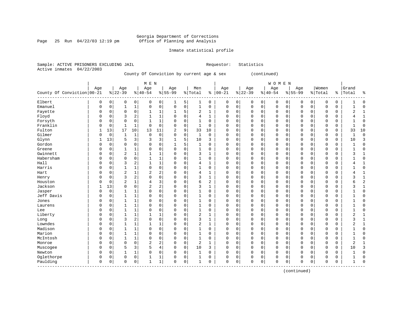Page 25 Run  $04/22/03$  12:19 pm

### Inmate statistical profile

|  | Sample: ACTIVE PRISONERS EXCLUDING JAIL |  |                                           |  |  | Requestor: Statistics |  |
|--|-----------------------------------------|--|-------------------------------------------|--|--|-----------------------|--|
|  | Active inmates 04/22/2003               |  |                                           |  |  |                       |  |
|  |                                         |  | County Of Conviction by current age & sex |  |  | (continued)           |  |

|                            |              |             |                |                | M E N          |              |             |   |                |              |            |             |          |             | WOMEN       |          |             |             |          |             |              |              |
|----------------------------|--------------|-------------|----------------|----------------|----------------|--------------|-------------|---|----------------|--------------|------------|-------------|----------|-------------|-------------|----------|-------------|-------------|----------|-------------|--------------|--------------|
|                            | Age          |             | Age            |                | Age            |              | Age         |   | Men            |              | Age        |             | Age      |             | Age         |          | Age         |             | Women    |             | Grand        |              |
| County Of Conviction 00-21 |              |             | $ 22-39$       |                | $8 40-54$      |              | $8155 - 99$ |   | % Total        |              | $% 100-21$ |             | $ 22-39$ |             | $8 40-54$   |          | $8 55-99$   |             | % Total  | ႜ           | Total        | နွ           |
| Elbert                     | 0            | 0           | 0              | 0              | 0              | 0            | 1           | 5 | 1              | 0            | 0          | 0           | 0        | 0           | 0           | 0        | 0           | 0           | 0        | 0           |              | 0            |
| Emanuel                    | $\mathbf 0$  | $\mathbf 0$ | $\mathbf{1}$   | 1              | $\Omega$       | 0            | $\mathbf 0$ | 0 | $\mathbf{1}$   | $\mathbf 0$  | $\Omega$   | $\mathbf 0$ | $\Omega$ | $\mathbf 0$ | $\mathbf 0$ | $\Omega$ | $\mathbf 0$ | $\mathbf 0$ | 0        | $\mathbf 0$ | 1            | $\Omega$     |
| Fayette                    | 0            | 0           | 0              | $\mathbf 0$    |                | 1            | 1           | 5 | 2              | 1            | 0          | $\mathbf 0$ | 0        | $\mathbf 0$ | 0           | 0        | 0           | 0           | 0        | 0           | 2            |              |
| Floyd                      | $\Omega$     | 0           | 3              | $\sqrt{2}$     | 1              | $\mathbf{1}$ | 0           | 0 | 4              | 1            | U          | $\mathbf 0$ | 0        | $\mathbf 0$ | 0           | 0        | 0           | $\mathbf 0$ | 0        | 0           | 4            |              |
| Forsyth                    | 0            | 0           | 0              | 0              | $\mathbf{1}$   | $\mathbf{1}$ | 0           | 0 | -1             | 0            | U          | $\mathbf 0$ | 0        | 0           | 0           | 0        | 0           | 0           | 0        | $\mathbf 0$ |              | O            |
| Franklin                   | $\mathsf{C}$ | 0           | $\mathbf{1}$   | $\mathbf{1}$   | $\mathbf 0$    | $\mathbf 0$  | 0           | 0 | $\mathbf{1}$   | $\mathbf 0$  | $\Omega$   | $\mathbf 0$ | $\Omega$ | $\mathbf 0$ | $\mathbf 0$ | 0        | 0           | 0           | 0        | $\mathbf 0$ | $\mathbf{1}$ | $\Omega$     |
| Fulton                     |              | 13          | 17             | 10             | 13             | 11           | 2           | 9 | 33             | 10           | $\Omega$   | $\mathbf 0$ | 0        | $\mathbf 0$ | $\mathbf 0$ | 0        | $\mathbf 0$ | $\mathbf 0$ | 0        | $\mathbf 0$ | 33           | 10           |
| Gilmer                     | $\mathsf{C}$ | $\mathbf 0$ | $\mathbf{1}$   | $\mathbf 1$    | 0              | $\mathbf 0$  | 0           | 0 | 1              | $\mathbf 0$  | 0          | $\mathbf 0$ | 0        | $\mathbf 0$ | 0           | 0        | 0           | 0           | 0        | 0           |              | $\Omega$     |
| Glynn                      |              | 13          | 5              | 3              | 3              | 3            |             | 5 | 10             | 3            | 0          | $\mathbf 0$ | 0        | 0           | 0           | 0        | 0           | 0           | $\Omega$ | 0           | 10           | 3            |
| Gordon                     | $\Omega$     | 0           | O              | $\mathsf 0$    | $\Omega$       | $\mathbf 0$  | 1           | 5 | -1             | 0            | U          | $\mathbf 0$ | 0        | 0           | 0           | $\Omega$ | 0           | 0           | $\Omega$ | 0           |              | <sup>0</sup> |
| Greene                     | $\Omega$     | $\Omega$    | 1              | 1              | $\Omega$       | 0            | $\Omega$    | 0 | -1             | $\Omega$     | $\Omega$   | $\Omega$    | $\Omega$ | $\Omega$    | $\Omega$    | $\Omega$ | $\mathbf 0$ | $\Omega$    | $\Omega$ | 0           | 1            | $\Omega$     |
| Gwinnett                   | $\Omega$     | $\Omega$    | 2              | 1              |                | 1            | 0           | 0 | 3              | 1            | U          | $\mathbf 0$ | 0        | 0           | 0           | $\Omega$ | $\mathbf 0$ | 0           | 0        | 0           | 3            |              |
| Habersham                  | $\Omega$     | $\Omega$    | 0              | 0              |                | $\mathbf{1}$ | 0           | 0 |                | 0            | 0          | $\mathbf 0$ | 0        | 0           | 0           | 0        | 0           | $\mathbf 0$ | 0        | 0           |              | $\Omega$     |
| Hall                       | $\mathsf{C}$ | 0           | 3              | 2              |                | $\mathbf{1}$ | $\Omega$    | 0 | 4              | 1            | 0          | $\mathbf 0$ | 0        | 0           | 0           | 0        | 0           | 0           | 0        | $\mathsf 0$ | 4            |              |
| Harris                     | $\sqrt{ }$   | 0           | $\mathbf{1}$   | 1              | $\Omega$       | $\mathbf 0$  | O           | 0 | $\mathbf{1}$   | 0            | $\Omega$   | $\mathbf 0$ | $\Omega$ | $\mathbf 0$ | $\mathbf 0$ | $\Omega$ | $\mathbf 0$ | 0           | 0        | 0           |              | $\Omega$     |
| Hart                       | C            | $\Omega$    | $\overline{2}$ | $1\,$          | $\overline{2}$ | 2            | 0           | 0 | 4              | 1            | U          | $\mathbf 0$ | 0        | $\mathbf 0$ | $\mathbf 0$ | $\Omega$ | $\mathbf 0$ | $\Omega$    | $\Omega$ | 0           | 4            | $\mathbf{1}$ |
| Henry                      | $\Omega$     | $\Omega$    | 3              | $\overline{2}$ | 0              | $\mathbf 0$  | 0           | 0 | 3              | 1            | U          | $\mathbf 0$ | 0        | $\mathbf 0$ | 0           | 0        | $\mathbf 0$ | 0           | $\Omega$ | 0           | 3            | $\mathbf{1}$ |
| Houston                    | C            | $\Omega$    | 2              | $\mathbf 1$    | 4              | 3            | 0           | 0 | 6              | $\mathbf{2}$ | $\Omega$   | $\mathbf 0$ | 0        | $\mathbf 0$ | 0           | 0        | 0           | 0           | $\Omega$ | 0           | б            | 2            |
| Jackson                    |              | 13          | 0              | $\mathsf 0$    | 2              | 2            | 0           | 0 | 3              | 1            | U          | 0           | 0        | $\mathbf 0$ | 0           | 0        | 0           | 0           | $\Omega$ | 0           | 3            | $\mathbf{1}$ |
| Jasper                     | $\Omega$     | 0           | $\mathbf{1}$   | 1              | $\Omega$       | 0            | O           | 0 |                | 0            | U          | $\mathbf 0$ | $\Omega$ | $\mathbf 0$ | 0           | $\Omega$ | $\mathbf 0$ | 0           | 0        | 0           |              | $\Omega$     |
| Jeff Davis                 | $\Omega$     | 0           | 1              | 1              | $\Omega$       | $\mathbf 0$  | 0           | 0 | -1             | $\mathbf 0$  | U          | $\mathbf 0$ | $\Omega$ | $\mathbf 0$ | 0           | 0        | $\mathbf 0$ | 0           | 0        | 0           |              | ∩            |
| Jones                      | $\Omega$     | 0           | 1              | $\mathbf{1}$   | 0              | $\mathbf 0$  | 0           | 0 | -1             | 0            | 0          | $\mathbf 0$ | 0        | 0           | 0           | 0        | 0           | $\mathbf 0$ | 0        | 0           |              | <sup>0</sup> |
| Laurens                    | C            | 0           | $\mathbf{1}$   | $\mathbf 1$    | $\Omega$       | $\mathbf 0$  | 0           | 0 | 1              | 0            | 0          | $\mathbf 0$ | 0        | $\mathbf 0$ | $\Omega$    | 0        | 0           | $\mathbf 0$ | $\Omega$ | $\mathbf 0$ |              | 0            |
| Lee                        | C            | 0           | $\mathbf{1}$   | 1              | $\Omega$       | $\mathsf 0$  | 0           | 0 | 1              | 0            | 0          | $\mathbf 0$ | 0        | $\mathbf 0$ | 0           | 0        | 0           | 0           | $\Omega$ | 0           |              | C            |
| Liberty                    | C            | 0           | $\mathbf{1}$   | $\mathbf{1}$   | 1              | $\mathbf 1$  | 0           | 0 | $\overline{2}$ | 1            | 0          | $\mathbf 0$ | 0        | $\mathbf 0$ | 0           | $\Omega$ | 0           | 0           | 0        | 0           | 2            | $\mathbf{1}$ |
| Long                       | $\Omega$     | $\Omega$    | 3              | $\overline{2}$ | 0              | $\mathbf 0$  | 0           | 0 | ζ              | 1            | $\Omega$   | 0           | $\Omega$ | $\mathbf 0$ | 0           | 0        | 0           | 0           | 0        | 0           | 3            | $\mathbf{1}$ |
| Lowndes                    | $\Omega$     | 0           | $\mathbf{1}$   | 1              |                | $\mathbf 1$  | 0           | 0 | 2              | 1            | $\Omega$   | 0           | 0        | $\mathbf 0$ | 0           | 0        | 0           | 0           | $\Omega$ | 0           | 2            | $\mathbf{1}$ |
| Madison                    | 0            | 0           | $\mathbf{1}$   | $\mathbf{1}$   | 0              | 0            | 0           | 0 |                | 0            | 0          | $\mathbf 0$ | 0        | 0           | 0           | $\Omega$ | $\mathbf 0$ | 0           | $\Omega$ | $\mathbf 0$ |              | $\Omega$     |
| Marion                     | $\mathbf 0$  | 0           | $\mathbf{1}$   | $\mathbf{1}$   | $\Omega$       | $\mathbf 0$  | 0           | 0 | $\mathbf{1}$   | 0            | $\Omega$   | $\mathbf 0$ | 0        | $\mathbf 0$ | 0           | $\Omega$ | $\mathbf 0$ | 0           | $\Omega$ | 0           |              | $\Omega$     |
| McIntosh                   | $\Omega$     | 0           | 1              | $\mathbf{1}$   | $\Omega$       | $\mathbf 0$  | O           | 0 | 1              | 0            | U          | $\mathbf 0$ | $\Omega$ | $\mathbf 0$ | 0           | $\Omega$ | $\mathbf 0$ | 0           | 0        | 0           |              | ſ            |
| Monroe                     | $\Omega$     | 0           | 0              | $\mathbf 0$    | $\overline{2}$ | 2            | 0           | 0 | $\overline{2}$ | 1            | 0          | $\mathbf 0$ | 0        | $\Omega$    | 0           | $\Omega$ | 0           | $\Omega$    | 0        | 0           | 2            |              |
| Muscogee                   | $\Omega$     | $\Omega$    | 5              | 3              | 5              | 4            | 0           | 0 | 10             | 3            | 0          | $\mathbf 0$ | 0        | $\mathbf 0$ | 0           | 0        | 0           | $\mathbf 0$ | 0        | $\mathbf 0$ | 10           | 3            |
| Newton                     | C            | 0           | 1              | $\mathbf 1$    | 0              | 0            | 0           | 0 | 1              | 0            | 0          | $\mathbf 0$ | 0        | $\mathbf 0$ | 0           | $\Omega$ | 0           | 0           | $\Omega$ | 0           |              | $\Omega$     |
| Oglethorpe                 | 0            | 0           | 0              | $\mathsf 0$    |                | $\mathbf{1}$ | 0           | 0 |                | 0            | $\Omega$   | $\mathbf 0$ | 0        | 0           | $\mathsf 0$ | 0        | 0           | 0           | $\Omega$ | 0           |              | $\Omega$     |
| Paulding                   | $\mathbf 0$  | 0           | $\mathbf 0$    | $\mathsf 0$    | 1              | $\mathbf{1}$ | $\mathbf 0$ | 0 | -1             | 0            | $\Omega$   | $\mathbf 0$ | $\Omega$ | $\mathbf 0$ | $\mathbf 0$ | 0        | $\mathbf 0$ | 0           | 0        | $\mathbf 0$ | 1            | $\Omega$     |

(continued)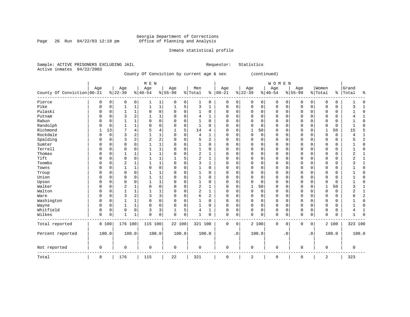Page 26 Run  $04/22/03$  12:19 pm

### Inmate statistical profile

|  |                           | Sample: ACTIVE PRISONERS EXCLUDING JAIL |  |                                           |  | Requestor: | Statistics  |
|--|---------------------------|-----------------------------------------|--|-------------------------------------------|--|------------|-------------|
|  | Active inmates 04/22/2003 |                                         |  |                                           |  |            |             |
|  |                           |                                         |  | County Of Conviction by current age & sex |  |            | (continued) |

|                            |             |             |                |              | M E N        |                |              |             |                |              |             |             |             |             | WOMEN       |             |             |             |              |             |                |                |
|----------------------------|-------------|-------------|----------------|--------------|--------------|----------------|--------------|-------------|----------------|--------------|-------------|-------------|-------------|-------------|-------------|-------------|-------------|-------------|--------------|-------------|----------------|----------------|
|                            | Age         |             | Age            |              | Age          |                | Age          |             | Men            |              | Age         |             | Age         |             | Age         |             | Age         |             | Women        |             | Grand          |                |
| County Of Conviction 00-21 |             |             | $ 22-39$       |              | $8 40-54$    |                | $8155 - 99$  |             | % Total        |              | $% 100-21$  |             | $8 22-39$   |             | $ 40-54$    |             | $8155 - 99$ |             | % Total      | နွ          | Total          | $\approx$      |
| Pierce                     | 0           | 0           | 0              | 0            |              | 1              | 0            | 0           |                | 0            | 0           | 0           | 0           | 0           | 0           | 0           | 0           | 0           | 0            | 0           |                | $\Omega$       |
| Pike                       | $\Omega$    | 0           | $\mathbf{1}$   | $\mathbf{1}$ | 1            | $\mathbf 1$    | $\mathbf{1}$ | 5           | 3              | 1            | 0           | 0           | $\mathbf 0$ | $\mathbf 0$ | $\mathbf 0$ | 0           | $\mathbf 0$ | 0           | 0            | $\mathbf 0$ | 3              | $\overline{1}$ |
| Pulaski                    | $\Omega$    | 0           | $\mathbf{1}$   | $\mathbf 1$  | $\Omega$     | $\mathbf 0$    | 0            | 0           | $\mathbf{1}$   | $\mathbf 0$  | $\Omega$    | 0           | 0           | 0           | 0           | 0           | 0           | 0           | 0            | $\mathbf 0$ |                | $\Omega$       |
| Putnam                     | $\Omega$    | $\Omega$    | 3              | 2            |              | $\mathbf 1$    | 0            | 0           | $\overline{4}$ | 1            | $\Omega$    | $\mathbf 0$ | $\Omega$    | $\mathbf 0$ | $\mathbf 0$ | 0           | $\mathbf 0$ | $\mathbf 0$ | 0            | $\mathbf 0$ | 4              | $\mathbf{1}$   |
| Rabun                      | $\Omega$    | $\Omega$    | $\mathbf{1}$   | 1            | $\Omega$     | $\mathbf 0$    | O            | 0           | 1              | $\Omega$     | $\Omega$    | $\mathbf 0$ | $\Omega$    | $\mathbf 0$ | $\mathbf 0$ | 0           | $\mathbf 0$ | $\mathbf 0$ | $\Omega$     | $\Omega$    | 1              | $\Omega$       |
| Randolph                   | $\Omega$    | $\Omega$    | $\mathbf{1}$   | $\mathbf{1}$ | $\Omega$     | $\mathbf 0$    | 0            | $\mathbf 0$ | $\mathbf{1}$   | $\Omega$     | $\Omega$    | $\mathbf 0$ | $\Omega$    | $\mathbf 0$ | $\mathbf 0$ | 0           | $\mathbf 0$ | $\mathbf 0$ | 0            | $\mathbf 0$ | 1              | $\Omega$       |
| Richmond                   |             | 13          | 7              | 4            | 5            | $\overline{4}$ | 1            | 5           | 14             | 4            | $\Omega$    | 0           | 1           | 50          | 0           | 0           | $\mathbf 0$ | 0           | $\mathbf{1}$ | 50          | 15             | 5              |
| Rockdale                   | $\Omega$    | 0           | 3              | 2            |              | 1              | 0            | $\Omega$    | $\overline{4}$ | 1            | 0           | $\mathbf 0$ | $\mathbf 0$ | 0           | 0           | 0           | $\mathbf 0$ | 0           | 0            | 0           | 4              | 1              |
| Spalding                   | $\Omega$    | 0           | 3              | 2            | 2            | $\overline{2}$ | 0            | 0           | 5              | 2            | 0           | 0           | 0           | $\mathbf 0$ | 0           | 0           | $\mathbf 0$ | 0           | 0            | 0           | 5              | $\overline{2}$ |
| Sumter                     | $\Omega$    | 0           | 0              | 0            |              | 1              | 0            | 0           |                | 0            | 0           | $\mathbf 0$ | 0           | 0           | 0           | 0           | $\mathbf 0$ | 0           | $\Omega$     | 0           |                | $\mathbf 0$    |
| Terrell                    | $\Omega$    | $\Omega$    | $\Omega$       | 0            |              | $\mathbf 1$    | 0            | $\Omega$    | $\mathbf{1}$   | $\Omega$     | $\Omega$    | $\mathbf 0$ | $\Omega$    | $\mathbf 0$ | 0           | 0           | $\mathbf 0$ | 0           | $\Omega$     | 0           |                | $\Omega$       |
| Thomas                     | $\Omega$    | $\Omega$    | $\mathbf{1}$   | 1            |              | 1              | 0            | $\Omega$    | 2              | 1            | $\Omega$    | 0           | $\Omega$    | 0           | 0           | 0           | $\mathbf 0$ | $\mathbf 0$ | $\Omega$     | 0           | 2              | $\mathbf{1}$   |
| Tift                       | $\Omega$    | $\Omega$    | $\Omega$       | 0            |              | $\mathbf{1}$   |              | 5           | $\overline{2}$ | $\mathbf{1}$ | $\Omega$    | $\mathbf 0$ | $\Omega$    | $\mathbf 0$ | $\Omega$    | $\Omega$    | $\mathbf 0$ | $\mathbf 0$ | $\Omega$     | $\mathbf 0$ | $\overline{a}$ | $\mathbf{1}$   |
| Toombs                     | $\Omega$    | $\Omega$    | $\overline{2}$ | $\mathbf{1}$ | $\mathbf{1}$ | $\mathbf{1}$   | 0            | $\Omega$    | 3              | $\mathbf{1}$ | $\Omega$    | $\Omega$    | $\Omega$    | $\mathbf 0$ | $\Omega$    | $\Omega$    | $\mathbf 0$ | $\mathbf 0$ | $\Omega$     | $\mathbf 0$ | 3              | $\mathbf{1}$   |
| Towns                      | $\Omega$    | $\Omega$    | $\mathbf{1}$   | 1            | $\Omega$     | $\Omega$       | $\Omega$     | $\Omega$    | $\mathbf{1}$   | $\Omega$     | $\Omega$    | $\Omega$    | $\Omega$    | $\mathbf 0$ | $\Omega$    | $\Omega$    | $\mathbf 0$ | $\mathbf 0$ | $\Omega$     | $\mathbf 0$ |                | $\Omega$       |
| Troup                      | $\Omega$    | $\Omega$    | $\Omega$       | 0            |              | 1              | 0            | $\Omega$    | 1              | $\Omega$     | $\Omega$    | $\Omega$    | $\Omega$    | $\mathbf 0$ | 0           | $\Omega$    | $\mathbf 0$ | $\mathbf 0$ | $\Omega$     | 0           |                | $\Omega$       |
| Union                      | $\Omega$    | $\Omega$    | 0              | 0            | 1            | $\mathbf{1}$   | 0            | $\mathbf 0$ | 1              | 0            | $\Omega$    | $\mathbf 0$ | $\Omega$    | $\mathbf 0$ | 0           | 0           | $\mathbf 0$ | $\mathbf 0$ | $\Omega$     | 0           | 1              | $\Omega$       |
| Upson                      | $\Omega$    | 0           | 0              | 0            |              | $\mathbf{1}$   | 0            | $\Omega$    | 1              | 0            | 0           | $\mathbf 0$ | $\Omega$    | $\mathbf 0$ | 0           | 0           | $\mathbf 0$ | $\mathbf 0$ | $\Omega$     | 0           | 1              | $\Omega$       |
| Walker                     | $\Omega$    | 0           | $\overline{2}$ | $\mathbf{1}$ | $\Omega$     | $\mathbf 0$    | 0            | 0           | $\overline{2}$ | 1            | 0           | $\mathbf 0$ | 1           | 50          | 0           | 0           | $\mathbf 0$ | $\mathbf 0$ | $\mathbf{1}$ | 50          | 3              | $\mathbf{1}$   |
| Walton                     | $\Omega$    | 0           | 1              | 1            |              | 1              | 0            | $\mathbf 0$ | $\overline{2}$ | 1            | $\Omega$    | $\mathbf 0$ | $\mathbf 0$ | $\mathbf 0$ | 0           | 0           | $\mathbf 0$ | $\mathbf 0$ | $\mathbf 0$  | $\mathbf 0$ | $\overline{2}$ | $\mathbf{1}$   |
| Ware                       | 0           | 0           | 3              | 2            | 3            | 3              | 0            | $\mathbf 0$ | 6              | 2            | $\Omega$    | $\mathbf 0$ | 0           | $\mathbf 0$ | 0           | 0           | $\mathbf 0$ | $\mathbf 0$ | 0            | $\mathbf 0$ | 6              | $\overline{c}$ |
| Washington                 | $\Omega$    | $\Omega$    | 1              | $\mathbf 1$  | $\Omega$     | $\mathbf 0$    | $\Omega$     | $\mathbf 0$ |                | $\mathbf 0$  | $\Omega$    | $\mathbf 0$ | 0           | $\mathbf 0$ | 0           | $\mathbf 0$ | 0           | $\mathbf 0$ | $\Omega$     | $\mathbf 0$ |                | $\Omega$       |
| Wayne                      | $\Omega$    | $\mathbf 0$ | $\mathbf{1}$   | $\mathbf 1$  | $\Omega$     | $\mathbf 0$    | $\Omega$     | $\mathbf 0$ | $\mathbf{1}$   | $\mathbf 0$  | $\Omega$    | $\mathsf 0$ | $\Omega$    | $\mathbf 0$ | 0           | 0           | $\mathbf 0$ | $\mathbf 0$ | $\Omega$     | $\mathbf 0$ | 1              | $\Omega$       |
| Whitfield                  | $\Omega$    | 0           | $\mathsf 0$    | 0            | 3            | 3              | 1            | 5           | 4              | $\mathbf{1}$ | $\Omega$    | 0           | $\Omega$    | $\mathbf 0$ | 0           | 0           | $\mathbf 0$ | 0           | 0            | $\mathbf 0$ | 4              | $\mathbf{1}$   |
| Wilkes                     | $\Omega$    | 0           | $\mathbf{1}$   | $\mathbf{1}$ | $\mathbf 0$  | $\mathbf 0$    | $\mathbf 0$  | 0           | 1              | 0            | $\mathbf 0$ | 0           | $\mathbf 0$ | $\mathbf 0$ | $\mathsf 0$ | 0           | $\mathbf 0$ | 0           | $\mathbf 0$  | 0           | 1              | $\Omega$       |
| Total reported             |             | 8 100       | 176 100        |              | 115 100      |                | 22 100       |             | 321 100        |              | $\mathbf 0$ | 0           |             | 2 100       | 0           | 0           | $\mathbf 0$ | 0           |              | 2 100       | 323 100        |                |
| Percent reported           |             | 100.0       | 100.0          |              | 100.0        |                | 100.0        |             | 100.0          |              |             | $\cdot$ 0   |             | 100.0       |             | $\cdot$ 0   |             | $\cdot$ 0   |              | 100.0       | 100.0          |                |
| Not reported               | $\mathbf 0$ |             | 0              |              | $\Omega$     |                | 0            |             | $\mathbf 0$    |              | 0           |             | $\mathbf 0$ |             | 0           |             | $\mathbf 0$ |             | 0            |             | 0              |                |
| Total                      | 8           |             | 176            |              | 115          |                | 22           |             | 321            |              | 0           |             | 2           |             | 0           |             | $\mathbf 0$ |             | 2            |             | 323            |                |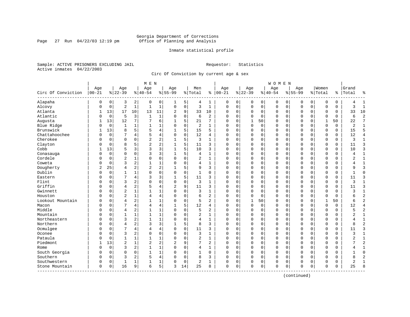Page 27 Run  $04/22/03$  12:19 pm

#### Inmate statistical profile

Sample: ACTIVE PRISONERS EXCLUDING JAIL **Requestor:** Statistics Active inmates 04/22/2003

Circ Of Conviction by current age & sex

|                    |                |             |                |              | M E N          |              |                |             |              |                |             |          |             |             | <b>WOMEN</b> |             |             |             |              |          |                |                |
|--------------------|----------------|-------------|----------------|--------------|----------------|--------------|----------------|-------------|--------------|----------------|-------------|----------|-------------|-------------|--------------|-------------|-------------|-------------|--------------|----------|----------------|----------------|
|                    | Age            |             | Age            |              | Age            |              | Age            |             | Men          |                | Age         |          | Age         |             | Age          |             | Age         |             | Women        |          | Grand          |                |
| Circ Of Conviction | $ 00 - 21$     |             | $ 22-39$       |              | $8   40 - 54$  |              | $8 55-99$      |             | % Total      | နွ             | $ 00-21$    |          | $8 22-39$   |             | $8 40-54$    |             | $8155 - 99$ |             | % Total      | ి        | Total          | ٩,             |
| Alapaha            | 0              | 0           | 3              | 2            | 0              | 0            | 1              | 5           | 4            | 1              | 0           | 0        | 0           | 0           | 0            | 0           | 0           | $\mathbf 0$ | O            | 0        | 4              | $\mathbf{1}$   |
| Alcovy             | 0              | $\mathbf 0$ | $\sqrt{2}$     | $\mathbf{1}$ | $\mathbf{1}$   | $\mathbf 1$  | $\Omega$       | $\mathsf 0$ | 3            | $\mathbf{1}$   | $\mathbf 0$ | 0        | $\mathbf 0$ | $\mathbf 0$ | 0            | 0           | 0           | $\mathbf 0$ | O            | 0        | 3              | $\mathbf{1}$   |
| Atlanta            | 1              | 13          | 17             | 10           | 13             | 11           | 2              | 9           | 33           | 10             | $\Omega$    | 0        | $\mathbf 0$ | 0           | 0            | $\mathbf 0$ | $\Omega$    | 0           | O            | 0        | 33             | 10             |
| Atlantic           | 0              | $\mathbf 0$ | 5              | 3            | $\mathbf{1}$   | 1            | $\Omega$       | $\mathbf 0$ | 6            | $\overline{a}$ | $\Omega$    | $\Omega$ | $\Omega$    | 0           | 0            | $\mathbf 0$ | $\Omega$    | $\Omega$    | $\Omega$     | $\Omega$ | 6              | $\overline{2}$ |
| Augusta            | 1              | 13          | 12             | 7            | 7              | 6            | 1              | 5           | 21           | 7              | $\Omega$    | $\Omega$ | 1           | 50          | O            | $\Omega$    | $\Omega$    | $\Omega$    | $\mathbf{1}$ | 50       | 22             | 7              |
| Blue Ridge         | 0              | $\mathbf 0$ | 1              | 1            | -1             | 1            | $\Omega$       | $\mathbf 0$ | 2            | 1              | $\Omega$    | $\Omega$ | $\Omega$    | 0           | 0            | $\Omega$    | $\Omega$    | $\Omega$    | $\Omega$     | 0        | $\overline{2}$ | $\mathbf{1}$   |
| Brunswick          | 1              | 13          | 8              | 5            | 5              | 4            |                | 5           | 15           | 5              | $\Omega$    | 0        | $\mathbf 0$ | 0           | 0            | $\Omega$    | $\Omega$    | $\mathbf 0$ | $\Omega$     | 0        | 15             | 5              |
| Chattahoochee      | $\Omega$       | $\mathbf 0$ |                | 4            | 5              | 4            | $\Omega$       | $\mathbf 0$ | 12           | 4              | $\Omega$    | $\Omega$ | $\Omega$    | $\Omega$    | 0            | $\mathbf 0$ | $\Omega$    | $\Omega$    | $\Omega$     | 0        | 12             | 4              |
| Cherokee           | O              | $\mathbf 0$ | $\Omega$       | $\Omega$     | $\overline{a}$ | 2            | 1              | 5           | 3            | $\mathbf{1}$   | $\Omega$    | $\Omega$ | $\Omega$    | 0           | $\Omega$     | $\mathbf 0$ | $\Omega$    | $\Omega$    | $\cap$       | 0        | 3              | $\mathbf{1}$   |
| Clayton            | U              | $\mathbf 0$ | 8              | 5            | $\overline{2}$ | 2            |                | 5           | 11           | 3              | $\Omega$    | 0        | $\mathbf 0$ | 0           | 0            | $\mathbf 0$ | $\Omega$    | $\Omega$    | $\Omega$     | 0        | 11             | 3              |
| Cobb               |                | 13          | 5              | 3            | 3              | 3            | 1              | 5           | 10           | 3              | $\Omega$    | O        | $\Omega$    | $\Omega$    | 0            | $\Omega$    | $\Omega$    | $\Omega$    | $\cap$       | 0        | 10             | 3              |
| Conasauga          | 0              | $\mathbf 0$ | $\Omega$       | $\Omega$     | 3              | 3            | 1              | 5           | 4            | $\mathbf{1}$   | $\Omega$    | 0        | U           | 0           | 0            | $\mathbf 0$ | $\Omega$    | 0           | $\Omega$     | 0        | 4              | 1              |
| Cordele            | 0              | $\mathbf 0$ | $\overline{2}$ |              | 0              | 0            | $\Omega$       | $\mathbf 0$ | 2            | 1              | 0           | 0        | $\Omega$    | 0           | 0            | 0           | $\Omega$    | 0           | O            | 0        | $\overline{2}$ | $\mathbf{1}$   |
| Coweta             | Ω              | $\mathbf 0$ | 3              | 2            | $\mathbf{1}$   | 1            | $\Omega$       | $\Omega$    | 4            | $\mathbf{1}$   | $\Omega$    | $\Omega$ | $\Omega$    | $\Omega$    | 0            | $\Omega$    | $\Omega$    | $\Omega$    | $\Omega$     | 0        | 4              | $\mathbf{1}$   |
| Dougherty          | $\overline{2}$ | 25          | $\overline{4}$ | 2            | $\overline{2}$ | 2            |                | 5           | 9            | 3              | $\Omega$    | 0        | $\Omega$    | 0           | 0            | $\mathbf 0$ | $\Omega$    | 0           | $\Omega$     | 0        | 9              | 3              |
| Dublin             | 0              | $\mathbf 0$ | 1              |              | $\Omega$       | 0            | $\Omega$       | 0           | 1            | 0              | $\Omega$    | 0        | 0           | 0           | 0            | 0           | $\Omega$    | 0           | O            | 0        |                | $\mathbf 0$    |
| Eastern            | $\Omega$       | $\Omega$    | 7              | 4            | 3              | 3            |                | 5           | 11           | 3              | $\Omega$    | O        | $\Omega$    | $\Omega$    | 0            | $\Omega$    | $\Omega$    | $\Omega$    | $\Omega$     | 0        | 11             | 3              |
| Flint              | 0              | $\Omega$    | 3              | 2            | $\Omega$       | 0            | $\Omega$       | $\Omega$    | 3            | $\mathbf{1}$   | $\Omega$    | $\Omega$ | $\Omega$    | $\Omega$    | 0            | $\Omega$    | $\Omega$    | $\Omega$    | $\Omega$     | 0        | 3              | $\mathbf{1}$   |
| Griffin            | U              | $\mathbf 0$ | $\overline{4}$ | 2            | 5              | 4            | $\overline{2}$ | 9           | 11           | 3              | $\Omega$    | $\Omega$ | $\Omega$    | 0           | 0            | $\Omega$    | $\Omega$    | $\Omega$    | $\Omega$     | 0        | 11             | 3              |
| Gwinnett           | በ              | $\Omega$    | $\overline{c}$ | $\mathbf 1$  | $\mathbf{1}$   | 1            |                | $\mathbf 0$ | 3            | $\mathbf{1}$   | $\Omega$    | $\Omega$ | $\Omega$    | $\Omega$    | 0            | $\Omega$    | $\Omega$    | $\Omega$    | O            | 0        | 3              | $\mathbf{1}$   |
| Houston            | $\Omega$       | $\mathbf 0$ | $\overline{2}$ | 1            | 4              | 4            | $\Omega$       | $\mathbf 0$ | 6            | $\overline{a}$ | $\Omega$    | 0        | $\mathbf 0$ | 0           | 0            | $\mathbf 0$ | $\Omega$    | 0           | $\Omega$     | 0        | 6              | $\overline{c}$ |
| Lookout Mountain   | 0              | $\Omega$    | $\overline{4}$ | 2            |                | 1            | $\Omega$       | 0           | 5            | 2              | $\Omega$    | $\Omega$ |             | 50          | 0            | $\mathbf 0$ | $\Omega$    | $\Omega$    | $\mathbf{1}$ | 50       | 6              | $\overline{2}$ |
| Macon              | $\Omega$       | $\Omega$    | 7              | 4            | $\overline{4}$ | 4            |                | 5           | 12           | 4              | $\Omega$    | 0        | $\Omega$    | $\Omega$    | 0            | $\Omega$    | $\Omega$    | $\Omega$    | $\Omega$     | $\Omega$ | 12             | $\overline{4}$ |
| Middle             | U              | $\Omega$    | $\overline{4}$ | 2            | -1             | $\mathbf{1}$ | $\Omega$       | $\Omega$    | 5            | $\overline{a}$ | $\Omega$    | $\Omega$ | $\Omega$    | $\Omega$    | 0            | $\Omega$    | $\Omega$    | $\Omega$    | $\Omega$     | $\Omega$ | 5              | $\overline{2}$ |
| Mountain           | 0              | $\mathbf 0$ | $\mathbf{1}$   | 1            | $\mathbf{1}$   | $\mathbf 1$  | $\Omega$       | $\mathbf 0$ | 2            | $\mathbf{1}$   | $\Omega$    | 0        | $\Omega$    | 0           | 0            | $\Omega$    | $\Omega$    | $\Omega$    | O            | 0        | $\overline{2}$ | $\mathbf{1}$   |
| Northeastern       | Λ              | $\Omega$    | 3              | 2            | $\mathbf{1}$   | $\mathbf 1$  |                | $\mathbf 0$ | 4            | $\mathbf{1}$   | $\Omega$    | 0        | $\Omega$    | $\Omega$    | 0            | 0           | $\Omega$    | 0           | $\Omega$     | 0        | 4              | $\mathbf{1}$   |
| Northern           | 0              | $\mathbf 0$ | $\overline{4}$ | 2            | 3              | 3            | 1              | 5           | 8            | 3              | $\Omega$    | 0        | $\mathbf 0$ | 0           | 0            | $\Omega$    | $\Omega$    | 0           | $\Omega$     | 0        | 8              | $\overline{2}$ |
| Ocmulgee           | U              | $\mathbf 0$ | 7              | 4            | 4              | 4            | $\Omega$       | $\mathbf 0$ | 11           | 3              | $\Omega$    | 0        | $\Omega$    | 0           | 0            | $\mathbf 0$ | $\Omega$    | $\Omega$    | O            | 0        | 11             | $\overline{3}$ |
| Oconee             | U              | $\Omega$    | 3              | 2            | $\Omega$       | 0            | $\Omega$       | $\mathbf 0$ | 3            | $\mathbf{1}$   | $\Omega$    | $\Omega$ | U           | $\Omega$    | 0            | $\Omega$    | $\Omega$    | $\Omega$    | $\Omega$     | 0        | 3              | $\mathbf{1}$   |
| Pataula            | U              | $\Omega$    | $\mathbf{1}$   | 1            | $\mathbf{1}$   | 1            | $\Omega$       | 0           | 2            | $\mathbf{1}$   | $\Omega$    | $\Omega$ | $\Omega$    | $\Omega$    | 0            | $\Omega$    | $\Omega$    | $\Omega$    | $\Omega$     | 0        | 2              | $\mathbf{1}$   |
| Piedmont           | 1              | 13          | $\overline{2}$ | 1            | $\overline{2}$ | 2            | 2              | 9           | 7            | $\overline{a}$ | 0           | 0        | $\Omega$    | 0           | 0            | $\Omega$    | $\Omega$    | 0           | 0            | 0        |                | $\overline{c}$ |
| Rome               | $\Omega$       | $\mathbf 0$ | 3              | 2            | $\mathbf{1}$   | $\mathbf{1}$ | $\Omega$       | $\mathbf 0$ | 4            | $\mathbf{1}$   | $\Omega$    | $\Omega$ | $\Omega$    | $\Omega$    | $\Omega$     | $\mathbf 0$ | $\Omega$    | $\Omega$    | $\Omega$     | 0        | 4              | $\mathbf{1}$   |
| South Georgia      | U              | $\Omega$    | $\Omega$       | $\Omega$     | $\mathbf{1}$   | 1            | $\Omega$       | $\mathbf 0$ | $\mathbf{1}$ | $\Omega$       | $\Omega$    | $\Omega$ | $\Omega$    | 0           | 0            | $\Omega$    | $\Omega$    | $\Omega$    | $\Omega$     | 0        |                | $\Omega$       |
| Southern           | 0              | 0           | 3              | 2            | 5              | 4            | $\Omega$       | 0           | 8            | 3              | $\Omega$    | 0        | 0           | 0           | 0            | 0           | $\Omega$    | 0           | $\Omega$     | 0        | 8              | $\overline{2}$ |
| Southwestern       | 0              | 0           | 1              |              | 1              | 1            |                | 0           | 2            | 1              | 0           | 0        | 0           | 0           | 0            | 0           | $\Omega$    | 0           | $\Omega$     | 0        | $\overline{2}$ | $\mathbf{1}$   |
| Stone Mountain     | 0              | $\mathbf 0$ | 16             | 9            | 6              | 5            | 3              | 14          | 25           | 8              | $\mathbf 0$ | 0        | $\Omega$    | 0           | 0            | $\mathbf 0$ | $\Omega$    | 0           | $\Omega$     | 0        | 25             | 8              |

(continued)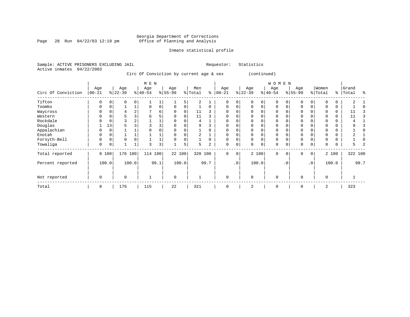Page 28 Run  $04/22/03$  12:19 pm

#### Inmate statistical profile

Sample: ACTIVE PRISONERS EXCLUDING JAIL **Requestor:** Statistics Active inmates 04/22/2003

Circ Of Conviction by current age & sex (continued)

|                    |                  |             |                  |          | M E N            |                |                  |       |                |          |                  |           |                  |          | WOMEN            |    |                    |                 |                  |          |                |      |
|--------------------|------------------|-------------|------------------|----------|------------------|----------------|------------------|-------|----------------|----------|------------------|-----------|------------------|----------|------------------|----|--------------------|-----------------|------------------|----------|----------------|------|
| Circ Of Conviction | Age<br>$00 - 21$ |             | Age<br>$ 22-39 $ |          | Age<br>$ 40-54 $ |                | Age<br>$8 55-99$ |       | Men<br>% Total | နွ       | Age<br>$00 - 21$ |           | Age<br>$ 22-39 $ |          | Age<br>$ 40-54 $ |    | Age<br>$8155 - 99$ |                 | Women<br>% Total | %        | Grand<br>Total | န္   |
| Tifton             | $\Omega$         |             |                  | $\Omega$ |                  |                |                  | 5     | 2              |          | $\Omega$         | $\Omega$  |                  | $\Omega$ | $\Omega$         |    | $\Omega$           |                 |                  | 0        |                |      |
| Toombs             | $\Omega$         | $\Omega$    |                  |          | $\Omega$         | $\overline{0}$ | $\Omega$         |       |                | $\Omega$ | $\Omega$         | 0         | $\Omega$         | $\Omega$ | 0                | 0  | 0                  | 0               | $\Omega$         | 0        |                |      |
| Waycross           | O                |             |                  |          |                  | 6              |                  |       | 11             |          | <sup>0</sup>     |           |                  |          |                  |    |                    |                 |                  | 0        |                |      |
| Western            | U                |             |                  |          | 6                |                |                  |       | 11             |          | <sup>0</sup>     |           |                  |          |                  |    | $\Omega$           |                 | O                | $\Omega$ | 11             |      |
| Rockdale           |                  |             |                  |          |                  |                |                  |       | 4              |          |                  |           |                  |          |                  |    | $\Omega$           |                 |                  | 0        |                |      |
| Douglas            |                  | 13          |                  |          |                  |                |                  |       | 9              |          |                  |           |                  |          |                  |    |                    |                 |                  | 0        |                |      |
| Appalachian        | 0                | $\mathbf 0$ |                  |          |                  |                |                  |       |                |          | $\Omega$         | U         |                  |          |                  |    | $\Omega$           |                 | 0                | 0        |                |      |
| Enotah             | O                |             |                  |          |                  |                |                  |       |                |          | $\Omega$         |           |                  |          | O                |    | $\Omega$           |                 |                  | 0        |                |      |
| Forsyth-Bell       | $\Omega$         | $\Omega$    | $\Omega$         | $\Omega$ |                  |                |                  |       |                | 0        | $\Omega$         | U         |                  |          | $\Omega$         |    | 0                  |                 | O                | 0        |                |      |
| Towaliga           | 0                | 0           |                  |          |                  | 3              |                  | 5     | 5              | 2        | 0                | 0         | 0                | 0        | 0                |    | $\mathbf 0$        | 0               | 0                | 0        | 5              |      |
| Total reported     |                  | 8 100       | 176              | 100      | 114 100          |                | 22 100           |       | 320 100        |          | $\mathbf{0}$     | 0         |                  | 2 100    | $\mathbf 0$      | 0  | $\mathbf 0$        | 0               |                  | 2 100    | 322 100        |      |
| Percent reported   |                  | 100.0       |                  | 100.0    |                  | 99.1           |                  | 100.0 |                | 99.7     |                  | $\cdot$ 0 |                  | 100.0    |                  | .0 |                    | .0 <sup>1</sup> |                  | 100.0    |                | 99.7 |
| Not reported       | 0                |             | $\Omega$         |          |                  |                | $\mathbf 0$      |       |                |          | $\Omega$         |           | $\Omega$         |          | $\mathbf 0$      |    | $\mathbf 0$        |                 | $\Omega$         |          |                |      |
| Total              | 8                |             | 176              |          | 115              |                | 22               |       | 321            |          | $\Omega$         |           | 2                |          | 0                |    | $\mathbf 0$        |                 | 2                |          | 323            |      |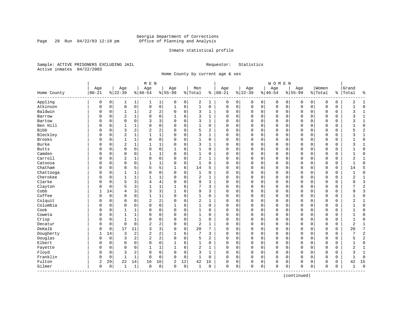Page 29 Run  $04/22/03$  12:19 pm

#### Inmate statistical profile

Sample: ACTIVE PRISONERS EXCLUDING JAIL **Requestor:** Statistics Active inmates 04/22/2003

Home County by current age & sex

| Age<br>Age<br>$00 - 21$<br>$8 22-39$<br>Home County<br>Appling<br>0<br>0<br>1<br>Atkinson<br>$\mathbf 0$<br>$\mathbf 0$<br>0<br>Baldwin<br>0<br>0<br>1<br>$\overline{c}$<br>Barrow<br>$\Omega$<br>$\Omega$ | Age<br>$8 40-54$<br>1<br>1<br>$\mathsf 0$<br>$\mathsf 0$<br>2<br>1<br>1<br>$\Omega$<br>$\Omega$<br>3<br>$\Omega$<br>1<br>$\overline{c}$<br>$\overline{\mathbf{c}}$<br>$\mathbf 1$<br>1<br>1<br>0 | Age<br>$8155 - 99$<br>$\mathbf{1}$<br>0<br>0<br>$\mathbf 1$<br>2<br>$\mathbf 0$<br>0<br>3<br>$\Omega$<br>0<br>$\Omega$<br>2<br>$\Omega$<br>$\mathbf 1$<br>O | Men<br>% Total<br>0<br>2<br>6<br>$\mathbf{1}$<br>3<br>0<br>3<br>6<br>$\Omega$<br>3<br>$\Omega$<br>$\mathbf{1}$<br>$\mathbf 0$<br>5<br>$\mathbf 0$<br>3 | 1<br>0<br>1<br>1<br>$\mathbf{1}$<br>0<br>$\overline{c}$ | Age<br>$8   00 - 21$<br>0<br>$\mathbf 0$<br>$\Omega$<br>$\Omega$<br>$\Omega$<br>$\mathbf 0$ | Age<br>$ 22-39$<br>0<br>0<br>0<br>$\mathbf 0$<br>0<br>$\Omega$<br>0<br>$\Omega$<br>0<br>$\Omega$<br>0<br>$\Omega$ | 0<br>$\mathbf 0$<br>0<br>0<br>$\Omega$<br>$\mathbf 0$ | Age<br>$8 40-54$<br>0<br>0<br>0<br>0<br>$\Omega$ | $8155 - 99$<br>0<br>$\mathbf 0$<br>0<br>$\mathbf 0$<br>$\Omega$ | Age<br>0<br>$\Omega$<br>$\Omega$<br>$\Omega$<br>$\Omega$ | $\mathbf 0$<br>$\mathbf 0$<br>0<br>0<br>$\Omega$ | Women<br>% Total<br>0<br>$\mathbf C$<br>0<br>$\mathbf 0$<br>$\Omega$ | ి<br>0<br>0<br>0<br>0<br>0 | Grand<br>Total<br>2<br>$\mathbf{1}$<br>3<br>3<br>3 | ႜ<br>$\mathbf{1}$<br>$\mathbf 0$<br>$\mathbf{1}$<br>1 |
|------------------------------------------------------------------------------------------------------------------------------------------------------------------------------------------------------------|--------------------------------------------------------------------------------------------------------------------------------------------------------------------------------------------------|-------------------------------------------------------------------------------------------------------------------------------------------------------------|--------------------------------------------------------------------------------------------------------------------------------------------------------|---------------------------------------------------------|---------------------------------------------------------------------------------------------|-------------------------------------------------------------------------------------------------------------------|-------------------------------------------------------|--------------------------------------------------|-----------------------------------------------------------------|----------------------------------------------------------|--------------------------------------------------|----------------------------------------------------------------------|----------------------------|----------------------------------------------------|-------------------------------------------------------|
|                                                                                                                                                                                                            |                                                                                                                                                                                                  |                                                                                                                                                             |                                                                                                                                                        |                                                         |                                                                                             |                                                                                                                   |                                                       |                                                  |                                                                 |                                                          |                                                  |                                                                      |                            |                                                    |                                                       |
|                                                                                                                                                                                                            |                                                                                                                                                                                                  |                                                                                                                                                             |                                                                                                                                                        |                                                         |                                                                                             |                                                                                                                   |                                                       |                                                  |                                                                 |                                                          |                                                  |                                                                      |                            |                                                    |                                                       |
|                                                                                                                                                                                                            |                                                                                                                                                                                                  |                                                                                                                                                             |                                                                                                                                                        |                                                         |                                                                                             |                                                                                                                   |                                                       |                                                  |                                                                 |                                                          |                                                  |                                                                      |                            |                                                    |                                                       |
|                                                                                                                                                                                                            |                                                                                                                                                                                                  |                                                                                                                                                             |                                                                                                                                                        |                                                         |                                                                                             |                                                                                                                   |                                                       |                                                  |                                                                 |                                                          |                                                  |                                                                      |                            |                                                    |                                                       |
|                                                                                                                                                                                                            |                                                                                                                                                                                                  |                                                                                                                                                             |                                                                                                                                                        |                                                         |                                                                                             |                                                                                                                   |                                                       |                                                  |                                                                 |                                                          |                                                  |                                                                      |                            |                                                    |                                                       |
|                                                                                                                                                                                                            |                                                                                                                                                                                                  |                                                                                                                                                             |                                                                                                                                                        |                                                         |                                                                                             |                                                                                                                   |                                                       |                                                  |                                                                 |                                                          |                                                  |                                                                      |                            |                                                    |                                                       |
| Bartow<br>$\Omega$<br>$\Omega$<br>N                                                                                                                                                                        |                                                                                                                                                                                                  |                                                                                                                                                             |                                                                                                                                                        |                                                         |                                                                                             |                                                                                                                   |                                                       |                                                  |                                                                 |                                                          |                                                  |                                                                      |                            |                                                    | $\mathbf{1}$                                          |
| Ben Hill<br>$\Omega$<br>1<br>0                                                                                                                                                                             |                                                                                                                                                                                                  |                                                                                                                                                             |                                                                                                                                                        |                                                         |                                                                                             |                                                                                                                   |                                                       | 0                                                | $\mathbf 0$                                                     | $\Omega$                                                 | $\Omega$                                         | $\Omega$                                                             | 0                          |                                                    | $\mathbf 0$                                           |
| <b>Bibb</b><br>3<br>$\mathbf 0$<br>0                                                                                                                                                                       |                                                                                                                                                                                                  |                                                                                                                                                             |                                                                                                                                                        |                                                         | $\Omega$                                                                                    | 0<br>$\Omega$                                                                                                     | $\mathbf 0$                                           | 0                                                | $\mathbf 0$                                                     | $\Omega$                                                 | $\mathbf 0$                                      | $\Omega$                                                             | 0                          | 5                                                  | $\overline{c}$                                        |
| Bleckley<br>$\overline{2}$<br>$\mathbf 0$<br>0                                                                                                                                                             |                                                                                                                                                                                                  |                                                                                                                                                             |                                                                                                                                                        | $\mathbf{1}$                                            | $\Omega$                                                                                    | 0<br>$\Omega$                                                                                                     | 0                                                     | 0                                                | 0                                                               | $\Omega$                                                 | 0                                                | O                                                                    | 0                          | 3                                                  | $\mathbf{1}$                                          |
| Brooks<br>0<br>1<br>$\Omega$                                                                                                                                                                               |                                                                                                                                                                                                  | 0<br>$\Omega$                                                                                                                                               | 0<br>1                                                                                                                                                 | 0                                                       | $\mathbf 0$                                                                                 | 0<br>$\Omega$                                                                                                     | 0                                                     | 0                                                | $\mathbf 0$                                                     | $\Omega$                                                 | 0                                                | $\Omega$                                                             | 0                          | $\mathbf{1}$                                       | $\mathbf 0$                                           |
| Burke<br>$\overline{2}$<br>0<br>$\Omega$                                                                                                                                                                   | $\mathbf{1}$<br>$\mathbf{1}$                                                                                                                                                                     | 1<br>$\Omega$                                                                                                                                               | $\mathbf 0$<br>3                                                                                                                                       | 1                                                       | $\Omega$                                                                                    | 0<br>$\Omega$                                                                                                     | $\mathbf 0$                                           | $\Omega$                                         | $\mathbf 0$                                                     | $\Omega$                                                 | $\Omega$                                         | $\mathbf 0$                                                          | 0                          | 3                                                  | $\mathbf{1}$                                          |
| <b>Butts</b><br>$\Omega$<br>$\Omega$<br>0                                                                                                                                                                  | $\Omega$<br>$\Omega$                                                                                                                                                                             | 0<br>1                                                                                                                                                      | 6<br>$\mathbf{1}$                                                                                                                                      | $\Omega$                                                | $\Omega$                                                                                    | 0<br>$\Omega$                                                                                                     | $\mathbf 0$                                           | $\Omega$                                         | $\Omega$                                                        | $\Omega$                                                 | $\Omega$                                         | $\Omega$                                                             | 0                          |                                                    | $\mathbf 0$                                           |
| Camden<br>$\mathbf 0$<br>0<br>0                                                                                                                                                                            | $\Omega$<br>$\mathbf{1}$                                                                                                                                                                         | $\mathbf 1$<br>$\mathbf 0$                                                                                                                                  | $\Omega$<br>$\mathbf{1}$                                                                                                                               | 0                                                       | $\mathbf 0$                                                                                 | 0<br>$\Omega$                                                                                                     | $\mathbf 0$                                           | 0                                                | $\mathbf 0$                                                     | $\Omega$                                                 | $\mathbf 0$                                      | $\mathbf 0$                                                          | 0                          | $\mathbf{1}$                                       | $\mathbf 0$                                           |
| $\overline{a}$<br>Carroll<br>0<br>0                                                                                                                                                                        | $\Omega$<br>1                                                                                                                                                                                    | 0<br>$\Omega$                                                                                                                                               | $\mathbf 0$<br>$\overline{c}$                                                                                                                          | 1                                                       | 0                                                                                           | 0<br>$\Omega$                                                                                                     | $\mathbf 0$                                           | 0                                                | $\mathbf 0$                                                     | $\Omega$                                                 | $\mathbf 0$                                      | $\mathbf 0$                                                          | 0                          | 2                                                  | $\mathbf{1}$                                          |
| $\mathbf 0$<br>Catoosa<br>$\Omega$<br>0                                                                                                                                                                    | $\mathbf{1}$<br>0                                                                                                                                                                                | 1<br>O                                                                                                                                                      | $\mathbf{1}$<br>0                                                                                                                                      | 0                                                       | 0                                                                                           | 0<br>$\Omega$                                                                                                     | 0                                                     | 0                                                | 0                                                               | $\Omega$                                                 | 0                                                | O                                                                    | 0                          | 1                                                  | $\mathbf 0$                                           |
| Chatham<br>8<br>0<br>0                                                                                                                                                                                     | 5<br>5                                                                                                                                                                                           | 5<br>1                                                                                                                                                      | 6<br>14                                                                                                                                                | 5                                                       | $\mathbf 0$                                                                                 | 0<br>$\Omega$                                                                                                     | 0                                                     | 0                                                | 0                                                               | $\Omega$                                                 | 0                                                | 0                                                                    | 0                          | 14                                                 | 5                                                     |
| Chattooga<br>$\Omega$<br>1<br>0                                                                                                                                                                            | $\Omega$                                                                                                                                                                                         | 0<br>$\Omega$                                                                                                                                               | $\Omega$<br>1                                                                                                                                          | $\Omega$                                                | $\Omega$                                                                                    | 0<br>$\Omega$                                                                                                     | $\Omega$                                              | 0                                                | $\mathbf 0$                                                     | $\Omega$                                                 | $\Omega$                                         | $\mathbf 0$                                                          | 0                          |                                                    | $\mathbf 0$                                           |
| Cherokee<br>$\Omega$<br>1<br>N                                                                                                                                                                             | $\mathbf{1}$<br>$\mathbf{1}$                                                                                                                                                                     | $\mathbf 1$<br>$\Omega$                                                                                                                                     | $\Omega$<br>2                                                                                                                                          | 1                                                       | $\Omega$                                                                                    | 0<br>$\Omega$                                                                                                     | $\Omega$                                              | $\Omega$                                         | $\Omega$                                                        | $\Omega$                                                 | $\Omega$                                         | $\bigcap$                                                            | 0                          | 2                                                  | $\mathbf{1}$                                          |
| Clarke<br>5<br>$\mathbf 0$<br>0                                                                                                                                                                            | 3<br>4                                                                                                                                                                                           | 4<br>$\Omega$                                                                                                                                               | $\Omega$<br>9                                                                                                                                          | 3                                                       | $\mathbf 0$                                                                                 | 0<br>$\Omega$                                                                                                     | $\mathbf 0$                                           | 0                                                | $\mathbf 0$                                                     | $\Omega$                                                 | $\mathbf 0$                                      | $\Omega$                                                             | 0                          | 9                                                  | 3                                                     |
| 5<br>Clayton<br>0<br>0                                                                                                                                                                                     | 3<br>$\mathbf{1}$                                                                                                                                                                                | $\mathbf 1$                                                                                                                                                 | 6<br>7                                                                                                                                                 | 3                                                       | $\Omega$                                                                                    | 0<br>$\Omega$                                                                                                     | $\mathbf 0$                                           | 0                                                | $\mathbf 0$                                                     | $\Omega$                                                 | $\mathbf 0$                                      | $\mathbf 0$                                                          | 0                          |                                                    | $\overline{2}$                                        |
| Cobb<br>14<br>$\overline{4}$                                                                                                                                                                               | 3<br>3                                                                                                                                                                                           | 3                                                                                                                                                           | 6<br>9                                                                                                                                                 | 3                                                       | 0                                                                                           | 0<br>$\Omega$                                                                                                     | 0                                                     | 0                                                | 0                                                               | $\Omega$                                                 | 0                                                | O                                                                    | 0                          | 9                                                  | $\overline{3}$                                        |
| Coffee<br>0<br>$\Omega$<br>$\Omega$                                                                                                                                                                        | 0<br>$\mathbf{1}$                                                                                                                                                                                | 1<br>$\Omega$                                                                                                                                               | 0<br>1                                                                                                                                                 | 0                                                       | $\mathbf 0$                                                                                 | 0<br>$\mathbf 0$                                                                                                  | 0                                                     | 0                                                | $\mathbf 0$                                                     | 0                                                        | 0                                                | $\mathbf 0$                                                          | 0                          | 1                                                  | $\mathbf 0$                                           |
| Colquit<br>$\mathbf 0$<br>$\Omega$<br>O                                                                                                                                                                    | $\overline{2}$<br>0                                                                                                                                                                              | 2<br>$\Omega$                                                                                                                                               | $\mathbf 0$<br>2                                                                                                                                       | 1                                                       | $\mathbf 0$                                                                                 | 0<br>$\Omega$                                                                                                     | $\mathbf 0$                                           | 0                                                | $\mathbf 0$                                                     | $\Omega$                                                 | $\Omega$                                         | $\mathbf 0$                                                          | 0                          | 2                                                  | 1                                                     |
| Columbia<br>$\Omega$<br>$\mathbf 0$<br>N                                                                                                                                                                   | 0<br>$\Omega$                                                                                                                                                                                    | 0<br>1                                                                                                                                                      | 6<br>$\mathbf{1}$                                                                                                                                      | 0                                                       | $\Omega$                                                                                    | 0<br>$\Omega$                                                                                                     | $\mathbf 0$                                           | $\Omega$                                         | $\Omega$                                                        | $\Omega$                                                 | $\Omega$                                         | $\mathbf 0$                                                          | 0                          |                                                    | $\mathbf 0$                                           |
| Cook<br>0<br>1<br>0                                                                                                                                                                                        | 0<br>1                                                                                                                                                                                           | 0<br>$\mathbf 0$                                                                                                                                            | $\Omega$<br>1                                                                                                                                          | 0                                                       | $\mathbf 0$                                                                                 | 0<br>$\Omega$                                                                                                     | $\mathbf 0$                                           | 0                                                | $\mathbf 0$                                                     | $\Omega$                                                 | $\mathbf 0$                                      | $\mathbf 0$                                                          | 0                          | $\mathbf{1}$                                       | $\mathbf 0$                                           |
| Coweta<br>0<br>0<br>1                                                                                                                                                                                      | 1<br>0                                                                                                                                                                                           | 0<br>$\Omega$                                                                                                                                               | 0<br>1                                                                                                                                                 | 0                                                       | 0                                                                                           | 0<br>$\Omega$                                                                                                     | $\mathsf 0$                                           | 0                                                | 0                                                               | 0                                                        | $\mathbf 0$                                      | O                                                                    | 0                          | 1                                                  | $\mathbf 0$                                           |
| Crisp<br>1<br>0<br>0                                                                                                                                                                                       | 1<br>0                                                                                                                                                                                           | 0<br>$\Omega$                                                                                                                                               | $\mathbf{1}$<br>0                                                                                                                                      | 0                                                       | 0                                                                                           | 0<br>$\Omega$                                                                                                     | 0                                                     | 0                                                | $\mathbf 0$                                                     | $\Omega$                                                 | 0                                                | O                                                                    | 0                          | 1                                                  | $\mathbf 0$                                           |
| 0<br>Decatur<br>0<br>0                                                                                                                                                                                     | 0<br>2                                                                                                                                                                                           | 2<br>$\Omega$                                                                                                                                               | 0<br>2                                                                                                                                                 | 1                                                       | $\mathbf 0$                                                                                 | 0<br>$\Omega$                                                                                                     | 0                                                     | 0                                                | $\mathbf 0$                                                     | 0                                                        | 0                                                | $\mathbf 0$                                                          | 0                          | 2                                                  | 1                                                     |
| DeKalb<br>17<br>0<br>N                                                                                                                                                                                     | 3<br>11                                                                                                                                                                                          | 3<br>$\Omega$                                                                                                                                               | $\mathbf 0$<br>20                                                                                                                                      | 7                                                       | $\Omega$                                                                                    | 0<br>$\Omega$                                                                                                     | 0                                                     | 0                                                | $\mathbf 0$                                                     | $\Omega$                                                 | $\Omega$                                         | $\mathbf 0$                                                          | 0                          | 20                                                 | 7                                                     |
| Dougherty<br>3<br>14<br>1                                                                                                                                                                                  | 2<br>$\overline{2}$                                                                                                                                                                              | 2                                                                                                                                                           | 6<br>7                                                                                                                                                 | 3                                                       | $\Omega$                                                                                    | 0<br>$\Omega$                                                                                                     | $\mathbf 0$                                           | $\Omega$                                         | $\Omega$                                                        | $\Omega$                                                 | $\Omega$                                         | $\Omega$                                                             | 0                          | 7                                                  | $\overline{2}$                                        |
| Douglas<br>$\mathbf 0$<br>3<br>0                                                                                                                                                                           | 2<br>2                                                                                                                                                                                           | 2<br>$\mathbf 0$                                                                                                                                            | 5<br>0                                                                                                                                                 | $\overline{a}$                                          | $\mathbf 0$                                                                                 | 0<br>$\Omega$                                                                                                     | 0                                                     | 0                                                | $\mathbf 0$                                                     | $\Omega$                                                 | 0                                                | $\mathbf 0$                                                          | 0                          | 5                                                  | $\overline{c}$                                        |
| $\mathbf 0$<br>Elbert<br>0<br>0                                                                                                                                                                            | $\mathbf 0$<br>$\Omega$                                                                                                                                                                          | 0<br>1                                                                                                                                                      | 6<br>1                                                                                                                                                 | 0                                                       | 0                                                                                           | 0<br>$\Omega$                                                                                                     | $\mathbf 0$                                           | 0                                                | $\mathbf 0$                                                     | 0                                                        | $\mathbf 0$                                      | 0                                                                    | 0                          | 1                                                  | $\mathbf 0$                                           |
| Fayette<br>$\Omega$<br>0<br>0                                                                                                                                                                              | 0<br>$\mathbf{1}$                                                                                                                                                                                | 1                                                                                                                                                           | 2<br>6                                                                                                                                                 | 1                                                       | 0                                                                                           | 0<br>$\Omega$                                                                                                     | 0                                                     | 0                                                | $\mathbf 0$                                                     | $\Omega$                                                 | 0                                                | O                                                                    | 0                          | 2                                                  | $\mathbf{1}$                                          |
| $\overline{3}$<br>Floyd<br>$\Omega$<br>0                                                                                                                                                                   | $\overline{a}$<br>$\Omega$                                                                                                                                                                       | 0<br>$\Omega$                                                                                                                                               | $\mathbf 0$<br>3                                                                                                                                       | $\mathbf{1}$                                            | $\Omega$                                                                                    | 0<br>$\Omega$                                                                                                     | $\mathbf 0$                                           | $\Omega$                                         | $\mathbf 0$                                                     | $\Omega$                                                 | $\Omega$                                         | $\Omega$                                                             | 0                          | 3                                                  | $\mathbf{1}$                                          |
| Franklin<br>0<br>1<br>0                                                                                                                                                                                    | 1<br>$\Omega$                                                                                                                                                                                    | 0<br>$\Omega$                                                                                                                                               | $\mathbf 0$<br>1                                                                                                                                       | 0                                                       | $\Omega$                                                                                    | 0<br>$\Omega$                                                                                                     | $\mathbf 0$                                           | 0                                                | 0                                                               | $\Omega$                                                 | 0                                                | $\mathbf 0$                                                          | 0                          |                                                    | $\mathbf 0$                                           |
| Fulton<br>2<br>29<br>22                                                                                                                                                                                    | 14<br>16                                                                                                                                                                                         | 16<br>2                                                                                                                                                     | 12<br>42                                                                                                                                               | 15                                                      | 0                                                                                           | 0<br>$\Omega$                                                                                                     | 0                                                     | 0                                                | 0                                                               | $\Omega$                                                 | 0                                                | $\Omega$                                                             | 0                          | 42                                                 | 15                                                    |
| Gilmer<br>0<br>0<br>1                                                                                                                                                                                      | 1<br>0                                                                                                                                                                                           | 0<br>$\mathbf 0$                                                                                                                                            | $\mathbf 0$<br>1                                                                                                                                       | 0                                                       | $\mathbf 0$                                                                                 | 0<br>$\Omega$                                                                                                     | $\mathbf 0$                                           | 0                                                | 0                                                               | 0                                                        | $\mathsf 0$                                      | $\Omega$                                                             | 0                          | 1                                                  | $\mathbf 0$                                           |

(continued)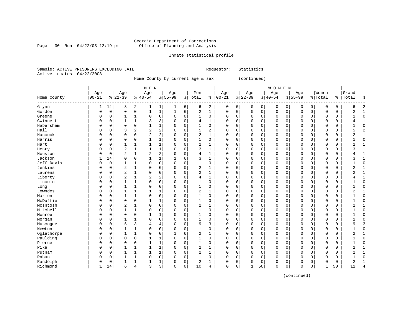Page 30 Run  $04/22/03$  12:19 pm

#### Inmate statistical profile

Sample: ACTIVE PRISONERS EXCLUDING JAIL Requestor: Statistics Active inmates 04/22/2003

Home County by current age & sex (continued)

|             |            |             |                |              | M E N          |                |           |                |                |                |             |             |             |             | <b>WOMEN</b> |             |             |                |             |             |                |                |
|-------------|------------|-------------|----------------|--------------|----------------|----------------|-----------|----------------|----------------|----------------|-------------|-------------|-------------|-------------|--------------|-------------|-------------|----------------|-------------|-------------|----------------|----------------|
|             | Age        |             | Age            |              | Age            |                | Age       |                | Men            |                | Age         |             | Age         |             | Age          |             | Age         |                | Women       |             | Grand          |                |
| Home County | $ 00 - 21$ |             | $ 22-39$       |              | $8 40-54$      |                | $8 55-99$ |                | % Total        | ႜ              | $ 00-21$    |             | $ 22-39$    |             | $8 40-54$    |             | $8 55-99$   |                | % Total     | နွ          | Total          | န့             |
| Glynn       | 1          | 14          | 3              | 2            | 1              | 1              | 1         | 6              | 6              | 2              | 0           | 0           | 0           | 0           | 0            | 0           | 0           | $\overline{0}$ | $\mathbf 0$ | 0           | 6              | 2              |
| Gordon      | $\Omega$   | $\mathbf 0$ | $\mathbf 0$    | $\mathbf 0$  | $\mathbf{1}$   | $\mathbf 1$    | 1         | 6              | 2              | 1              | $\mathbf 0$ | 0           | $\mathsf 0$ | 0           | $\mathbf 0$  | $\mathbf 0$ | 0           | 0              | $\Omega$    | $\mathbf 0$ | 2              | $\mathbf{1}$   |
| Greene      | $\Omega$   | 0           | 1              | 1            | $\mathbf 0$    | 0              | $\Omega$  | $\mathbf 0$    | 1              | 0              | 0           | $\mathbf 0$ | $\mathsf 0$ | 0           | 0            | $\mathbf 0$ | 0           | 0              | $\mathbf 0$ | 0           |                | 0              |
| Gwinnett    | $\Omega$   | 0           | 1              | $\mathbf{1}$ | 3              | 3              | 0         | $\mathbf 0$    | 4              | $\mathbf{1}$   | 0           | 0           | 0           | 0           | 0            | $\mathbf 0$ | 0           | 0              | $\mathbf 0$ | $\Omega$    |                | $\mathbf{1}$   |
| Habersham   | $\Omega$   | 0           | $\mathbf 0$    | $\mathbf 0$  | $\mathbf{1}$   | $\mathbf 1$    | O         | 0              | 1              | 0              | 0           | $\Omega$    | 0           | $\mathbf 0$ | 0            | 0           | 0           | 0              | $\Omega$    | 0           |                | $\mathbf 0$    |
| Hall        | $\Omega$   | 0           | 3              | 2            | $\overline{2}$ | $\overline{c}$ | $\Omega$  | 0              | 5              | $\overline{a}$ | $\Omega$    | 0           | 0           | $\mathbf 0$ | $\Omega$     | 0           | 0           | 0              | $\mathbf 0$ | 0           |                | $\overline{2}$ |
| Hancock     | $\Omega$   | 0           | $\mathbf 0$    | 0            | $\overline{2}$ | $\overline{c}$ | 0         | $\mathbf 0$    | 2              | 1              | 0           | 0           | 0           | $\mathbf 0$ | $\Omega$     | 0           | 0           | 0              | $\Omega$    | 0           |                | 1              |
| Harris      | $\Omega$   | $\Omega$    | $\mathbf 0$    | 0            | $\mathbf{1}$   | $\mathbf 1$    | $\Omega$  | $\mathbf 0$    | $\mathbf{1}$   | 0              | 0           | 0           | 0           | $\mathbf 0$ | 0            | $\mathbf 0$ | $\mathbf 0$ | 0              | $\Omega$    | $\Omega$    |                | $\mathbf 0$    |
| Hart        | 0          | $\Omega$    | 1              | $\mathbf{1}$ | $\mathbf{1}$   | 1              | $\Omega$  | $\mathbf 0$    | $\overline{2}$ | 1              | $\Omega$    | 0           | 0           | 0           | $\Omega$     | $\mathbf 0$ | 0           | $\Omega$       | $\Omega$    | 0           |                | 1              |
| Henry       | 0          | $\Omega$    | $\overline{c}$ | $\mathbf{1}$ | $\mathbf{1}$   | 1              | $\Omega$  | $\Omega$       | 3              | 1              | $\Omega$    | $\Omega$    | $\Omega$    | $\mathbf 0$ | $\Omega$     | $\Omega$    | 0           | $\Omega$       | $\Omega$    | $\Omega$    |                | 1              |
| Houston     | 0          | $\Omega$    | $\overline{a}$ | 1            | $\overline{2}$ | $\overline{c}$ | $\Omega$  | $\mathbf 0$    | 4              | 1              | $\Omega$    | $\Omega$    | 0           | $\mathbf 0$ | $\Omega$     | $\Omega$    | 0           | $\Omega$       | $\Omega$    | $\Omega$    |                | $\mathbf{1}$   |
| Jackson     | 1          | 14          | $\Omega$       | $\mathbf 0$  | $\mathbf{1}$   | $\mathbf{1}$   | 1         | 6              | 3              | 1              | $\Omega$    | $\Omega$    | $\mathbf 0$ | 0           | $\Omega$     | $\mathbf 0$ | 0           | $\Omega$       | $\Omega$    | $\Omega$    |                | $\mathbf{1}$   |
| Jeff Davis  | $\Omega$   | 0           | 1              | 1            | $\mathbf 0$    | 0              | 0         | $\mathbf 0$    | 1              | 0              | $\Omega$    | 0           | $\Omega$    | $\mathsf 0$ | 0            | $\mathbf 0$ | 0           | 0              | $\Omega$    | 0           |                | $\mathbf 0$    |
| Jenkins     | $\Omega$   | 0           | $\overline{2}$ | $\mathbf{1}$ | 0              | 0              | $\Omega$  | 0              | $\overline{c}$ | 1              | $\Omega$    | 0           | $\mathbf 0$ | $\mathbf 0$ | $\Omega$     | 0           | 0           | 0              | $\Omega$    | 0           | 2              | $\mathbf{1}$   |
| Laurens     | $\Omega$   | 0           | $\overline{c}$ | $\mathbf{1}$ | $\mathbf 0$    | 0              | $\Omega$  | $\mathbf 0$    | 2              | 1              | $\Omega$    | $\mathbf 0$ | $\mathbf 0$ | $\mathbf 0$ | $\Omega$     | $\mathbf 0$ | 0           | 0              | $\Omega$    | 0           | $\mathfrak{D}$ | $\mathbf{1}$   |
| Liberty     | $\Omega$   | 0           | $\overline{c}$ | $\mathbf{1}$ | $\overline{2}$ | 2              | $\Omega$  | $\mathbf 0$    | 4              | 1              | $\Omega$    | $\mathbf 0$ | $\mathbf 0$ | 0           | $\Omega$     | $\mathbf 0$ | 0           | 0              | $\Omega$    | 0           |                | $\mathbf{1}$   |
| Lincoln     | $\Omega$   | 0           | $\mathbf{1}$   | $\mathbf{1}$ | $\mathbf 0$    | 0              | $\Omega$  | $\mathbf 0$    | 1              | 0              | $\Omega$    | 0           | $\Omega$    | $\mathsf 0$ | $\Omega$     | $\mathbf 0$ | 0           | 0              | $\Omega$    | $\Omega$    |                | 0              |
| Long        | $\Omega$   | $\Omega$    | $\mathbf{1}$   | $\mathbf{1}$ | $\mathbf 0$    | $\mathsf 0$    | $\Omega$  | $\mathbf 0$    | $\mathbf{1}$   | 0              | $\mathbf 0$ | $\Omega$    | $\mathbf 0$ | $\mathsf 0$ | $\Omega$     | $\mathbf 0$ | 0           | 0              | $\Omega$    | $\Omega$    |                | $\mathbf 0$    |
| Lowndes     | $\Omega$   | $\Omega$    | $\mathbf 1$    | 1            | $\mathbf{1}$   | 1              | $\Omega$  | $\mathbf 0$    | 2              | 1              | $\Omega$    | 0           | $\mathbf 0$ | $\mathbf 0$ | $\Omega$     | $\mathbf 0$ | 0           | 0              | $\Omega$    | $\Omega$    | $\overline{2}$ | 1              |
| Marion      | $\Omega$   | $\Omega$    | 1              | 1            | $\mathbf 0$    | 0              | $\Omega$  | $\mathbf 0$    | 1              | 0              | 0           | 0           | 0           | 0           | $\Omega$     | $\mathbf 0$ | 0           | 0              | $\Omega$    | 0           |                | 0              |
| McDuffie    | 0          | $\Omega$    | $\mathbf 0$    | $\mathbf 0$  | $\mathbf{1}$   | 1              | 0         | $\mathbf 0$    | 1              | 0              | $\Omega$    | $\Omega$    | 0           | $\mathbf 0$ | 0            | $\mathbf 0$ | 0           | $\Omega$       | $\Omega$    | $\Omega$    |                | $\mathbf 0$    |
| McIntosh    | $\Omega$   | 0           | $\overline{2}$ | $\mathbf{1}$ | $\mathbf 0$    | 0              | 0         | $\mathbf 0$    | 2              | $\mathbf{1}$   | $\Omega$    | $\mathbf 0$ | $\Omega$    | $\mathbf 0$ | 0            | $\mathbf 0$ | 0           | 0              | $\Omega$    | $\Omega$    | $\overline{2}$ | $\mathbf{1}$   |
| Mitchell    | $\Omega$   | $\Omega$    | $\mathbf 1$    | $\mathbf{1}$ | 0              | $\mathsf 0$    | 0         | 0              | $\mathbf{1}$   | $\Omega$       | $\Omega$    | $\Omega$    | 0           | 0           | 0            | 0           | 0           | 0              | $\Omega$    | 0           | 1              | $\mathbf 0$    |
| Monroe      | $\Omega$   | $\Omega$    | $\mathbf 0$    | 0            | $\mathbf{1}$   | $\mathbf 1$    | $\Omega$  | 0              | 1              | 0              | $\Omega$    | $\Omega$    | 0           | 0           | $\Omega$     | 0           | 0           | $\Omega$       | $\Omega$    | 0           |                | $\mathbf 0$    |
| Morgan      | 0          | $\Omega$    | 1              | 1            | 0              | 0              | 0         | 0              | 1              | 0              | $\Omega$    | $\Omega$    | 0           | 0           | $\Omega$     | 0           | 0           | 0              | $\Omega$    | 0           |                | 0              |
| Muscogee    | 0          | $\Omega$    | 5              | 3            | 4              | 4              | $\Omega$  | $\mathbf 0$    | 9              | 3              | $\Omega$    | 0           | $\Omega$    | 0           | $\Omega$     | $\mathbf 0$ | 0           | 0              | $\Omega$    | 0           | 9              | 3              |
| Newton      | $\Omega$   | $\Omega$    | $\mathbf{1}$   | $\mathbf{1}$ | 0              | 0              | $\Omega$  | $\mathbf 0$    | 1              | 0              | $\Omega$    | $\Omega$    | 0           | 0           | $\Omega$     | 0           | 0           | 0              | $\Omega$    | $\Omega$    |                | 0              |
| Oglethorpe  | $\Omega$   | $\Omega$    | 1              | 1            | $\Omega$       | 0              |           | 6              | $\overline{a}$ | 1              | $\Omega$    | $\Omega$    | 0           | 0           | $\Omega$     | 0           | 0           | $\Omega$       | $\Omega$    | $\Omega$    | 2              | 1              |
| Paulding    | 0          | $\Omega$    | $\mathbf 0$    | 0            | $\mathbf{1}$   | 1              | $\Omega$  | $\mathbf 0$    | $\mathbf{1}$   | 0              | $\Omega$    | 0           | $\mathbf 0$ | $\mathbf 0$ | $\Omega$     | $\mathbf 0$ | 0           | $\Omega$       | $\Omega$    | $\Omega$    |                | $\mathbf 0$    |
| Pierce      | $\Omega$   | $\Omega$    | 0              | $\mathbf 0$  | $\mathbf{1}$   | $\mathbf 1$    | $\Omega$  | $\mathbf 0$    | 1              | 0              | 0           | 0           | $\mathbf 0$ | 0           | $\Omega$     | $\mathbf 0$ | 0           | 0              | $\Omega$    | 0           |                | 0              |
| Pike        | $\Omega$   | 0           | 1              | $\mathbf{1}$ | $\mathbf{1}$   | $\mathbf 1$    | 0         | $\mathbf 0$    | 2              | $\mathbf{1}$   | 0           | 0           | $\mathbf 0$ | 0           | 0            | $\mathbf 0$ | $\Omega$    | 0              | $\Omega$    | $\mathbf 0$ | $\overline{2}$ | 1              |
| Putnam      | $\Omega$   | 0           | $\mathbf{1}$   | $\mathbf{1}$ | $\mathbf{1}$   | $\mathbf 1$    | 0         | $\mathbf 0$    | $\overline{2}$ | $\mathbf{1}$   | 0           | $\mathbf 0$ | 0           | $\mathbf 0$ | 0            | $\mathbf 0$ | 0           | 0              | $\Omega$    | 0           | 2              | $\mathbf{1}$   |
| Rabun       | $\Omega$   | 0           | $\mathbf{1}$   | $\mathbf{1}$ | $\mathbf 0$    | $\mathbf 0$    | $\Omega$  | $\mathbf 0$    | 1              | 0              | $\mathbf 0$ | $\mathbf 0$ | 0           | $\mathbf 0$ | $\Omega$     | 0           | 0           | 0              | $\Omega$    | 0           | 1              | $\mathbf 0$    |
| Randolph    | 0          | 0           | 1              | 1            | 1              | 1              | $\Omega$  | 0              | 2              | 1              | 0           | 0           | 0           | 0           | 0            | 0           | 0           | 0              | $\Omega$    | 0           |                | 1              |
| Richmond    | 1          | 14          | 6              | 4            | 3              | 3              | $\Omega$  | $\overline{0}$ | 10             | 4              | $\mathbf 0$ | 0           | 1           | 50          | $\mathbf 0$  | 0           | 0           | 0              |             | 50          | 11             | $\overline{4}$ |

(continued)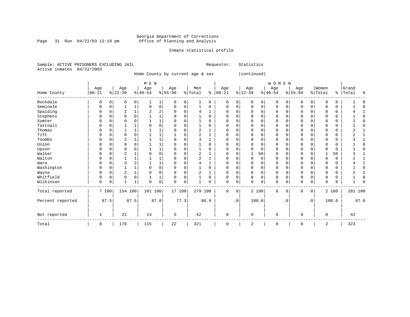#### Georgia Department of Corrections Page 31 Run 04/22/03 12:19 pm Office of Planning and Analysis

#### Inmate statistical profile

|  |                           | Sample: ACTIVE PRISONERS EXCLUDING JAIL |  | Requestor: Statistics |  |
|--|---------------------------|-----------------------------------------|--|-----------------------|--|
|  | Active inmates 04/22/2003 |                                         |  |                       |  |

Home County by current age & sex (continued)

| M E N | W O M E N | Age | Age | Age | Age | Men | Age | Age | Age | Age |Women |Grand Home County |00-21 %|22-39 %|40-54 %|55-99 %|Total % |00-21 %|22-39 %|40-54 %|55-99 %|Total % |Total % ------------------------------------------------------------------------------------------------------------------------------------Rockdale | 0 0| 0 0| 1 1| 0 0| 1 0 | 0 0| 0 0| 0 0| 0 0| 0 0 | 1 0 Seminole | 0 0| 1 1| 0 0| 0 0| 1 0 | 0 0| 0 0| 0 0| 0 0| 0 0 | 1 0 Spalding | 0 0| 2 1| 2 2| 0 0| 4 1 | 0 0| 0 0| 0 0| 0 0| 0 0 | 4 1 Stephens | 0 0| 0 0| 1 1| 0 0| 1 0 | 0 0| 0 0| 0 0| 0 0| 0 0 | 1 0 Sumter | 0 0| 0 0| 1 1| 0 0| 1 0 | 0 0| 0 0| 0 0| 0 0| 0 0 | 1 0 Tattnall | 0 0| 1 1| 0 0| 0 0| 1 0 | 0 0| 0 0| 0 0| 0 0| 0 0 | 1 0 Thomas | 0 0| 1 1| 1 1| 0 0| 2 1 | 0 0| 0 0| 0 0| 0 0| 0 0 | 2 1 Tift | 0 0| 0 0| 1 1| 1 6| 2 1 | 0 0| 0 0| 0 0| 0 0| 0 0 | 2 1 Toombs | 0 0| 2 1| 1 1| 0 0| 3 1 | 0 0| 0 0| 0 0| 0 0| 0 0 | 3 1 Union | 0 0| 0 0| 1 1| 0 0| 1 0 | 0 0| 0 0| 0 0| 0 0| 0 0 | 1 0 Upson | 0 0| 0 0| 1 1| 0 0| 1 0 | 0 0| 0 0| 0 0| 0 0| 0 0 | 1 0 Walker | 0 0| 2 1| 0 0| 0 0| 2 1 | 0 0| 1 50| 0 0| 0 0| 1 50 | 3 1 Walton | 0 0| 1 1| 1 1| 0 0| 2 1 | 0 0| 0 0| 0 0| 0 0| 0 0 | 2 1 Ware | 0 0| 3 2| 1 1| 0 0| 4 1 | 0 0| 0 0| 0 0| 0 0| 0 0 | 4 1 Washington | 0 0| 1 1| 0 0| 0 0| 1 0 | 0 0| 0 0| 0 0| 0 0| 0 0 | 1 0 Wayne | 0 0| 2 1| 0 0| 0 0| 2 1 | 0 0| 0 0| 0 0| 0 0| 0 0 | 2 1 Whitfield | 0 0| 0 0| 1 1| 0 0| 1 0 | 0 0| 0 0| 0 0| 0 0| 0 0 | 1 0 Wilkinson | 0 0| 1 1| 0 0| 0 0| 1 0 | 0 0| 0 0| 0 0| 0 0| 0 0 | 1 0 ------------------------------------------------------------------------------------------------------------------------------------Total reported | 7 100| 154 100| 101 100| 17 100| 279 100 | 0 0| 2 100| 0 0| 0 0| 2 100 | 281 100 | | | | | | | | | | | Percent reported | 87.5| 87.5| 87.8| 77.3| 86.9 | .0| 100.0| .0| .0| 100.0 | 87.0 | | | | | | | | | | | | | | | | | | | | | | Not reported | 1 | 22 | 14 | 5 | 42 | 0 | 0 | 0 | 0 | 0 | 42 ------------------------------------------------------------------------------------------------------------------------------------Total | 8 | 176 | 115 | 22 | 321 | 0 | 2 | 0 | 0 | 2 | 323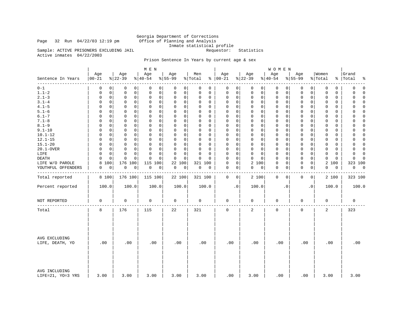Page 32 Run  $04/22/03$  12:19 pm

Georgia Department of Corrections<br>Office of Planning and Analysis Inmate statistical profile<br>Requestor: Statistics

Sample: ACTIVE PRISONERS EXCLUDING JAIL Active inmates 04/22/2003

### Prison Sentence In Years by current age & sex

|                                    |                      |                           | M E N                      |                  |                      |                                 |                         | <b>WOMEN</b>             |                            |                         |                            |
|------------------------------------|----------------------|---------------------------|----------------------------|------------------|----------------------|---------------------------------|-------------------------|--------------------------|----------------------------|-------------------------|----------------------------|
| Sentence In Years                  | Age<br>$ 00 - 21$    | Age<br>$ 22-39$           | Age<br>$ 40-54$            | Age<br>$8 55-99$ | Men<br>% Total       | Age<br>$% 100-21$               | Age<br>$ 22-39$         | Age<br>$8 40-54$         | Age<br>$8 55-99$           | Women<br>% Total<br>ွေ  | Grand<br>Total<br>٩,       |
| --------<br>$0 - 1$                | 0                    | 0<br>$\mathbf 0$<br>0     | 0<br>0                     | 0<br>0           | 0<br>0               | $\mathbf 0$<br>0                | 0<br>$\overline{0}$     | 0<br>0                   | 0<br>0                     | 0<br>0                  | $\mathbf 0$<br>$\mathbf 0$ |
| $1.1 - 2$                          | 0                    | 0<br>0<br>0               | 0<br>0                     | 0<br>0           | 0<br>0               | $\mathbf 0$<br>0                | 0<br>0                  | 0<br>0                   | 0<br>0                     | 0<br>0                  | 0<br>$\Omega$              |
| $2.1 - 3$                          | 0<br>0               | 0<br>0                    | $\mathbf 0$<br>0           | 0<br>0           | 0<br>0               | $\mathbf 0$<br>0                | 0<br>0                  | $\mathbf 0$<br>0         | $\mathbf 0$<br>0           | 0<br>0                  | 0<br>$\Omega$              |
| $3.1 - 4$                          | $\Omega$             | $\Omega$<br>0<br>0        | $\mathbf 0$<br>0           | 0<br>$\mathbf 0$ | $\Omega$<br>0        | $\mathbf 0$<br>$\Omega$         | $\Omega$<br>0           | $\mathbf 0$<br>0         | 0<br>0                     | $\Omega$<br>$\Omega$    | 0<br>$\Omega$              |
| $4.1 - 5$                          | $\Omega$             | $\mathbf 0$<br>0<br>0     | $\mathsf 0$<br>$\mathbf 0$ | 0<br>0           | 0<br>0               | $\mathbf 0$<br>$\mathbf 0$      | $\mathbf 0$<br>0        | 0<br>0                   | 0<br>0                     | 0<br>0                  | $\Omega$<br>0              |
| $5.1 - 6$                          | $\Omega$             | 0<br>$\Omega$<br>$\Omega$ | 0<br>0                     | 0<br>0           | $\Omega$<br>$\Omega$ | $\Omega$<br>0                   | $\Omega$<br>0           | $\mathbf 0$<br>$\Omega$  | $\Omega$<br>0              | $\Omega$<br>$\Omega$    | 0<br>$\Omega$              |
| $6.1 - 7$                          | $\Omega$<br>$\Omega$ | $\mathbf 0$<br>0          | $\mathbf 0$<br>$\Omega$    | $\Omega$<br>0    | $\Omega$<br>0        | $\Omega$<br>$\mathbf 0$         | $\Omega$<br>$\mathbf 0$ | $\mathbf{0}$<br>$\Omega$ | $\mathbf 0$<br>0           | $\Omega$<br>$\Omega$    | $\Omega$<br>$\Omega$       |
| $7.1 - 8$                          | 0                    | $\Omega$<br>0<br>0        | 0<br>0                     | 0<br>$\mathbf 0$ | 0<br>$\Omega$        | $\mathbf 0$<br>$\mathbf 0$      | 0<br>0                  | 0<br>$\Omega$            | 0<br>0                     | 0<br>$\Omega$           | 0<br>$\Omega$              |
| $8.1 - 9$                          | 0<br>0               | 0<br>0                    | $\mathbf 0$<br>0           | 0<br>0           | 0<br>0               | $\Omega$<br>$\mathbf 0$         | 0<br>0                  | $\mathbf 0$<br>0         | 0<br>0                     | $\mathbf 0$<br>0        | 0<br>$\Omega$              |
| $9.1 - 10$                         | $\Omega$             | $\Omega$<br>0<br>0        | $\Omega$<br>$\Omega$       | $\Omega$<br>0    | $\Omega$<br>$\Omega$ | $\mathbf 0$<br>$\Omega$         | $\Omega$<br>$\Omega$    | $\mathbf 0$<br>$\Omega$  | 0<br>0                     | $\Omega$<br>$\Omega$    | 0<br>$\Omega$              |
| $10.1 - 12$                        | $\Omega$<br>0        | $\mathbf 0$<br>0          | $\mathsf 0$<br>$\mathbf 0$ | 0<br>0           | 0<br>0               | $\mathbf 0$<br>$\Omega$         | $\mathbf 0$<br>0        | 0<br>0                   | 0<br>0                     | 0<br>0                  | 0<br>$\Omega$              |
| $12.1 - 15$                        | $\Omega$<br>$\Omega$ | $\Omega$<br>0             | 0<br>0                     | 0<br>0           | $\Omega$<br>$\Omega$ | $\Omega$<br>0                   | 0<br>0                  | $\mathbf 0$<br>$\Omega$  | $\Omega$<br>0              | $\Omega$<br>$\Omega$    | $\Omega$<br>0              |
| $15.1 - 20$                        | $\Omega$             | $\Omega$<br>0<br>0        | $\mathbf 0$<br>$\Omega$    | $\Omega$<br>0    | $\Omega$<br>0        | $\mathbf 0$<br>$\Omega$         | $\Omega$<br>$\Omega$    | $\mathbf{0}$<br>$\Omega$ | $\mathbf 0$<br>0           | $\Omega$<br>$\Omega$    | $\mathbf 0$<br>$\Omega$    |
| 20.1-OVER                          | $\Omega$<br>0        | 0<br>0                    | 0<br>0                     | 0<br>0           | 0<br>$\Omega$        | $\mathbf 0$<br>$\Omega$         | $\Omega$<br>$\Omega$    | $\mathbf 0$<br>$\Omega$  | $\mathbf 0$<br>$\mathbf 0$ | 0<br>$\Omega$           | $\Omega$<br>0              |
| LIFE                               | 0<br>0               | $\mathbf 0$<br>0          | $\mathbf 0$<br>$\Omega$    | 0<br>0           | $\Omega$<br>0        | $\Omega$<br>$\mathbf 0$         | 0<br>$\mathbf 0$        | $\mathbf 0$<br>0         | $\mathbf 0$<br>0           | $\mathbf 0$<br>$\Omega$ | $\mathbf 0$<br>$\Omega$    |
| DEATH                              | $\Omega$<br>$\Omega$ | 0<br>$\Omega$             | $\Omega$<br>$\Omega$       | 0<br>$\Omega$    | $\Omega$<br>$\Omega$ | $\mathbf 0$<br>$\Omega$         | O<br>$\Omega$           | $\mathbf{0}$<br>$\Omega$ | 0<br>0                     | $\Omega$<br>$\Omega$    | $\Omega$<br>$\Omega$       |
| LIFE W/O PAROLE                    | 100<br>8             | 176<br>100                | 115<br>100                 | 22<br>100        | 321 100              | $\mathsf{O}\xspace$<br>$\Omega$ | 2<br>100                | 0<br>0                   | 0<br>0                     | $\overline{a}$<br>100   | 323 100                    |
| YOUTHFUL OFFENDERS                 | 0<br>0               | 0<br>0                    | 0<br>0                     | 0<br>0           | 0<br>0               | $\mathbf 0$<br>0                | 0<br>0                  | $\mathbf 0$<br>0         | 0<br>0                     | 0<br>0                  | 0<br>$\overline{0}$        |
|                                    |                      |                           |                            |                  |                      |                                 |                         |                          |                            |                         |                            |
| Total reported                     | 8 100                | 176 100                   | 115 100                    | 22 100           | 321 100              | 0<br>$\circ$                    | 2 100                   | 0<br>$\mathbf 0$         | 0<br>0                     | 2 100                   | 323 100                    |
| Percent reported                   | 100.0                | 100.0                     | 100.0                      | 100.0            | 100.0                | $\cdot$ 0                       | 100.0                   | $\cdot$ 0                | $\cdot$ 0                  | 100.0                   | 100.0                      |
| NOT REPORTED                       | $\mathsf 0$          | $\mathbf 0$               | 0                          | 0                | $\mathbf 0$          | $\mathbf 0$                     | 0                       | $\mathsf 0$              | $\mathbf 0$                | 0                       | $\mathsf 0$                |
| Total                              | 8                    | 176                       | 115                        | 22               | 321                  | $\mathsf 0$                     | $\overline{a}$          | $\mathbf 0$              | 0                          | $\overline{2}$          | 323                        |
| AVG EXCLUDING<br>LIFE, DEATH, YO   | .00                  | .00                       | .00                        | .00              | .00                  | .00                             | .00                     | .00                      | .00                        | .00                     | .00                        |
| AVG INCLUDING<br>LIFE=21, YO=3 YRS | 3.00                 | 3.00                      | 3.00                       | 3.00             | 3.00                 | .00                             | 3.00                    | .00                      | .00                        | 3.00                    | 3.00                       |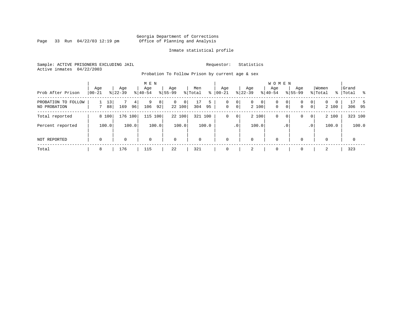Page 33 Run  $04/22/03$  12:19 pm

#### Inmate statistical profile

Sample: ACTIVE PRISONERS EXCLUDING JAIL **Requestor:** Statistics Active inmates 04/22/2003

Probation To Follow Prison by current age & sex

| Prob After Prison                   | Age<br>$ 00-21$ | Age<br>$ 22-39 $            | M E N<br>Age<br>$8 40-54$ | Age<br>$8 55-99$                           | Men<br>% Total<br>ႜ  | Age<br>$ 00-21$ | Age<br>$ 22-39 $                                            | <b>WOMEN</b><br>Age<br>$ 40-54$                      | Age<br>$8155 - 99$                         | Women<br>% Total             | Grand<br>%   Total<br>ု – န |
|-------------------------------------|-----------------|-----------------------------|---------------------------|--------------------------------------------|----------------------|-----------------|-------------------------------------------------------------|------------------------------------------------------|--------------------------------------------|------------------------------|-----------------------------|
| PROBATION TO FOLLOW<br>NO PROBATION | 13<br>88<br>7   | 4 <sup>1</sup><br>169<br>96 | 9<br>8<br>106<br>92       | $\overline{0}$<br>$\overline{0}$<br>22 100 | 17<br>5<br>304<br>95 | 0<br>0          | $\circ$<br>$\overline{0}$<br>0 <sup>1</sup><br> 0 <br>2 100 | 0<br>0 <sup>1</sup><br>$\mathbf 0$<br>0 <sup>1</sup> | 0<br> 0 <br>$\mathbf{0}$<br>$\overline{0}$ | $\overline{0}$<br>0<br>2 100 | 306 95                      |
| Total reported                      | 8 100           | 176 100                     | 100<br>115                | 22 100                                     | 100<br>321           | 0<br>$\circ$    | 2 100                                                       | 0<br>0 <sup>1</sup>                                  | 0 <br>0                                    | 2 100                        | 323 100                     |
| Percent reported                    | 100.0           | 100.0                       | 100.0                     | 100.0                                      | 100.0                | .0 <sup>1</sup> | 100.0                                                       | .0 <sup>1</sup>                                      | $\cdot$ 0                                  | 100.0                        | 100.0                       |
| NOT REPORTED                        | $\mathbf 0$     | 0                           | $\mathbf 0$               | $\mathbf 0$                                | 0                    | 0               | $\mathbf 0$                                                 | $\mathbf 0$                                          | 0                                          | 0                            | $\mathbf 0$                 |
| Total                               | 8               | 176                         | 115                       | 22                                         | 321                  |                 | 2                                                           | 0                                                    |                                            | 2                            | 323                         |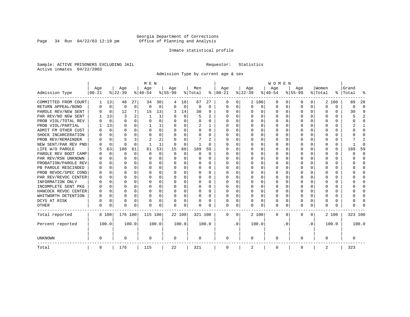Page 34 Run  $04/22/03$  12:19 pm

#### Inmate statistical profile

Sample: ACTIVE PRISONERS EXCLUDING JAIL **Requestor:** Statistics Active inmates 04/22/2003

Admission Type by current age & sex

|                      |           |             |           |             | M E N     |       |           |          |          |          |          |           |          |          | <b>WOMEN</b> |                  |              |              |          |          |         |              |
|----------------------|-----------|-------------|-----------|-------------|-----------|-------|-----------|----------|----------|----------|----------|-----------|----------|----------|--------------|------------------|--------------|--------------|----------|----------|---------|--------------|
|                      | Age       |             | Age       |             | Age       |       | Aqe       |          | Men      |          | Age      |           | Age      |          | Age          |                  | Aqe          |              | Women    |          | Grand   |              |
| Admission Type       | $00 - 21$ |             | $ 22-39 $ |             | $ 40-54 $ |       | $8 55-99$ |          | % Total  | ႜ        | $ 00-21$ |           | $ 22-39$ |          | $ 40-54$     |                  | $8 55-99$    |              | % Total  | ွေ       | Total   |              |
| COMMITTED FROM COURT | 1         | 13          | 48        | 27          | 34        | 30    | 4         | 18       | 87       | 27       | 0        | 0         |          | 2 100    | 0            | $\left( \right)$ | 0            | 0            |          | 2 100    | 89      | 28           |
| RETURN APPEAL/BOND   | 0         | $\mathbf 0$ | 0         | $\mathbf 0$ | $\Omega$  | 0     | $\Omega$  | 0        | 0        | 0        | 0        | 0         | $\Omega$ | 0        | 0            | $\Omega$         | <sup>0</sup> | 0            | $\Omega$ | $\Omega$ | 0       | $\Omega$     |
| PAROLE REV/NEW SENT  | U         | $\Omega$    | 12        | 7           | 15        | 13    | 3         | 14       | 30       | 9        | $\Omega$ | $\Omega$  | O        | $\Omega$ | O            | $\Omega$         | $\cap$       | 0            | U        | U        | 30      | Q            |
| PAR REV/NO NEW SENT  |           | 13          | ζ         |             |           | 1     |           | $\Omega$ | 5        | 2        | $\Omega$ | 0         | $\Omega$ | $\Omega$ | U            | C                | ∩            | <sup>n</sup> | U        | U        | 5       |              |
| PROB VIOL/TOTAL REV  | O         | $\Omega$    | $\Omega$  | $\Omega$    | $\Omega$  | 0     |           | $\Omega$ | $\Omega$ | O        | $\Omega$ | 0         | $\Omega$ | $\Omega$ | U            | C                | <sup>0</sup> | 0            | O        | U        |         | <sup>0</sup> |
| PROB VIOL/PARTIAL    |           | 13          | O         | 0           |           |       |           | $\Omega$ | 2        |          | O        | 0         | $\Omega$ | $\Omega$ | U            | C                |              |              |          | U        |         |              |
| ADMIT FM OTHER CUST  | U         | 0           | U         | 0           | O         | 0     | ∩         | $\Omega$ | 0        | 0        | $\Omega$ | 0         | $\Omega$ | $\Omega$ | O            | O                | <sup>0</sup> | 0            | O        | 0        |         | <sup>0</sup> |
| SHOCK INCARCERATION  |           | $\Omega$    | U         | $\Omega$    | O         | 0     | n         | $\Omega$ | 0        | 0        | $\Omega$ | 0         | O        | $\Omega$ | 0            | O                | O            | $\Omega$     | O        | 0        |         | ∩            |
| PROB REV/REMAINDER   |           | $\Omega$    |           | 3           | 2         | 2     |           | $\Omega$ |          | 2        | $\Omega$ | 0         | $\Omega$ | $\Omega$ | O            | O                | <sup>0</sup> | 0            | O        | 0        |         | 2            |
| NEW SENT/PAR REV PND |           | 0           | $\Omega$  | $\Omega$    |           | 1     |           | $\Omega$ | -1       | O        | C        | 0         | $\Omega$ | $\Omega$ | U            | O                | <sup>0</sup> | 0            | O        | 0        |         | ſ            |
| LIFE W/O PAROLE      |           | 63          | 108       | 61          | 61        | 53    | 15        | 68       | 189      | 59       |          | 0         |          | $\Omega$ | U            | $\Omega$         |              | $\Omega$     | Ω        | 0        | 189     | 59           |
| PAROLE REV BOOT CAMP |           | 0           | O         | $\mathbf 0$ | $\Omega$  | 0     | $\Omega$  | $\Omega$ | O        | $\Omega$ | O        | 0         |          | $\Omega$ | O            | $\Omega$         |              | 0            | O        | 0        | Ω       | $\Omega$     |
| PAR REV/RSN UNKNOWN  |           | $\Omega$    | U         | $\cap$      | O         | 0     |           | $\Omega$ | O        | 0        | O        | 0         | ∩        | $\Omega$ | O            | ∩                | O            | <sup>n</sup> | O        | U        | U       | ∩            |
| PROBATION/PAROLE REV |           | $\Omega$    | U         | $\Omega$    | O         | 0     |           | $\Omega$ | O        | 0        | O        | 0         | ∩        | $\Omega$ | O            | ∩                | ∩            | $\cap$       | U        | O        |         | ∩            |
| PB PAROLE RESCINDED  |           | $\Omega$    | U         | $\cap$      | O         | 0     |           | $\Omega$ | 0        | 0        | n        | 0         | ∩        | $\Omega$ | O            | C                | ∩            | $\Omega$     | U        | U        |         | ∩            |
| PROB REVOC/SPEC COND | O         | 0           | U         | 0           | O         | U     |           | $\Omega$ | O        | O        | n        | 0         | O        | $\Omega$ | O            | C                | n            | 0            | O        | 0        |         | n            |
| PAR REV/REVOC CENTER |           | 0           | O         | $\Omega$    | O         | 0     |           | $\Omega$ | 0        | O        | $\Omega$ | U         |          | $\Omega$ | U            | C                |              | 0            |          | 0        |         | <sup>0</sup> |
| INFORMATION ONLY     |           | 0           | O         | 0           | O         | 0     |           | $\Omega$ | 0        | 0        | $\Omega$ | 0         |          | $\Omega$ | 0            | $\Omega$         |              | 0            |          | 0        |         | <sup>0</sup> |
| INCOMPLETE SENT PKG  | O         | 0           | U         | 0           | O         | 0     |           | $\Omega$ | 0        | 0        | $\Omega$ | 0         | $\Omega$ | $\Omega$ | 0            | $\Omega$         | ∩            | 0            |          | 0        |         | ∩            |
| HANCOCK REVOC CENTER | 0         | 0           | U         | $\Omega$    | n         | 0     |           | $\Omega$ | 0        | 0        | $\Omega$ | 0         | $\Omega$ | $\Omega$ | 0            | $\Omega$         | ∩            | 0            | U        | 0        |         | ∩            |
| WHITWORTH DETENTION  | U         | $\Omega$    | U         | $\Omega$    | O         | 0     | ∩         | $\Omega$ | O        | O        | ∩        | 0         | O        | $\Omega$ | O            | $\Omega$         | ∩            | $\Omega$     | U        | 0        |         | ∩            |
| DCYS AT RISK         | N         | 0           | O         | $\Omega$    | O         | 0     |           | 0        | O        | 0        | $\Omega$ | 0         | O        | 0        | U            | $\Omega$         | <sup>0</sup> | $\Omega$     | Ω        | 0        |         | ſ            |
| <b>OTHER</b>         | O         | 0           | $\Omega$  | 0           | O         | 0     | $\Omega$  | 0        | N        | O        | $\Omega$ | 0         | $\Omega$ | 0        | 0            | $\Omega$         | $\Omega$     | 0            | U        | U        |         |              |
| Total reported       |           | 8 100       | 176 100   |             | 115 100   |       | 22 100    |          | 321 100  |          | 0        | 0         |          | 2 100    | 0            | 0                | $\Omega$     | 0            |          | 2 100    | 323 100 |              |
| Percent reported     |           | 100.0       |           | 100.0       |           | 100.0 |           | 100.0    |          | 100.0    |          | $\cdot$ 0 |          | 100.0    |              | . 0              |              | $\cdot$ 0    |          | 100.0    |         | 100.0        |
| <b>UNKNOWN</b>       | 0         |             | 0         |             | 0         |       | 0         |          | 0        |          | 0        |           | 0        |          | 0            |                  | 0            |              | 0        |          | 0       |              |
| Total                | 8         |             | 176       |             | 115       |       | 22        |          | 321      |          | 0        |           | 2        |          | 0            |                  | 0            |              | 2        |          | 323     |              |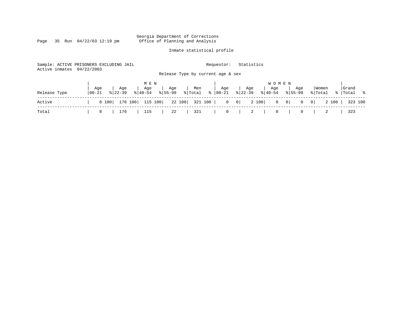Page 35 Run  $04/22/03$  12:19 pm

### Inmate statistical profile

323 100

| Active inmates | Sample: ACTIVE PRISONERS EXCLUDING JAIL<br>04/22/2003      | Release Type by current age & sex             | Requestor:               | Statistics                                  |                                 |                         |                          |
|----------------|------------------------------------------------------------|-----------------------------------------------|--------------------------|---------------------------------------------|---------------------------------|-------------------------|--------------------------|
| Release Type   | Aqe<br>Age<br>Age<br>$8140 - 54$<br>  00-21<br>$8122 - 39$ | M E N<br>Men<br>Age<br>$8155 - 99$<br>% Total | Aqe<br>$8   00 - 21$     | Age<br>Aqe<br>$ 22-39 $<br>$8140 - 54$      | W O M E N<br>Aqe<br>$8155 - 99$ | Women<br>% Total        | Grand<br>್ಡಿ<br>%  Total |
| Active         | 176 100<br>8 100                                           | 115 100<br>22 100                             | 321 100  <br>$\mathbf 0$ | 2 100<br>$\begin{array}{c c} 0 \end{array}$ | $0 \qquad 0$<br>0               | 2 100<br>0 <sup>1</sup> | 323 100                  |
| Total          | 176<br>115<br>8                                            | 321<br>22                                     | 0                        | 2                                           | 0                               |                         | 323                      |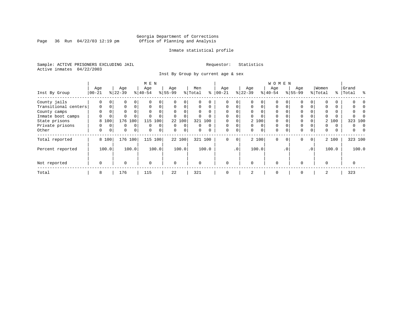Page 36 Run  $04/22/03$  12:19 pm

#### Inmate statistical profile

Sample: ACTIVE PRISONERS EXCLUDING JAIL **Requestor:** Statistics Active inmates 04/22/2003

Inst By Group by current age & sex

|                      |          |             |             |             | M E N     |                |           |                |          |          | WOMEN     |                 |           |          |           |           |             |             |          |          |         |   |  |  |
|----------------------|----------|-------------|-------------|-------------|-----------|----------------|-----------|----------------|----------|----------|-----------|-----------------|-----------|----------|-----------|-----------|-------------|-------------|----------|----------|---------|---|--|--|
|                      | Age      |             | Age         |             | Age       |                | Age       |                | Men      |          | Age       |                 | Age       |          | Age       |           | Age         |             | Women    |          | Grand   |   |  |  |
| Inst By Group        | $ 00-21$ |             | $ 22-39 $   |             | $8 40-54$ |                | $8 55-99$ |                | % Total  | ႜ        | $00 - 21$ |                 | $ 22-39 $ |          | $8 40-54$ |           | $8155 - 99$ |             | % Total  | ႜ        | Total   | ু |  |  |
| County jails         | $\Omega$ |             | 0           |             |           | $\Omega$       |           |                | 0        | $\Omega$ |           | 0               |           |          | $\Omega$  |           | 0           |             |          |          |         |   |  |  |
| Transitional centers | $\Omega$ | 0           | $\Omega$    | $\Omega$    | $\Omega$  | 0              | $\Omega$  | $\Omega$       | $\Omega$ | $\Omega$ | $\Omega$  | $\overline{0}$  |           | $\Omega$ | $\Omega$  |           | $\mathbf 0$ |             |          | $\Omega$ |         |   |  |  |
| County camps         | $\Omega$ | 0           | $\Omega$    |             | $\Omega$  | $\Omega$       |           |                | 0        | $\Omega$ | $\Omega$  | 0               |           | $\Omega$ | $\Omega$  |           | 0           |             |          | $\Omega$ |         |   |  |  |
| Inmate boot camps    | 0        | 0           |             |             |           | 0              |           |                |          |          | 0         | 0               |           |          | $\Omega$  |           | 0           |             |          | $\Omega$ |         |   |  |  |
| State prisons        | 8        | 100         | 176         | 100         | 115       | 100            |           | 22 100         |          | 321 100  |           | 0               |           | 2 100    | $\Omega$  |           | 0           |             |          | 2 100    | 323 100 |   |  |  |
| Private prisons      | U        | $\Omega$    | $\Omega$    | $\Omega$    | $\Omega$  | $\Omega$       | $\Omega$  | $\Omega$       | 0        | $\Omega$ | $\Omega$  | $\Omega$        |           | $\Omega$ | $\Omega$  |           | $\mathbf 0$ |             | $\Omega$ | $\Omega$ | 0       |   |  |  |
| Other                | 0        | $\mathbf 0$ | $\mathbf 0$ | $\mathbf 0$ | $\Omega$  | $\overline{0}$ | $\Omega$  | 0 <sup>1</sup> | 0        | $\Omega$ | $\Omega$  | $\overline{0}$  | $\Omega$  | $\Omega$ | 0         |           | $\mathbf 0$ | 0           | 0        | 0        | 0       |   |  |  |
| Total reported       |          | 8 100       | 176 100     |             | 115 100   |                |           | 22 100         |          | 321 100  | $\Omega$  | $\overline{0}$  |           | 2 100    | $\Omega$  | $\Omega$  | $\mathbf 0$ | $\mathbf 0$ |          | 2 100    | 323 100 |   |  |  |
| Percent reported     |          | 100.0       |             | 100.0       |           | 100.0          |           | 100.0          |          | 100.0    |           | .0 <sup>1</sup> |           | 100.0    |           | $\cdot$ 0 |             | .0          |          | 100.0    | 100.0   |   |  |  |
| Not reported         | 0        |             | $\Omega$    |             | $\Omega$  |                | $\Omega$  |                | 0        |          | $\Omega$  |                 | $\Omega$  |          | $\Omega$  |           | 0           |             | $\Omega$ |          | 0       |   |  |  |
| Total                | 8        |             | 176         |             | 115       |                | 22        |                | 321      |          | $\Omega$  |                 | 2         |          | 0         |           | 0           |             | 2        |          | 323     |   |  |  |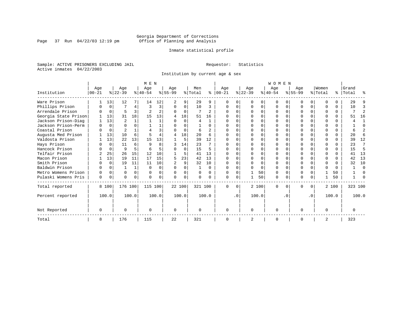Page 37 Run  $04/22/03$  12:19 pm

#### Inmate statistical profile

Sample: ACTIVE PRISONERS EXCLUDING JAIL **Requestor:** Statistics Active inmates 04/22/2003

Institution by current age & sex

|                      |             |          |           |              | M E N     |                |           | <b>WOMEN</b> |          |                |          |           |              |       |          |          |             |           |          |          |           |          |
|----------------------|-------------|----------|-----------|--------------|-----------|----------------|-----------|--------------|----------|----------------|----------|-----------|--------------|-------|----------|----------|-------------|-----------|----------|----------|-----------|----------|
|                      | Age         |          | Age       |              | Age       |                | Age       |              | Men      |                | Age      |           | Age          |       | Age      |          | Age         |           | Women    |          | Grand     |          |
| Institution          | $ 00 - 21 $ |          | $ 22-39 $ |              | $8 40-54$ |                | $ 55-99 $ |              | % Total  | ႜ              | $ 00-21$ |           | $ 22-39 $    |       | $ 40-54$ |          | $8155 - 99$ |           | % Total  |          | %   Total | ႜ        |
| Ware Prison          |             | 13       | 12        |              | 14        | 12             |           | 9            | 29       | 9              |          |           | <sup>0</sup> | 0     |          |          |             | 0         | $\Omega$ |          | 29        |          |
| Phillips Prison      |             | $\Omega$ |           | 4            | 3         | 3              | $\Omega$  | $\Omega$     | 10       | 3              | $\cap$   |           | $\cap$       | 0     | $\Omega$ | $\Omega$ | $\cap$      | $\Omega$  | $\Omega$ | $\Omega$ | 10        | 3        |
| Arrendale Prison     |             | $\Omega$ | 5         | 3            |           | $\overline{a}$ | U         | $\Omega$     |          | $\overline{c}$ |          |           |              | U     |          | $\Omega$ |             |           |          | $\Omega$ |           | 2        |
| Georgia State Prison |             | 13       | 31        | 18           | 15        | 13             | 4         | 18           | 51       | 16             |          |           |              |       |          |          |             |           |          | 0        | 51        | 16       |
| Jackson Prison-Diag  |             | 13       | 2         |              |           |                |           | $\Omega$     | 4        |                |          |           |              |       |          |          |             |           |          | U        |           |          |
| Jackson Prison-Perm  |             | $\Omega$ |           |              |           |                |           | O            |          | $\Omega$       |          |           |              | 0     |          |          |             |           | ∩        | 0        |           |          |
| Coastal Prison       |             | $\Omega$ |           |              |           | 3              |           | $\Omega$     | 6        | 2              |          |           |              | U     |          |          |             |           | $\Omega$ | $\Omega$ |           |          |
| Augusta Med Prison   |             | 13       | 10        | б.           |           |                | 4         | 18           | 20       | 6              |          |           |              |       |          |          |             |           |          | $\Omega$ | 20        | б        |
| Valdosta Prison      |             | 13       | 22        | 13           | 15        | 13             |           | 5            | 39       | 12             |          |           |              | 0     |          |          |             |           |          | U        | 39        | 12       |
| Hays Prison          |             | $\Omega$ | 11        | 6            | q         | 8              |           | 14           | 23       |                |          |           |              | U     |          |          | $\cap$      |           | $\Omega$ | $\Omega$ | 23        | 7        |
| Hancock Prison       |             | $\Omega$ | 9         | 5.           |           |                |           | $\Omega$     | 15       | 5              |          |           |              | 0     |          |          |             |           | $\Omega$ | $\Omega$ | 15        | 5        |
| Telfair Prison       |             | 25       | 26        | 15           | 12        | 10             |           | 5            | 41       | 13             |          |           |              | U     |          |          |             |           |          | 0        | 41        | 13       |
| Macon Prison         |             | 13       | 19        | 11           | 17        | 15             |           | 23           | 42       | 13             |          |           |              |       |          |          |             |           | $\Omega$ | 0        | 42        | 13       |
| Smith Prison         |             | $\Omega$ | 19        | 11           | 11        | 10             |           | 9            | 32       | 10             | U        |           | <sup>0</sup> | U     |          |          | O           | U         | $\Omega$ | $\Omega$ | 32        | 10       |
| Baldwin Prison       |             | $\Omega$ |           | $\mathbf{1}$ | $\Omega$  | 0              | U         | O            |          | $\Omega$       |          |           |              | O     |          |          |             |           | $\Omega$ | $\Omega$ |           | $\Omega$ |
| Metro Womens Prison  | U           | $\Omega$ | O         | $\Omega$     | U         | 0              | U         | 0            | $\Omega$ | $\Omega$       | O        |           |              | 50    | $\Omega$ | $\Omega$ | $\Omega$    | U         |          | 50       |           |          |
| Pulaski Womens Pris  | $\Omega$    | $\Omega$ | U         | $\Omega$     |           | 0              | U         | 0            | $\Omega$ | $\Omega$       | $\Omega$ |           |              | 50    | $\Omega$ |          | 0           | 0         |          | 50       |           |          |
| Total reported       |             | 8 100    | 176 100   |              | 115 100   |                |           | 22 100       | 321 100  |                | $\Omega$ | $\Omega$  |              | 2 100 | $\Omega$ |          | 0           | $\Omega$  |          | 2 100    | 323 100   |          |
| Percent reported     |             | 100.0    |           | 100.0        |           | 100.0          |           | 100.0        |          | 100.0          |          | $\cdot$ 0 |              | 100.0 |          | . 0      |             | $\cdot$ 0 |          | 100.0    |           | 100.0    |
| Not Reported         | $\Omega$    |          | U         |              | $\Omega$  |                | $\Omega$  |              | $\Omega$ |                | $\Omega$ |           | $\Omega$     |       | $\Omega$ |          | O           |           | $\Omega$ |          |           |          |
| Total                | 8           |          | 176       |              | 115       |                | 22        |              | 321      |                |          |           |              |       |          |          |             |           | 2        |          | 323       |          |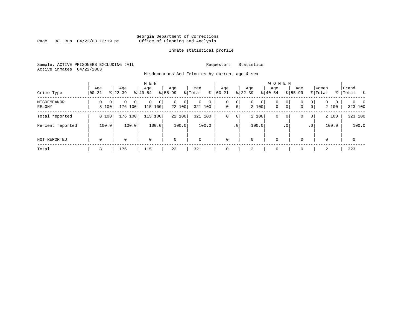Page 38 Run  $04/22/03$  12:19 pm

#### Inmate statistical profile

Sample: ACTIVE PRISONERS EXCLUDING JAIL **Requestor:** Statistics Active inmates 04/22/2003

Misdemeanors And Felonies by current age & sex

| Crime Type            | Age<br>  00-21                      | Age<br>$8 22-39$             | M E N<br>Age<br>$8 40-54$       | Age<br>$8 55-99$        | Men<br>ွေ<br>% Total     | Age<br>$00 - 21$ | Age<br>$ 22-39 $                             | <b>WOMEN</b><br>Aqe<br>$ 40-54 $      | Age<br>$8155 - 99$          | Women<br>% Total                         | Grand<br>% Total %              |
|-----------------------|-------------------------------------|------------------------------|---------------------------------|-------------------------|--------------------------|------------------|----------------------------------------------|---------------------------------------|-----------------------------|------------------------------------------|---------------------------------|
| MISDEMEANOR<br>FELONY | $\Omega$<br>0 <sup>1</sup><br>8 100 | 0<br>$\mathbf{0}$<br>176 100 | $\mathbf{0}$<br>0<br>115<br>100 | $\Omega$<br>0<br>22 100 | $\Omega$<br>0<br>321 100 | 0<br>$\mathbf 0$ | 0<br>$\mathbf{0}$<br>$\overline{0}$<br>2 100 | $\circ$<br>$\mathbf 0$<br>$\mathbf 0$ | 0<br>0<br>$\mathsf{O}$<br>0 | $\circ$<br>$\Omega$<br>0<br> 0 <br>2 100 | $\Omega$<br>$\Omega$<br>323 100 |
| Total reported        | 8 100                               | 176 100                      | 100<br>115                      | 22 100                  | 321 100                  | $\mathbf 0$      | 2 100<br>0                                   | 0                                     | 0<br>0                      | 2 100<br> 0                              | 323 100                         |
| Percent reported      | 100.0                               | 100.0                        | 100.0                           | 100.0                   | 100.0                    |                  | 100.0<br>.0 <sup>1</sup>                     |                                       | .0 <sup>°</sup>             | 100.0<br>.0 <sup>1</sup>                 | 100.0                           |
| NOT REPORTED          | $\mathbf 0$                         | 0                            | $\mathbf 0$                     | $\mathbf 0$             | $\Omega$                 | $\mathbf{0}$     | $\mathbf 0$                                  | $\mathbf 0$                           | $\Omega$                    | $\Omega$                                 | $\mathbf 0$                     |
| Total                 | 8                                   | 176                          | 115                             | 22                      | 321                      | $\mathbf{0}$     | 2                                            | 0                                     | $\Omega$                    | 2                                        | 323                             |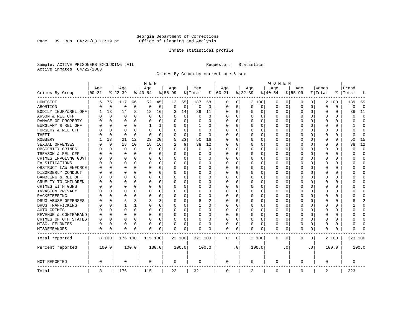Page 39 Run  $04/22/03$  12:19 pm

#### Inmate statistical profile

Sample: ACTIVE PRISONERS EXCLUDING JAIL **Requestor:** Statistics Active inmates 04/22/2003

Crimes By Group by current age & sex

|                      | M E N     |             |             |             |             |          |           |             |          |          |               | WOMEN     |          |             |          |           |             |           |          |          |         |                |
|----------------------|-----------|-------------|-------------|-------------|-------------|----------|-----------|-------------|----------|----------|---------------|-----------|----------|-------------|----------|-----------|-------------|-----------|----------|----------|---------|----------------|
|                      | Age       |             | Age         |             | Age         |          | Age       |             | Men      |          | Age           |           | Age      |             | Age      |           | Age         |           | Women    |          | Grand   |                |
| Crimes By Group      | $00 - 21$ |             | $ 22-39$    |             | $ 40-54$    |          | $8 55-99$ |             | % Total  |          | $8   00 - 21$ |           | $ 22-39$ |             | $ 40-54$ |           | $8 55-99$   |           | % Total  | ႜ        | Total   |                |
| HOMICIDE             | 6         | 75          | 117         | 66          | 52          | 45       | 12        | 55          | 187      | 58       | 0             | 0         |          | 2 100       | 0        | 0         | 0           | 0         |          | 2 100    | 189     | 59             |
| ABORTION             | U         | $\mathbf 0$ | $\mathbf 0$ | $\mathbf 0$ | $\mathbf 0$ | 0        | 0         | $\mathbf 0$ | 0        | 0        | $\mathbf 0$   | 0         | $\Omega$ | 0           | 0        | 0         | $\Omega$    | 0         | $\Omega$ | 0        | 0       | $\overline{0}$ |
| BODILY INJRY&REL OFF | -1        | 13          | 14          | 8           | 18          | 16       | 3         | 14          | 36       | 11       | 0             | 0         | O        | 0           | 0        | 0         | $\Omega$    | 0         | 0        | 0        | 36      | 11             |
| ARSON & REL OFF      | U         | $\mathbf 0$ | $\Omega$    | $\Omega$    | $\Omega$    | 0        |           | $\Omega$    | $\Omega$ | $\Omega$ | Ω             | 0         |          | $\Omega$    | 0        | O         |             | $\Omega$  | 0        | 0        | U       | $\Omega$       |
| DAMAGE OF PROPERTY   | U         | $\Omega$    | $\Omega$    | $\Omega$    | $\Omega$    | 0        |           | $\Omega$    | $\Omega$ | $\Omega$ | <sup>0</sup>  | 0         | $\Omega$ | $\Omega$    | O        | U         | ∩           | $\Omega$  | $\Omega$ | $\Omega$ | U       | $\Omega$       |
| BURGLARY & REL OFF   |           | $\Omega$    | $\Omega$    | $\Omega$    |             | 1        |           | $\Omega$    | 1        | 0        | 0             | 0         | $\Omega$ | 0           | 0        | O         | $\Omega$    | $\Omega$  | $\Omega$ | 0        |         | $\Omega$       |
| FORGERY & REL OFF    |           | $\Omega$    | $\Omega$    | $\Omega$    | $\sqrt{ }$  | 0        |           | $\Omega$    | $\Omega$ | $\Omega$ | Ω             | 0         | $\Omega$ | $\Omega$    | 0        | 0         |             | $\Omega$  | 0        | 0        | U       | $\cap$         |
| <b>THEFT</b>         |           | 0           | $\Omega$    | 0           | $\Omega$    | 0        |           | $\mathbf 0$ | 0        | $\Omega$ | $\Omega$      | 0         | $\Omega$ | $\Omega$    | 0        | 0         | $\Omega$    | $\Omega$  | U        | 0        | U       | $\Omega$       |
| <b>ROBBERY</b>       |           | 13          | 21          | 12          | 23          | 20       |           | 23          | 50       | 16       | 0             | 0         | 0        | 0           | 0        | 0         | $\Omega$    | $\Omega$  | U        | 0        | 50      | 15             |
| SEXUAL OFFENSES      |           | 0           | 18          | 10          | 18          | 16       |           | 9           | 38       | 12       | 0             | 0         | 0        | $\Omega$    | 0        | O         |             | $\Omega$  | $\Omega$ | 0        | 38      | 12             |
| OBSCENITY CRIMES     | U         | $\Omega$    | $\Omega$    | $\Omega$    | $\Omega$    | $\Omega$ | n         | $\Omega$    | $\Omega$ | $\Omega$ | 0             | 0         | $\Omega$ | $\Omega$    | 0        | O         | $\Omega$    | 0         | U        | $\Omega$ | U       | $\Omega$       |
| TREASON & REL OFF    |           | $\mathbf 0$ | $\Omega$    | $\Omega$    | $\Omega$    | $\Omega$ |           | $\Omega$    | 0        | 0        | 0             | 0         | 0        | $\Omega$    | 0        | 0         | 0           | $\Omega$  | 0        | $\Omega$ | U       | $\Omega$       |
| CRIMES INVOLVNG GOVT |           | $\Omega$    | $\Omega$    | $\Omega$    | 0           | $\Omega$ |           | $\Omega$    | 0        | $\Omega$ | 0             | 0         |          | $\Omega$    | 0        | 0         | $\Omega$    | $\Omega$  | $\Omega$ | $\Omega$ | ი       | $\Omega$       |
| FALSIFICATIONS       | N         | $\Omega$    | $\Omega$    | $\Omega$    | $\Omega$    | 0        |           | $\Omega$    | 0        | 0        | <sup>0</sup>  | 0         | 0        | $\Omega$    | 0        | 0         | $\Omega$    | 0         | 0        | 0        | O       | $\Omega$       |
| OBSTRUCT LAW ENFORCE | U         | 0           | $\Omega$    | $\Omega$    | O           | $\Omega$ |           | $\Omega$    | 0        | 0        | 0             | 0         | 0        | $\Omega$    | 0        | 0         |             | 0         | 0        | 0        |         | <sup>0</sup>   |
| DISORDERLY CONDUCT   | O         | O           | $\Omega$    | $\Omega$    | $\Omega$    | $\Omega$ |           | $\Omega$    | O        | O        | <sup>0</sup>  | 0         | O        | $\Omega$    | O        | O         | $\Omega$    | 0         | U        | $\Omega$ |         | ∩              |
| GAMBLING & REL OFF   | U         | O           | $\Omega$    | $\Omega$    | O           | $\Omega$ |           | $\Omega$    | $\Omega$ | 0        | <sup>0</sup>  | 0         | O        | $\Omega$    | O        | O         | $\Omega$    | $\Omega$  | U        | $\Omega$ |         | ∩              |
| CRUELTY TO CHILDREN  | O         | 0           | $\Omega$    | $\Omega$    | O           | 0        |           | $\Omega$    | 0        | 0        | <sup>0</sup>  | 0         | O        | $\mathbf 0$ | 0        | O         | $\Omega$    | $\Omega$  | U        | $\Omega$ |         | Ω              |
| CRIMES WITH GUNS     | N         | $\Omega$    | $\Omega$    | $\Omega$    | C           | $\Omega$ |           | $\Omega$    | 0        | $\Omega$ | $\Omega$      | 0         | $\Omega$ | $\Omega$    | 0        | O         | $\Omega$    | 0         | U        | $\Omega$ |         | $\Omega$       |
| INVASION PRIVACY     | N         | $\Omega$    | O           | $\Omega$    | O           | 0        |           | $\Omega$    | U        | 0        | <sup>0</sup>  | 0         | O        | $\Omega$    | 0        | O         | n           | 0         | U        | 0        | O       | <sup>0</sup>   |
| RACKETEERING         |           | $\Omega$    | $\Omega$    | $\Omega$    | C           | 0        |           | $\Omega$    | O        | U        | <sup>0</sup>  | 0         | O        | $\Omega$    | O        | O         |             | 0         | O        | 0        |         | <sup>0</sup>   |
| DRUG ABUSE OFFENSES  |           | $\Omega$    |             | 3           | ζ           | 3        |           | $\Omega$    | 8        | 2        | 0             | 0         | O        | $\Omega$    | O        | U         | ∩           | 0         | U        | $\Omega$ |         | 2              |
| DRUG TRAFFICKING     | Λ         | O           |             |             | $\Omega$    | 0        |           | $\Omega$    | 1        | 0        | 0             | 0         | O        | 0           | 0        | O         | n           | $\Omega$  | U        | 0        |         | <sup>0</sup>   |
| AUTO CRIMES          |           | 0           | $\Omega$    | $\Omega$    | 0           | 0        |           | $\mathbf 0$ | 0        | O        | 0             | 0         | 0        | $\Omega$    | 0        | 0         |             | $\Omega$  | 0        | 0        |         | $\Omega$       |
| REVENUE & CONTRABAND | U         | $\Omega$    | $\Omega$    | $\Omega$    | O           | 0        |           | 0           | 0        | 0        | <sup>0</sup>  | 0         | O        | $\Omega$    | 0        | O         | $\Omega$    | $\Omega$  | U        | 0        | U       | $\Omega$       |
| CRIMES OF OTH STATES | 0         | 0           | O           | $\Omega$    | O           | 0        |           | 0           | 0        | 0        | $\Omega$      | 0         | O        | $\Omega$    | 0        | O         | n           | 0         | O        | 0        | U       | <sup>0</sup>   |
| MISC. FELONIES       | U         | $\Omega$    | $\Omega$    | $\Omega$    | O           | 0        |           | 0           | 0        | 0        | 0             | 0         |          | 0           | 0        | 0         | $\Omega$    | 0         | U        | 0        | U       | ſ              |
| MISDEMEANORS         | 0         | 0           | $\Omega$    | 0           | O           | 0        | O         | 0           | 0        | 0        | 0             | 0         | $\Omega$ | 0           | 0        | O         | 0           | 0         | U        | 0        | ი       |                |
| Total reported       |           | 8 100       | 176 100     |             | 115 100     |          |           | 22 100      | 321 100  |          | $\mathbf 0$   | 0         |          | 2 100       | 0        | 0         | $\mathbf 0$ | 0         |          | 2 100    | 323 100 |                |
| Percent reported     |           | 100.0       |             | 100.0       |             | 100.0    |           | 100.0       |          | 100.0    |               | $\cdot$ 0 |          | 100.0       |          | $\cdot$ 0 |             | $\cdot$ 0 |          | 100.0    |         | 100.0          |
| <b>NOT REPORTED</b>  | 0         |             | 0           |             | 0           |          | 0         |             | 0        |          | 0             |           | 0        |             | 0        |           | 0           |           | 0        |          | 0       |                |
| Total                | 8         |             | 176         |             | 115         |          | 22        |             | 321      |          | 0             |           | 2        |             | 0        |           | $\mathbf 0$ |           | 2        |          | 323     |                |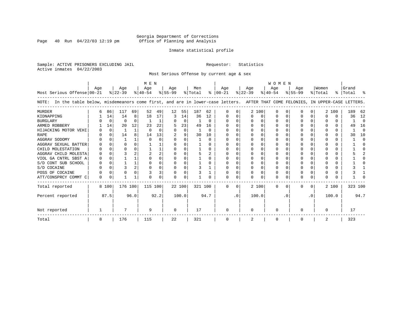Page 40 Run  $04/22/03$  12:19 pm

#### Inmate statistical profile

Sample: ACTIVE PRISONERS EXCLUDING JAIL **Requestor:** Statistics Active inmates 04/22/2003

Most Serious Offense by current age & sex

| M E N                                                                                                                              |          |          |           |                |           |                |           |          |         |          | WOMEN         |           |           |       |           |           |             |           |          |              |           |          |  |
|------------------------------------------------------------------------------------------------------------------------------------|----------|----------|-----------|----------------|-----------|----------------|-----------|----------|---------|----------|---------------|-----------|-----------|-------|-----------|-----------|-------------|-----------|----------|--------------|-----------|----------|--|
|                                                                                                                                    | Aqe      |          | Aqe       |                | Age       |                | Age       |          | Men     |          | Aqe           |           | Aqe       |       | Aqe       |           | Aqe         |           | Women    |              | Grand     |          |  |
| Most Serious Offense 00-21                                                                                                         |          |          | $ 22-39 $ |                | $8 40-54$ |                | $8 55-99$ |          | % Total |          | $8   00 - 21$ |           | $ 22-39 $ |       | $ 40-54 $ |           | $8155 - 99$ |           | % Total  |              | %   Total | ႜ        |  |
| NOTE: In the table below, misdemeanors come first, and are in lower-case letters. AFTER THAT COME FELONIES, IN UPPER-CASE LETTERS. |          |          |           |                |           |                |           |          |         |          |               |           |           |       |           |           |             |           |          |              |           |          |  |
| <b>MURDER</b>                                                                                                                      |          | 86       | 117       | 69             | 52        | 49             | 12        | 55       | 187     | 62       |               |           |           | 2 100 | O         |           |             | 0         |          | 2 100        | 189       | 62       |  |
| KIDNAPPING                                                                                                                         |          | 14       | 14        | 8              | 18        | 17             | 3         | 14       | 36      | 12       |               |           |           | 0     |           | $\Omega$  |             |           | O        | 0            | 36        | 12       |  |
| <b>BURGLARY</b>                                                                                                                    |          | $\Omega$ | 0         | <sup>0</sup>   |           |                |           | 0        |         | $\Omega$ |               |           |           | U     |           | $\Omega$  |             | O         |          | 0            |           | $\Omega$ |  |
| ARMED ROBBERY                                                                                                                      |          | 14       | 20        | 12             | 23        | 22             |           | 23       | 49      | 16       |               |           |           | U     |           |           |             |           |          | 0            | 49        | 16       |  |
| HIJACKING MOTOR VEHI                                                                                                               |          | $\Omega$ |           | $\mathbf{1}$   | $\Omega$  | $\Omega$       |           | $\Omega$ |         | $\Omega$ |               |           |           |       |           |           |             |           |          | 0            |           | $\Omega$ |  |
| <b>RAPE</b>                                                                                                                        |          |          | 14        | 8              | 14        | 13             |           | 9        | 30      | 10       |               |           |           |       |           |           |             |           |          |              | 30        | 10       |  |
| AGGRAV SODOMY                                                                                                                      |          |          |           |                |           | U              |           | 0        |         | $\Omega$ |               |           |           | U     |           |           |             |           |          | 0            |           | $\Omega$ |  |
| AGGRAV SEXUAL BATTER                                                                                                               |          |          |           | 0              |           |                |           | U        |         | $\Omega$ |               |           |           |       |           |           |             |           |          | 0            |           |          |  |
| CHILD MOLESTATION                                                                                                                  |          | $\Omega$ |           |                |           |                |           |          |         | $\Omega$ |               |           |           |       |           |           |             |           |          | 0            |           |          |  |
| AGGRAV CHILD MOLESTA                                                                                                               |          |          |           |                |           | $\overline{a}$ |           |          |         | 2        |               |           |           |       |           |           |             |           |          | 0            |           |          |  |
| VIOL GA CNTRL SBST A                                                                                                               |          |          |           |                |           |                | U         | U        |         | $\Omega$ |               |           |           |       |           |           |             |           |          | 0            |           |          |  |
| S/D CONT SUB SCHOOL                                                                                                                |          |          |           |                |           | 0              | U         | 0        |         | $\Omega$ |               |           |           |       |           |           |             |           |          | 0            |           |          |  |
| S/D COCAINE                                                                                                                        |          | $\Omega$ |           | $\overline{a}$ | n         | O              | U         | O        |         |          |               |           |           |       |           | $\Omega$  |             | O         | ∩        | 0            |           |          |  |
| POSS OF COCAINE                                                                                                                    |          | $\Omega$ |           |                |           | 3 <sub>1</sub> | 0         | 0        |         |          |               |           |           |       |           |           |             |           |          | 0            |           |          |  |
| ATT/CONSPRCY COMMT C                                                                                                               | $\Omega$ | $\Omega$ |           |                |           | <sup>n</sup>   | U         | 0        |         |          |               |           |           | U     | ∩         | $\Omega$  | O           | $\Omega$  | $\Omega$ | <sup>n</sup> |           |          |  |
| Total reported                                                                                                                     |          | 8 100    | 176 100   |                | 115 100   |                |           | 22 100   | 321 100 |          | $\Omega$      | $\Omega$  |           | 2 100 | $\Omega$  | $\Omega$  | 0           | $\Omega$  |          | 2 100        | 323 100   |          |  |
| Percent reported                                                                                                                   |          | 87.5     |           | 96.0           |           | 92.2           |           | 100.0    |         | 94.7     |               | $\cdot$ 0 |           | 100.0 |           | $\cdot$ 0 |             | $\cdot$ 0 |          | 100.0        |           | 94.7     |  |
| Not reported                                                                                                                       |          |          |           |                | 9         |                | $\Omega$  |          | 17      |          | U             |           | ∩         |       |           |           | U           |           | $\Omega$ |              | 17        |          |  |
| Total                                                                                                                              | 8        |          | 176       |                | 115       |                | 22        |          | 321     |          |               |           | 2         |       |           |           | 0           |           | 2        |              | 323       |          |  |